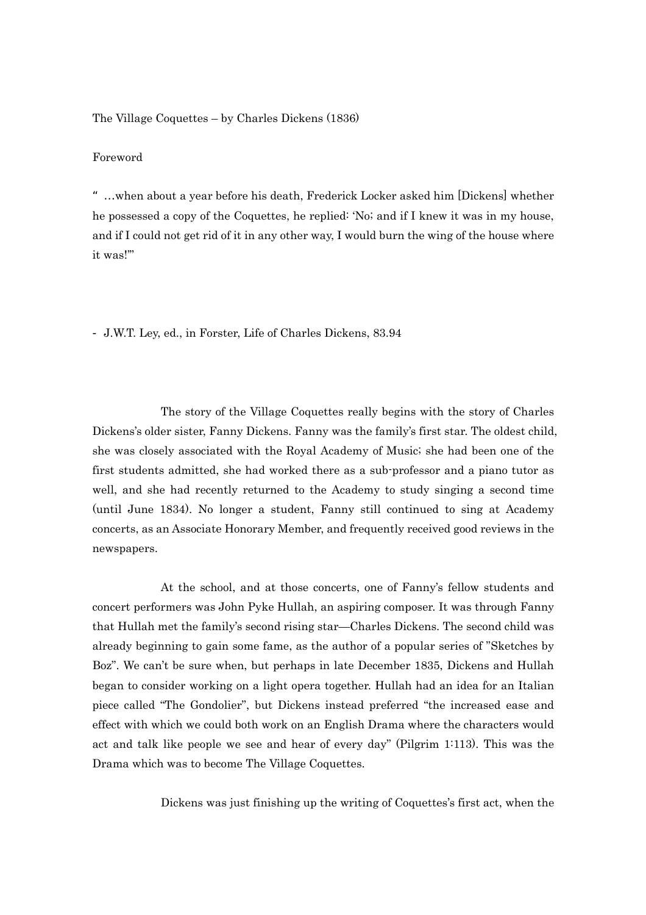#### The Village Coquettes – by Charles Dickens (1836)

#### Foreword

"…when about a year before his death, Frederick Locker asked him [Dickens] whether he possessed a copy of the Coquettes, he replied: 'No; and if I knew it was in my house, and if I could not get rid of it in any other way, I would burn the wing of the house where it was!'"

J.W.T. Ley, ed., in Forster, Life of Charles Dickens, 83.94

 The story of the Village Coquettes really begins with the story of Charles Dickens's older sister, Fanny Dickens. Fanny was the family's first star. The oldest child, she was closely associated with the Royal Academy of Music; she had been one of the first students admitted, she had worked there as a sub-professor and a piano tutor as well, and she had recently returned to the Academy to study singing a second time (until June 1834). No longer a student, Fanny still continued to sing at Academy concerts, as an Associate Honorary Member, and frequently received good reviews in the newspapers.

 At the school, and at those concerts, one of Fanny's fellow students and concert performers was John Pyke Hullah, an aspiring composer. It was through Fanny that Hullah met the family's second rising star—Charles Dickens. The second child was already beginning to gain some fame, as the author of a popular series of "Sketches by Boz". We can't be sure when, but perhaps in late December 1835, Dickens and Hullah began to consider working on a light opera together. Hullah had an idea for an Italian piece called "The Gondolier", but Dickens instead preferred "the increased ease and effect with which we could both work on an English Drama where the characters would act and talk like people we see and hear of every day" (Pilgrim 1:113). This was the Drama which was to become The Village Coquettes.

Dickens was just finishing up the writing of Coquettes's first act, when the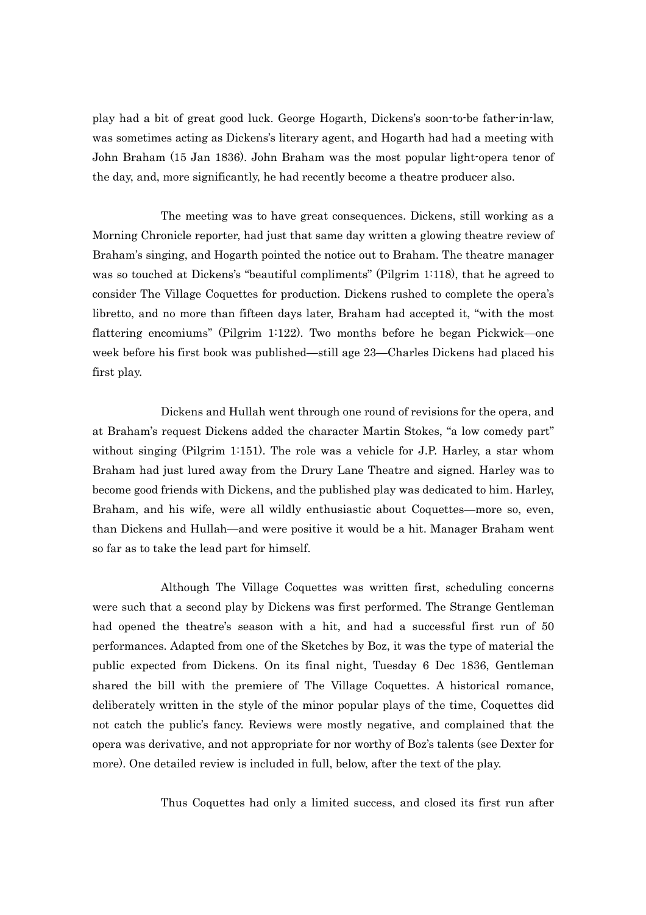play had a bit of great good luck. George Hogarth, Dickens's soon-to-be father-in-law, was sometimes acting as Dickens's literary agent, and Hogarth had had a meeting with John Braham (15 Jan 1836). John Braham was the most popular light-opera tenor of the day, and, more significantly, he had recently become a theatre producer also.

 The meeting was to have great consequences. Dickens, still working as a Morning Chronicle reporter, had just that same day written a glowing theatre review of Braham's singing, and Hogarth pointed the notice out to Braham. The theatre manager was so touched at Dickens's "beautiful compliments" (Pilgrim 1:118), that he agreed to consider The Village Coquettes for production. Dickens rushed to complete the opera's libretto, and no more than fifteen days later, Braham had accepted it, "with the most flattering encomiums" (Pilgrim 1:122). Two months before he began Pickwick—one week before his first book was published—still age 23—Charles Dickens had placed his first play.

 Dickens and Hullah went through one round of revisions for the opera, and at Braham's request Dickens added the character Martin Stokes, "a low comedy part" without singing (Pilgrim 1:151). The role was a vehicle for J.P. Harley, a star whom Braham had just lured away from the Drury Lane Theatre and signed. Harley was to become good friends with Dickens, and the published play was dedicated to him. Harley, Braham, and his wife, were all wildly enthusiastic about Coquettes—more so, even, than Dickens and Hullah—and were positive it would be a hit. Manager Braham went so far as to take the lead part for himself.

 Although The Village Coquettes was written first, scheduling concerns were such that a second play by Dickens was first performed. The Strange Gentleman had opened the theatre's season with a hit, and had a successful first run of 50 performances. Adapted from one of the Sketches by Boz, it was the type of material the public expected from Dickens. On its final night, Tuesday 6 Dec 1836, Gentleman shared the bill with the premiere of The Village Coquettes. A historical romance, deliberately written in the style of the minor popular plays of the time, Coquettes did not catch the public's fancy. Reviews were mostly negative, and complained that the opera was derivative, and not appropriate for nor worthy of Boz's talents (see Dexter for more). One detailed review is included in full, below, after the text of the play.

Thus Coquettes had only a limited success, and closed its first run after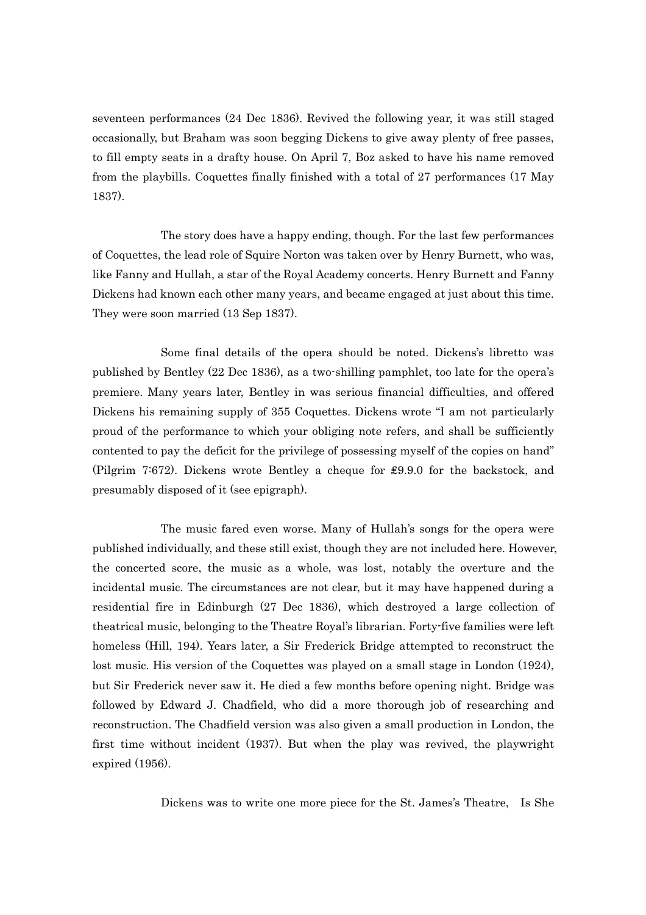seventeen performances (24 Dec 1836). Revived the following year, it was still staged occasionally, but Braham was soon begging Dickens to give away plenty of free passes, to fill empty seats in a drafty house. On April 7, Boz asked to have his name removed from the playbills. Coquettes finally finished with a total of 27 performances (17 May 1837).

 The story does have a happy ending, though. For the last few performances of Coquettes, the lead role of Squire Norton was taken over by Henry Burnett, who was, like Fanny and Hullah, a star of the Royal Academy concerts. Henry Burnett and Fanny Dickens had known each other many years, and became engaged at just about this time. They were soon married (13 Sep 1837).

 Some final details of the opera should be noted. Dickens's libretto was published by Bentley (22 Dec 1836), as a two-shilling pamphlet, too late for the opera's premiere. Many years later, Bentley in was serious financial difficulties, and offered Dickens his remaining supply of 355 Coquettes. Dickens wrote "I am not particularly proud of the performance to which your obliging note refers, and shall be sufficiently contented to pay the deficit for the privilege of possessing myself of the copies on hand" (Pilgrim 7:672). Dickens wrote Bentley a cheque for ₤9.9.0 for the backstock, and presumably disposed of it (see epigraph).

 The music fared even worse. Many of Hullah's songs for the opera were published individually, and these still exist, though they are not included here. However, the concerted score, the music as a whole, was lost, notably the overture and the incidental music. The circumstances are not clear, but it may have happened during a residential fire in Edinburgh (27 Dec 1836), which destroyed a large collection of theatrical music, belonging to the Theatre Royal's librarian. Forty-five families were left homeless (Hill, 194). Years later, a Sir Frederick Bridge attempted to reconstruct the lost music. His version of the Coquettes was played on a small stage in London (1924), but Sir Frederick never saw it. He died a few months before opening night. Bridge was followed by Edward J. Chadfield, who did a more thorough job of researching and reconstruction. The Chadfield version was also given a small production in London, the first time without incident (1937). But when the play was revived, the playwright expired (1956).

Dickens was to write one more piece for the St. James's Theatre, Is She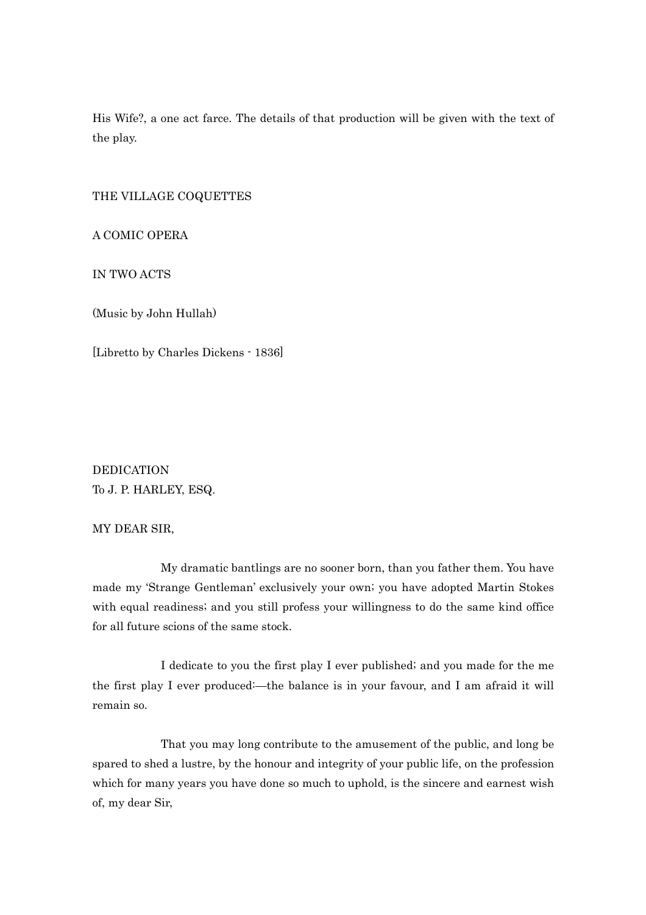His Wife?, a one act farce. The details of that production will be given with the text of the play.

## THE VILLAGE COQUETTES

A COMIC OPERA

IN TWO ACTS

(Music by John Hullah)

[Libretto by Charles Dickens - 1836]

DEDICATION To J. P. HARLEY, ESQ.

## MY DEAR SIR,

 My dramatic bantlings are no sooner born, than you father them. You have made my 'Strange Gentleman' exclusively your own; you have adopted Martin Stokes with equal readiness; and you still profess your willingness to do the same kind office for all future scions of the same stock.

 I dedicate to you the first play I ever published; and you made for the me the first play I ever produced:—the balance is in your favour, and I am afraid it will remain so.

 That you may long contribute to the amusement of the public, and long be spared to shed a lustre, by the honour and integrity of your public life, on the profession which for many years you have done so much to uphold, is the sincere and earnest wish of, my dear Sir,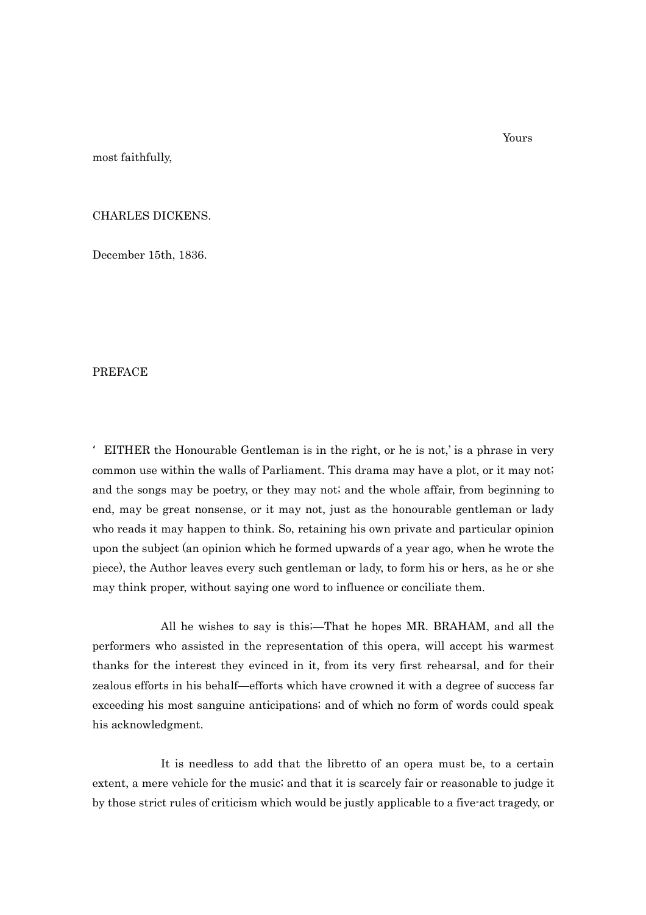most faithfully,

#### CHARLES DICKENS.

December 15th, 1836.

### PREFACE

'EITHER the Honourable Gentleman is in the right, or he is not,' is a phrase in very common use within the walls of Parliament. This drama may have a plot, or it may not; and the songs may be poetry, or they may not; and the whole affair, from beginning to end, may be great nonsense, or it may not, just as the honourable gentleman or lady who reads it may happen to think. So, retaining his own private and particular opinion upon the subject (an opinion which he formed upwards of a year ago, when he wrote the piece), the Author leaves every such gentleman or lady, to form his or hers, as he or she may think proper, without saying one word to influence or conciliate them.

 All he wishes to say is this;—That he hopes MR. BRAHAM, and all the performers who assisted in the representation of this opera, will accept his warmest thanks for the interest they evinced in it, from its very first rehearsal, and for their zealous efforts in his behalf—efforts which have crowned it with a degree of success far exceeding his most sanguine anticipations; and of which no form of words could speak his acknowledgment.

 It is needless to add that the libretto of an opera must be, to a certain extent, a mere vehicle for the music; and that it is scarcely fair or reasonable to judge it by those strict rules of criticism which would be justly applicable to a five-act tragedy, or

**The Course of the Vourse of the Vourse of the Vourse of the Vourse of the Vourse of the Vourse of the Vourse of the Vourse of the Vourse of the Vourse of the Vourse of the Vourse of the Vourse of the Vourse of the Vourse**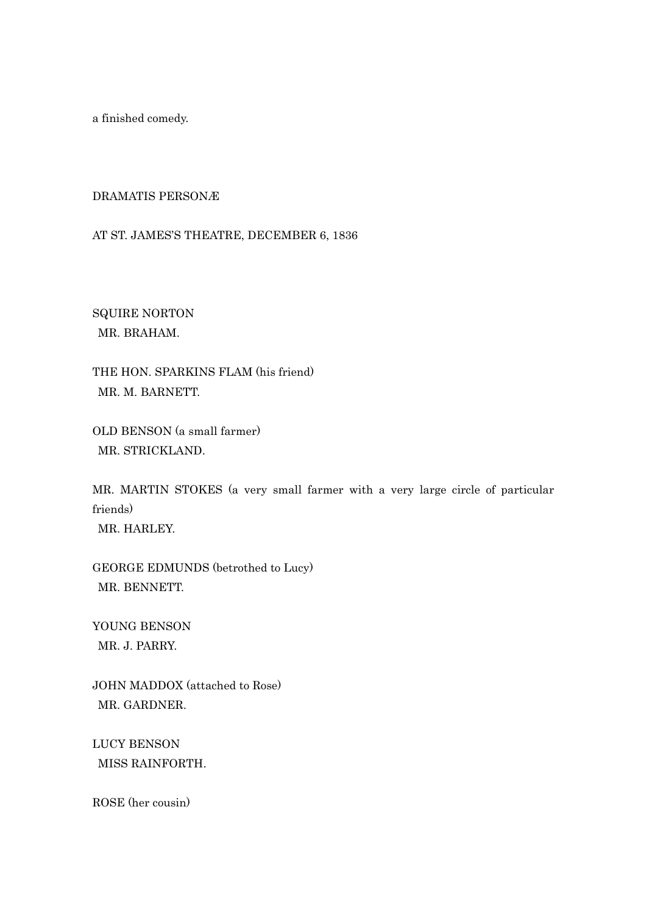a finished comedy.

## DRAMATIS PERSONÆ

AT ST. JAMES'S THEATRE, DECEMBER 6, 1836

SQUIRE NORTON MR. BRAHAM.

THE HON. SPARKINS FLAM (his friend) MR. M. BARNETT.

OLD BENSON (a small farmer) MR. STRICKLAND.

MR. MARTIN STOKES (a very small farmer with a very large circle of particular friends)

MR. HARLEY.

GEORGE EDMUNDS (betrothed to Lucy) MR. BENNETT.

YOUNG BENSON MR. J. PARRY.

JOHN MADDOX (attached to Rose) MR. GARDNER.

LUCY BENSON MISS RAINFORTH.

ROSE (her cousin)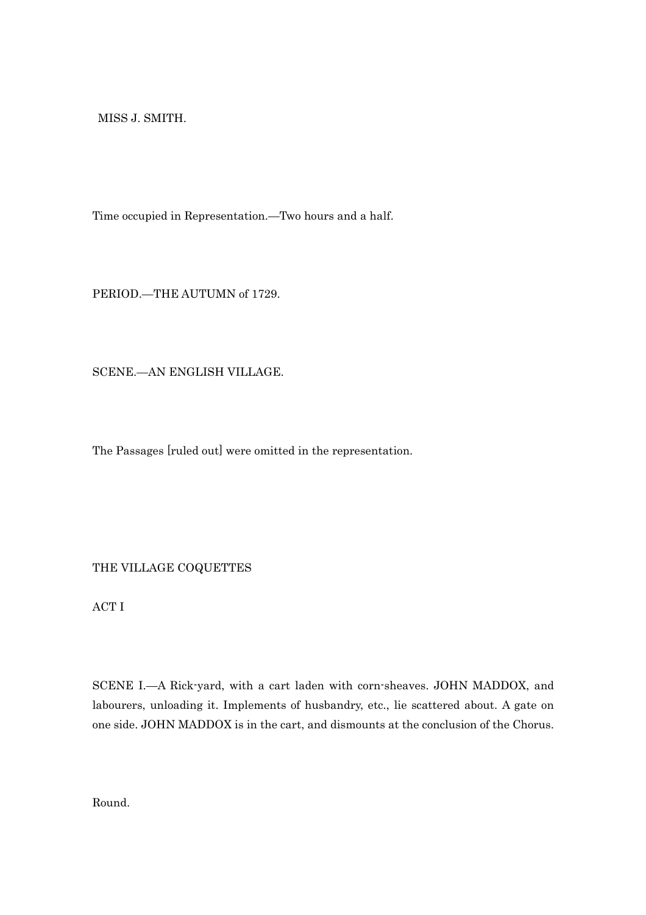MISS J. SMITH.

Time occupied in Representation.—Two hours and a half.

PERIOD.—THE AUTUMN of 1729.

SCENE.—AN ENGLISH VILLAGE.

The Passages [ruled out] were omitted in the representation.

THE VILLAGE COQUETTES

ACT I

SCENE I.—A Rick-yard, with a cart laden with corn-sheaves. JOHN MADDOX, and labourers, unloading it. Implements of husbandry, etc., lie scattered about. A gate on one side. JOHN MADDOX is in the cart, and dismounts at the conclusion of the Chorus.

Round.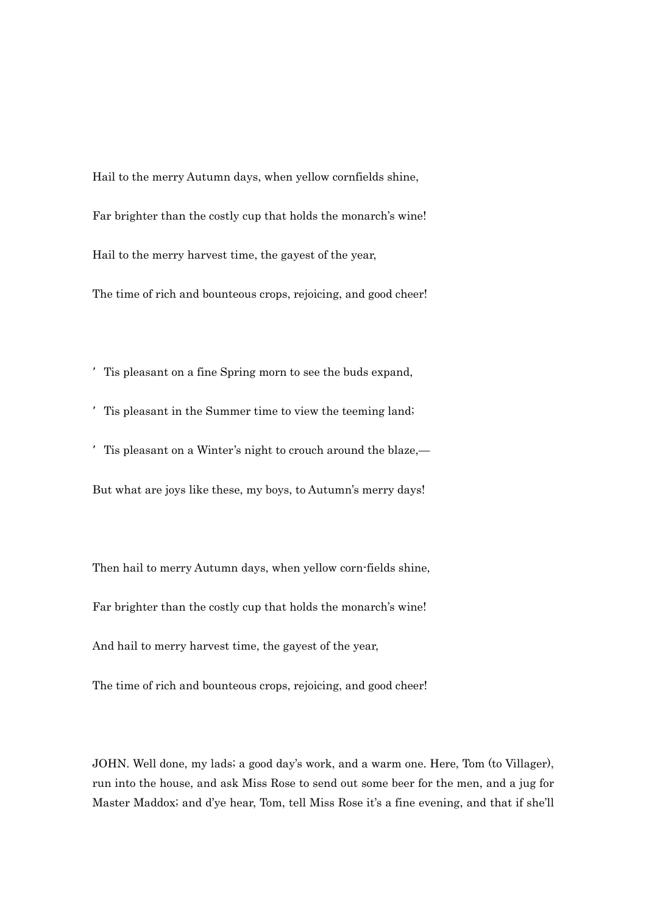Hail to the merry Autumn days, when yellow cornfields shine, Far brighter than the costly cup that holds the monarch's wine! Hail to the merry harvest time, the gayest of the year, The time of rich and bounteous crops, rejoicing, and good cheer!

'Tis pleasant on a fine Spring morn to see the buds expand,

'Tis pleasant in the Summer time to view the teeming land;

'Tis pleasant on a Winter's night to crouch around the blaze,—

But what are joys like these, my boys, to Autumn's merry days!

Then hail to merry Autumn days, when yellow corn-fields shine, Far brighter than the costly cup that holds the monarch's wine! And hail to merry harvest time, the gayest of the year, The time of rich and bounteous crops, rejoicing, and good cheer!

JOHN. Well done, my lads; a good day's work, and a warm one. Here, Tom (to Villager), run into the house, and ask Miss Rose to send out some beer for the men, and a jug for Master Maddox; and d'ye hear, Tom, tell Miss Rose it's a fine evening, and that if she'll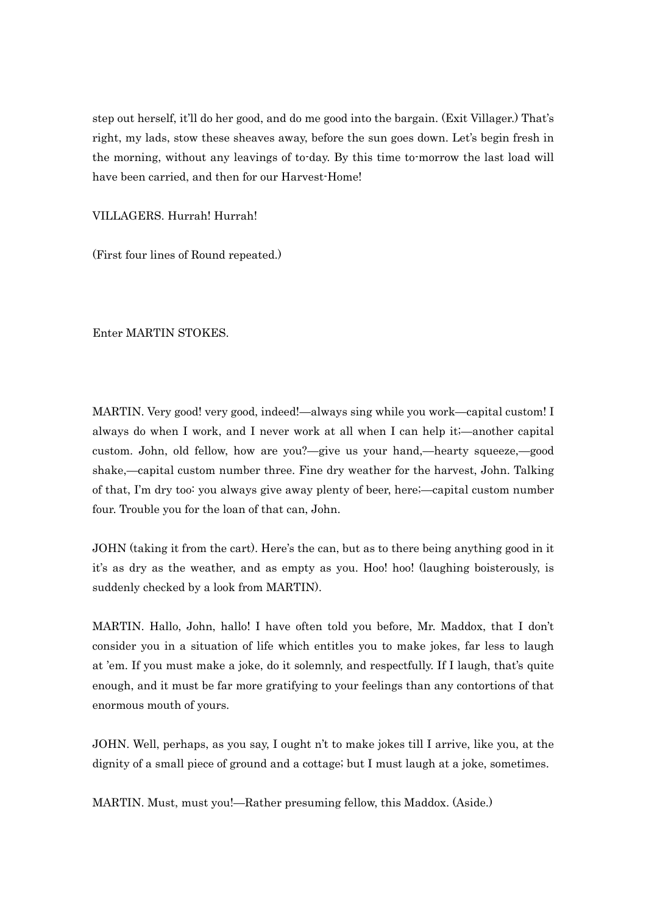step out herself, it'll do her good, and do me good into the bargain. (Exit Villager.) That's right, my lads, stow these sheaves away, before the sun goes down. Let's begin fresh in the morning, without any leavings of to-day. By this time to-morrow the last load will have been carried, and then for our Harvest-Home!

VILLAGERS. Hurrah! Hurrah!

(First four lines of Round repeated.)

Enter MARTIN STOKES.

MARTIN. Very good! very good, indeed!—always sing while you work—capital custom! I always do when I work, and I never work at all when I can help it;—another capital custom. John, old fellow, how are you?—give us your hand,—hearty squeeze,—good shake,—capital custom number three. Fine dry weather for the harvest, John. Talking of that, I'm dry too: you always give away plenty of beer, here;—capital custom number four. Trouble you for the loan of that can, John.

JOHN (taking it from the cart). Here's the can, but as to there being anything good in it it's as dry as the weather, and as empty as you. Hoo! hoo! (laughing boisterously, is suddenly checked by a look from MARTIN).

MARTIN. Hallo, John, hallo! I have often told you before, Mr. Maddox, that I don't consider you in a situation of life which entitles you to make jokes, far less to laugh at 'em. If you must make a joke, do it solemnly, and respectfully. If I laugh, that's quite enough, and it must be far more gratifying to your feelings than any contortions of that enormous mouth of yours.

JOHN. Well, perhaps, as you say, I ought n't to make jokes till I arrive, like you, at the dignity of a small piece of ground and a cottage; but I must laugh at a joke, sometimes.

MARTIN. Must, must you!—Rather presuming fellow, this Maddox. (Aside.)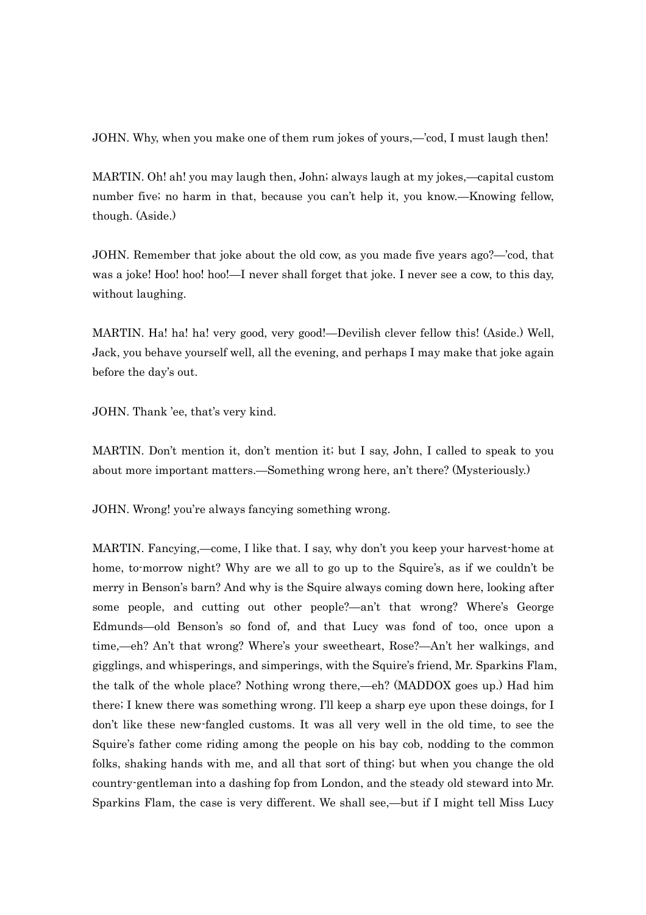JOHN. Why, when you make one of them rum jokes of yours,—'cod, I must laugh then!

MARTIN. Oh! ah! you may laugh then, John; always laugh at my jokes,—capital custom number five; no harm in that, because you can't help it, you know.—Knowing fellow, though. (Aside.)

JOHN. Remember that joke about the old cow, as you made five years ago?—'cod, that was a joke! Hoo! hoo! hoo!—I never shall forget that joke. I never see a cow, to this day, without laughing.

MARTIN. Ha! ha! ha! very good, very good!—Devilish clever fellow this! (Aside.) Well, Jack, you behave yourself well, all the evening, and perhaps I may make that joke again before the day's out.

JOHN. Thank 'ee, that's very kind.

MARTIN. Don't mention it, don't mention it; but I say, John, I called to speak to you about more important matters.—Something wrong here, an't there? (Mysteriously.)

JOHN. Wrong! you're always fancying something wrong.

MARTIN. Fancying,—come, I like that. I say, why don't you keep your harvest-home at home, to-morrow night? Why are we all to go up to the Squire's, as if we couldn't be merry in Benson's barn? And why is the Squire always coming down here, looking after some people, and cutting out other people?—an't that wrong? Where's George Edmunds—old Benson's so fond of, and that Lucy was fond of too, once upon a time,—eh? An't that wrong? Where's your sweetheart, Rose?—An't her walkings, and gigglings, and whisperings, and simperings, with the Squire's friend, Mr. Sparkins Flam, the talk of the whole place? Nothing wrong there,—eh? (MADDOX goes up.) Had him there; I knew there was something wrong. I'll keep a sharp eye upon these doings, for I don't like these new-fangled customs. It was all very well in the old time, to see the Squire's father come riding among the people on his bay cob, nodding to the common folks, shaking hands with me, and all that sort of thing; but when you change the old country-gentleman into a dashing fop from London, and the steady old steward into Mr. Sparkins Flam, the case is very different. We shall see,—but if I might tell Miss Lucy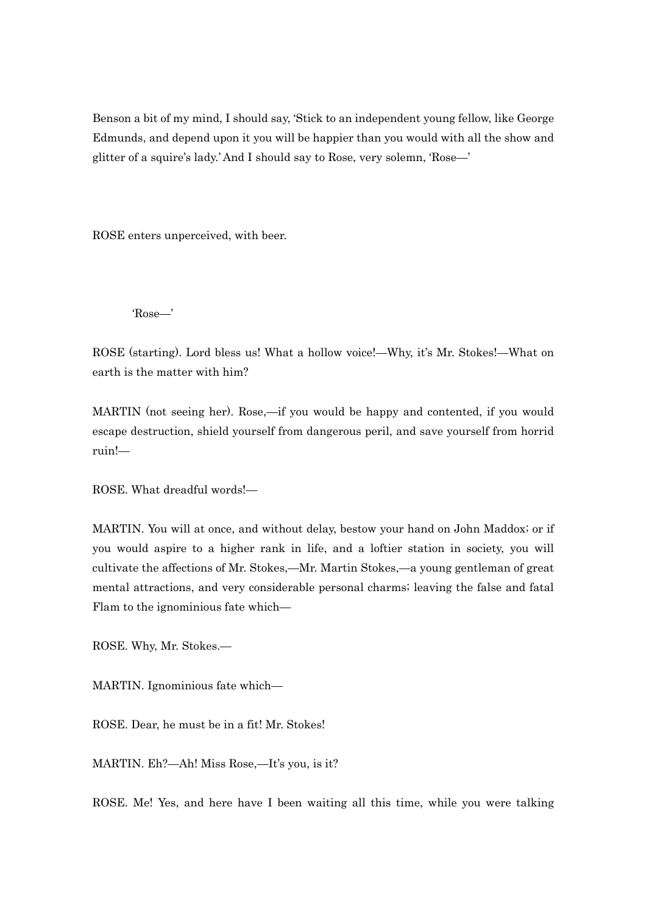Benson a bit of my mind, I should say, 'Stick to an independent young fellow, like George Edmunds, and depend upon it you will be happier than you would with all the show and glitter of a squire's lady.' And I should say to Rose, very solemn, 'Rose—'

ROSE enters unperceived, with beer.

'Rose—'

ROSE (starting). Lord bless us! What a hollow voice!—Why, it's Mr. Stokes!—What on earth is the matter with him?

MARTIN (not seeing her). Rose,—if you would be happy and contented, if you would escape destruction, shield yourself from dangerous peril, and save yourself from horrid ruin!—

ROSE. What dreadful words!—

MARTIN. You will at once, and without delay, bestow your hand on John Maddox; or if you would aspire to a higher rank in life, and a loftier station in society, you will cultivate the affections of Mr. Stokes,—Mr. Martin Stokes,—a young gentleman of great mental attractions, and very considerable personal charms; leaving the false and fatal Flam to the ignominious fate which—

ROSE. Why, Mr. Stokes.—

MARTIN. Ignominious fate which—

ROSE. Dear, he must be in a fit! Mr. Stokes!

MARTIN. Eh?—Ah! Miss Rose,—It's you, is it?

ROSE. Me! Yes, and here have I been waiting all this time, while you were talking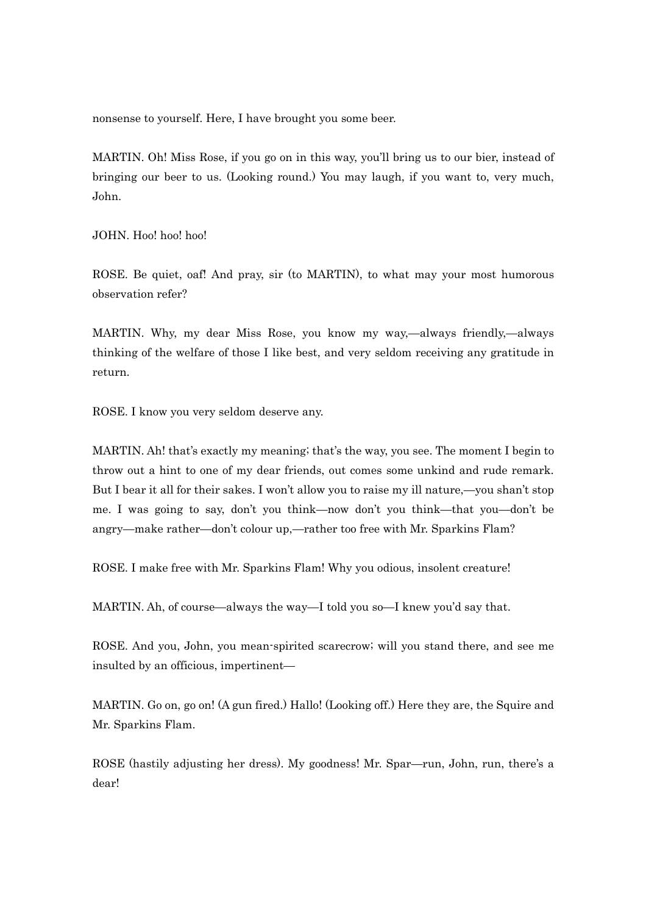nonsense to yourself. Here, I have brought you some beer.

MARTIN. Oh! Miss Rose, if you go on in this way, you'll bring us to our bier, instead of bringing our beer to us. (Looking round.) You may laugh, if you want to, very much, John.

JOHN. Hoo! hoo! hoo!

ROSE. Be quiet, oaf! And pray, sir (to MARTIN), to what may your most humorous observation refer?

MARTIN. Why, my dear Miss Rose, you know my way,—always friendly,—always thinking of the welfare of those I like best, and very seldom receiving any gratitude in return.

ROSE. I know you very seldom deserve any.

MARTIN. Ah! that's exactly my meaning; that's the way, you see. The moment I begin to throw out a hint to one of my dear friends, out comes some unkind and rude remark. But I bear it all for their sakes. I won't allow you to raise my ill nature,—you shan't stop me. I was going to say, don't you think—now don't you think—that you—don't be angry—make rather—don't colour up,—rather too free with Mr. Sparkins Flam?

ROSE. I make free with Mr. Sparkins Flam! Why you odious, insolent creature!

MARTIN. Ah, of course—always the way—I told you so—I knew you'd say that.

ROSE. And you, John, you mean-spirited scarecrow; will you stand there, and see me insulted by an officious, impertinent—

MARTIN. Go on, go on! (A gun fired.) Hallo! (Looking off.) Here they are, the Squire and Mr. Sparkins Flam.

ROSE (hastily adjusting her dress). My goodness! Mr. Spar—run, John, run, there's a dear!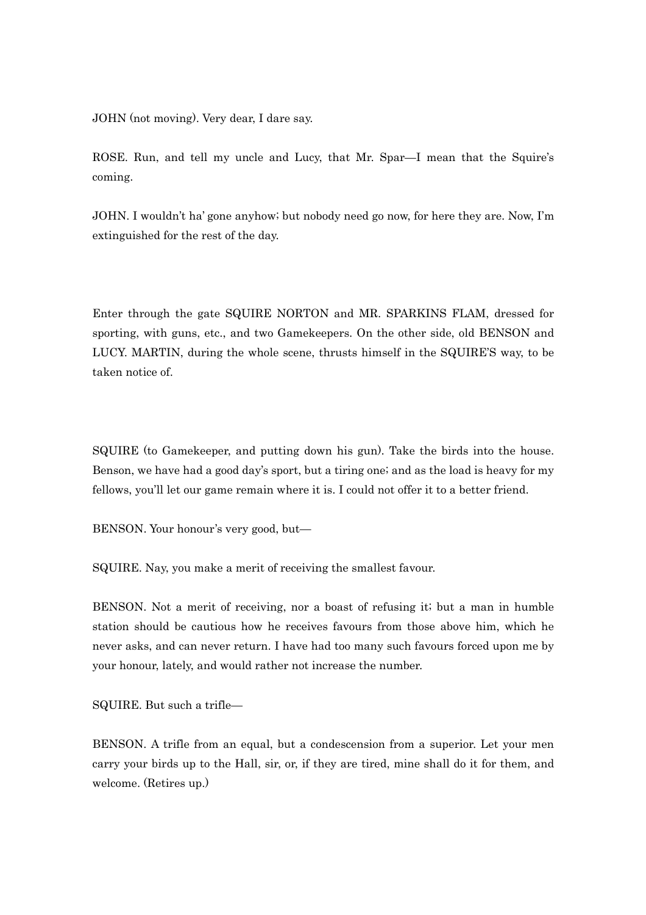JOHN (not moving). Very dear, I dare say.

ROSE. Run, and tell my uncle and Lucy, that Mr. Spar—I mean that the Squire's coming.

JOHN. I wouldn't ha' gone anyhow; but nobody need go now, for here they are. Now, I'm extinguished for the rest of the day.

Enter through the gate SQUIRE NORTON and MR. SPARKINS FLAM, dressed for sporting, with guns, etc., and two Gamekeepers. On the other side, old BENSON and LUCY. MARTIN, during the whole scene, thrusts himself in the SQUIRE'S way, to be taken notice of.

SQUIRE (to Gamekeeper, and putting down his gun). Take the birds into the house. Benson, we have had a good day's sport, but a tiring one; and as the load is heavy for my fellows, you'll let our game remain where it is. I could not offer it to a better friend.

BENSON. Your honour's very good, but—

SQUIRE. Nay, you make a merit of receiving the smallest favour.

BENSON. Not a merit of receiving, nor a boast of refusing it; but a man in humble station should be cautious how he receives favours from those above him, which he never asks, and can never return. I have had too many such favours forced upon me by your honour, lately, and would rather not increase the number.

SQUIRE. But such a trifle—

BENSON. A trifle from an equal, but a condescension from a superior. Let your men carry your birds up to the Hall, sir, or, if they are tired, mine shall do it for them, and welcome. (Retires up.)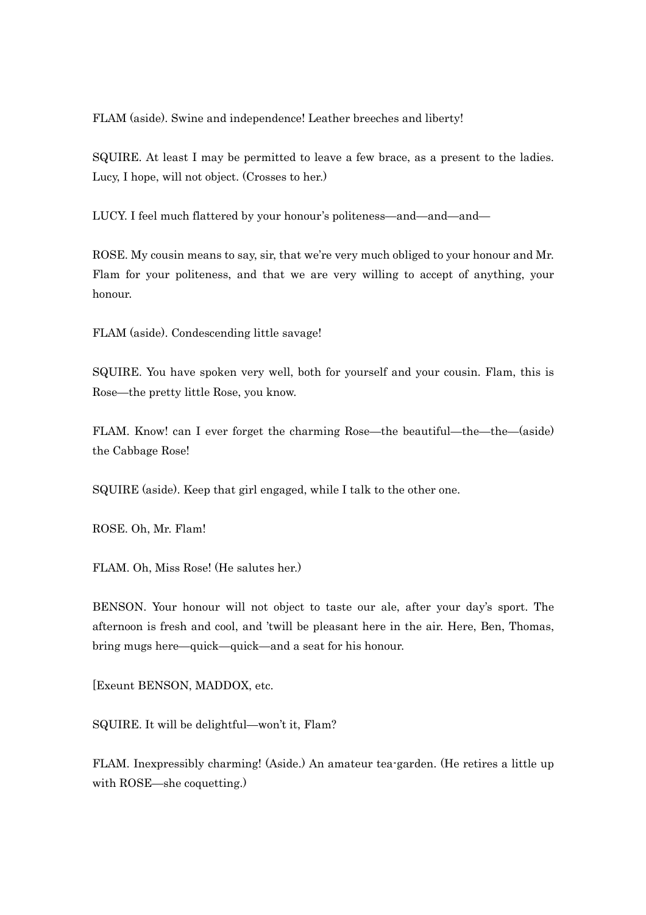FLAM (aside). Swine and independence! Leather breeches and liberty!

SQUIRE. At least I may be permitted to leave a few brace, as a present to the ladies. Lucy, I hope, will not object. (Crosses to her.)

LUCY. I feel much flattered by your honour's politeness—and—and—and—

ROSE. My cousin means to say, sir, that we're very much obliged to your honour and Mr. Flam for your politeness, and that we are very willing to accept of anything, your honour.

FLAM (aside). Condescending little savage!

SQUIRE. You have spoken very well, both for yourself and your cousin. Flam, this is Rose—the pretty little Rose, you know.

FLAM. Know! can I ever forget the charming Rose—the beautiful—the—the—(aside) the Cabbage Rose!

SQUIRE (aside). Keep that girl engaged, while I talk to the other one.

ROSE. Oh, Mr. Flam!

FLAM. Oh, Miss Rose! (He salutes her.)

BENSON. Your honour will not object to taste our ale, after your day's sport. The afternoon is fresh and cool, and 'twill be pleasant here in the air. Here, Ben, Thomas, bring mugs here—quick—quick—and a seat for his honour.

[Exeunt BENSON, MADDOX, etc.

SQUIRE. It will be delightful—won't it, Flam?

FLAM. Inexpressibly charming! (Aside.) An amateur tea-garden. (He retires a little up with ROSE—she coquetting.)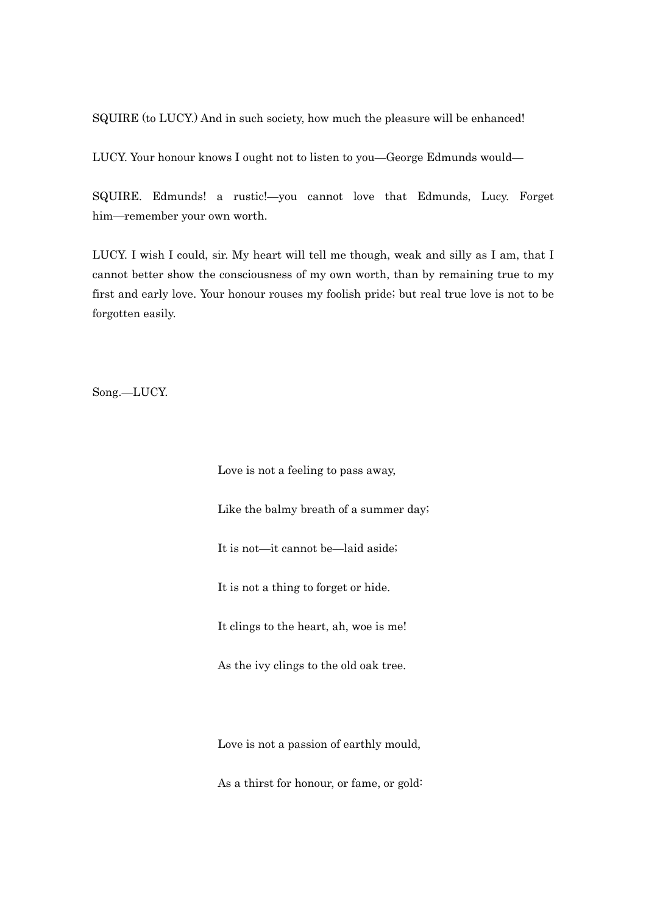SQUIRE (to LUCY.) And in such society, how much the pleasure will be enhanced!

LUCY. Your honour knows I ought not to listen to you—George Edmunds would—

SQUIRE. Edmunds! a rustic!—you cannot love that Edmunds, Lucy. Forget him—remember your own worth.

LUCY. I wish I could, sir. My heart will tell me though, weak and silly as I am, that I cannot better show the consciousness of my own worth, than by remaining true to my first and early love. Your honour rouses my foolish pride; but real true love is not to be forgotten easily.

Song.—LUCY.

 Love is not a feeling to pass away, Like the balmy breath of a summer day; It is not—it cannot be—laid aside; It is not a thing to forget or hide. It clings to the heart, ah, woe is me! As the ivy clings to the old oak tree.

Love is not a passion of earthly mould,

As a thirst for honour, or fame, or gold: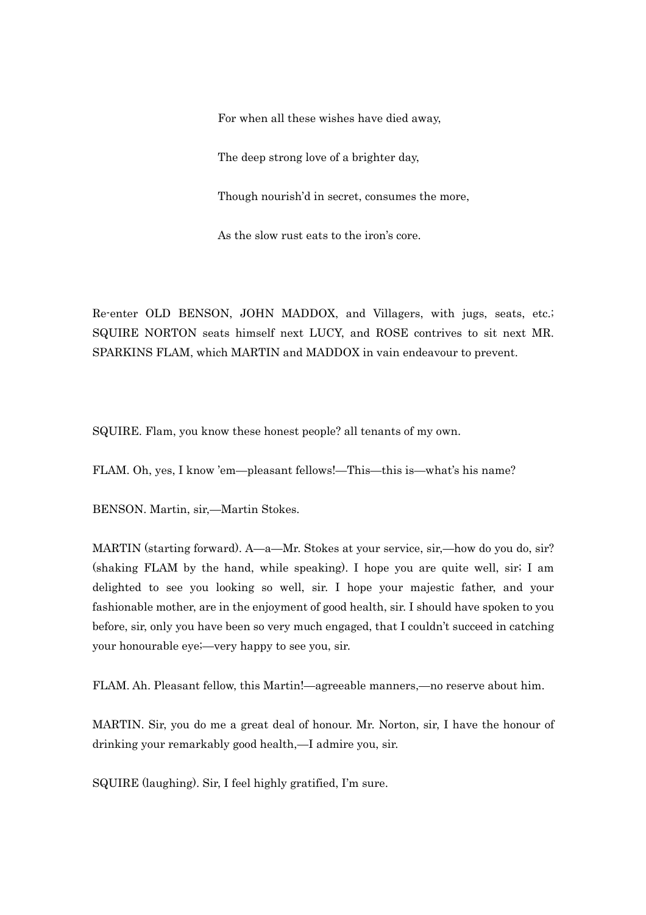For when all these wishes have died away,

The deep strong love of a brighter day,

Though nourish'd in secret, consumes the more,

As the slow rust eats to the iron's core.

Re-enter OLD BENSON, JOHN MADDOX, and Villagers, with jugs, seats, etc.; SQUIRE NORTON seats himself next LUCY, and ROSE contrives to sit next MR. SPARKINS FLAM, which MARTIN and MADDOX in vain endeavour to prevent.

SQUIRE. Flam, you know these honest people? all tenants of my own.

FLAM. Oh, yes, I know 'em—pleasant fellows!—This—this is—what's his name?

BENSON. Martin, sir,—Martin Stokes.

MARTIN (starting forward). A—a—Mr. Stokes at your service, sir,—how do you do, sir? (shaking FLAM by the hand, while speaking). I hope you are quite well, sir; I am delighted to see you looking so well, sir. I hope your majestic father, and your fashionable mother, are in the enjoyment of good health, sir. I should have spoken to you before, sir, only you have been so very much engaged, that I couldn't succeed in catching your honourable eye;—very happy to see you, sir.

FLAM. Ah. Pleasant fellow, this Martin!—agreeable manners,—no reserve about him.

MARTIN. Sir, you do me a great deal of honour. Mr. Norton, sir, I have the honour of drinking your remarkably good health,—I admire you, sir.

SQUIRE (laughing). Sir, I feel highly gratified, I'm sure.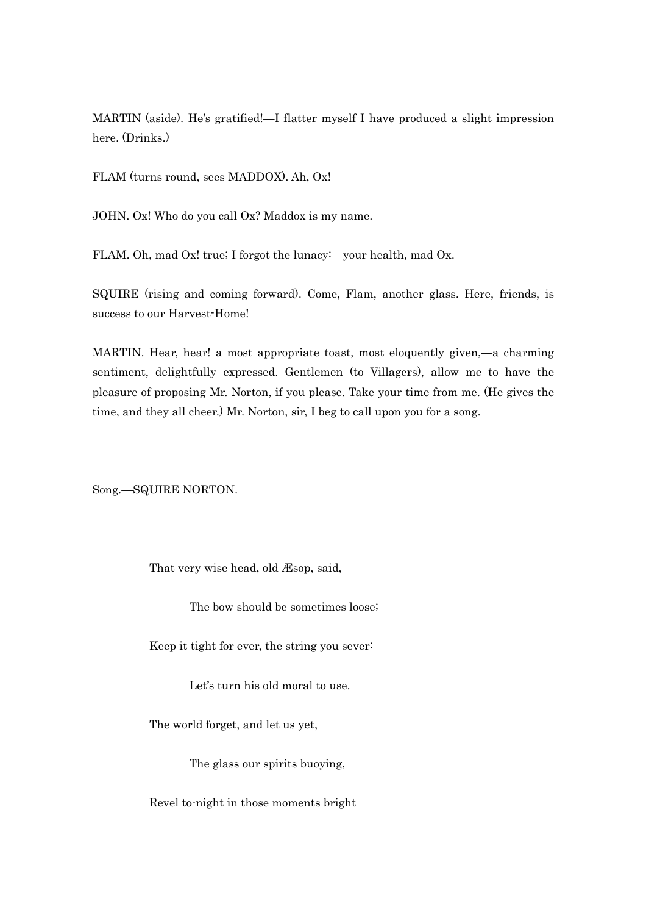MARTIN (aside). He's gratified!—I flatter myself I have produced a slight impression here. (Drinks.)

FLAM (turns round, sees MADDOX). Ah, Ox!

JOHN. Ox! Who do you call Ox? Maddox is my name.

FLAM. Oh, mad Ox! true; I forgot the lunacy:—your health, mad Ox.

SQUIRE (rising and coming forward). Come, Flam, another glass. Here, friends, is success to our Harvest-Home!

MARTIN. Hear, hear! a most appropriate toast, most eloquently given,—a charming sentiment, delightfully expressed. Gentlemen (to Villagers), allow me to have the pleasure of proposing Mr. Norton, if you please. Take your time from me. (He gives the time, and they all cheer.) Mr. Norton, sir, I beg to call upon you for a song.

Song.—SQUIRE NORTON.

That very wise head, old Æsop, said,

The bow should be sometimes loose;

Keep it tight for ever, the string you sever:—

Let's turn his old moral to use.

The world forget, and let us yet,

The glass our spirits buoying,

Revel to-night in those moments bright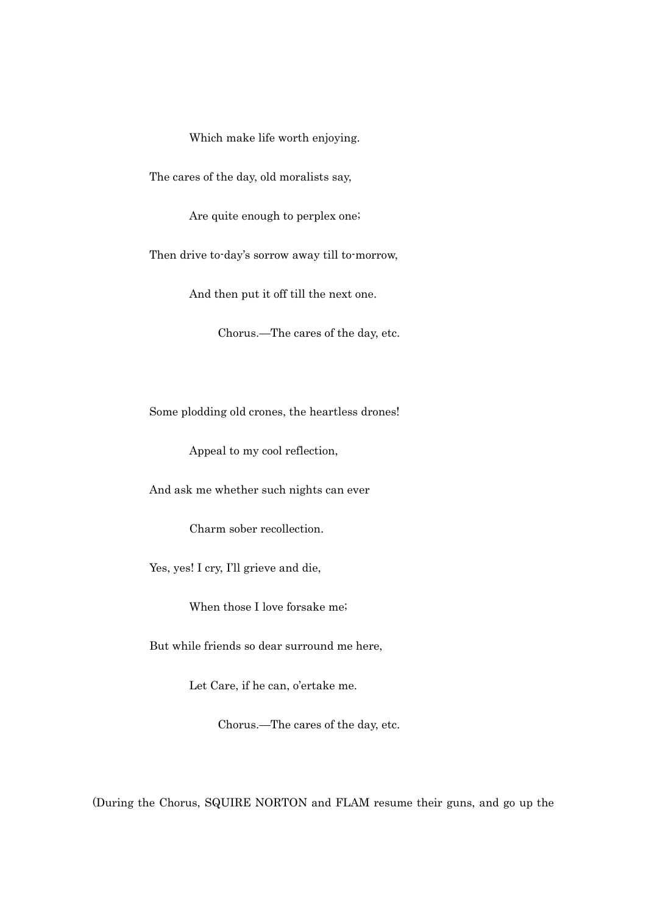Which make life worth enjoying.

The cares of the day, old moralists say,

Are quite enough to perplex one;

Then drive to-day's sorrow away till to-morrow,

And then put it off till the next one.

Chorus.—The cares of the day, etc.

Some plodding old crones, the heartless drones!

Appeal to my cool reflection,

And ask me whether such nights can ever

Charm sober recollection.

Yes, yes! I cry, I'll grieve and die,

When those I love forsake me;

But while friends so dear surround me here,

Let Care, if he can, o'ertake me.

Chorus.—The cares of the day, etc.

(During the Chorus, SQUIRE NORTON and FLAM resume their guns, and go up the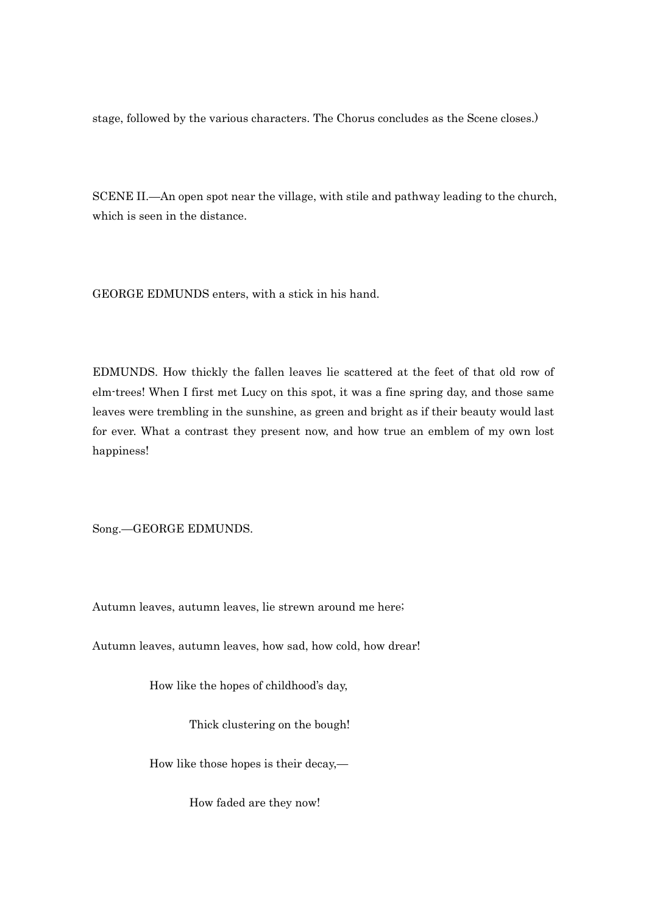stage, followed by the various characters. The Chorus concludes as the Scene closes.)

SCENE II.—An open spot near the village, with stile and pathway leading to the church, which is seen in the distance.

GEORGE EDMUNDS enters, with a stick in his hand.

EDMUNDS. How thickly the fallen leaves lie scattered at the feet of that old row of elm-trees! When I first met Lucy on this spot, it was a fine spring day, and those same leaves were trembling in the sunshine, as green and bright as if their beauty would last for ever. What a contrast they present now, and how true an emblem of my own lost happiness!

Song.—GEORGE EDMUNDS.

Autumn leaves, autumn leaves, lie strewn around me here;

Autumn leaves, autumn leaves, how sad, how cold, how drear!

How like the hopes of childhood's day,

Thick clustering on the bough!

How like those hopes is their decay,—

How faded are they now!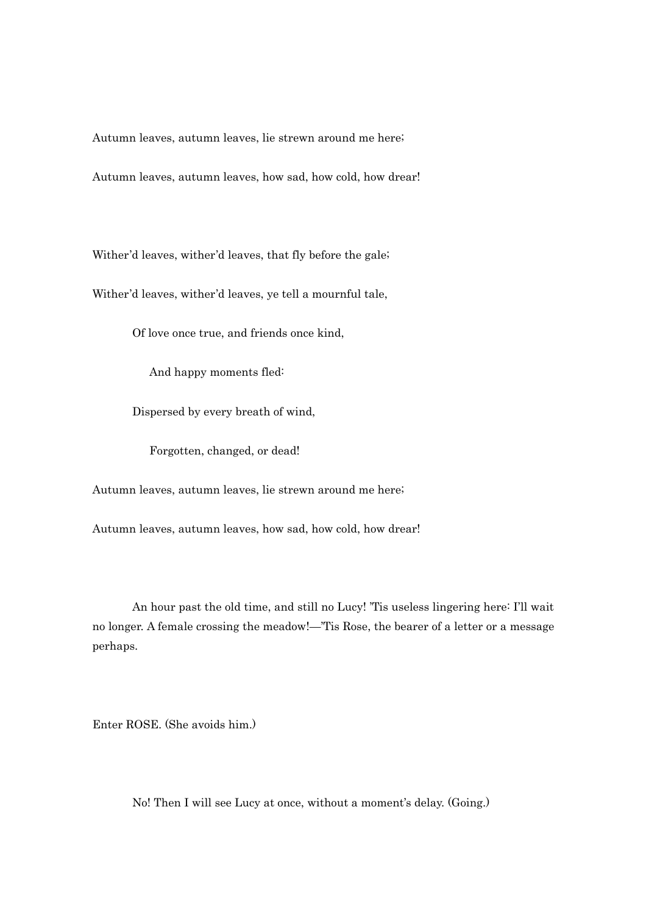Autumn leaves, autumn leaves, lie strewn around me here;

Autumn leaves, autumn leaves, how sad, how cold, how drear!

Wither'd leaves, wither'd leaves, that fly before the gale;

Wither'd leaves, wither'd leaves, ye tell a mournful tale,

Of love once true, and friends once kind,

And happy moments fled:

Dispersed by every breath of wind,

Forgotten, changed, or dead!

Autumn leaves, autumn leaves, lie strewn around me here;

Autumn leaves, autumn leaves, how sad, how cold, how drear!

 An hour past the old time, and still no Lucy! 'Tis useless lingering here: I'll wait no longer. A female crossing the meadow!—'Tis Rose, the bearer of a letter or a message perhaps.

Enter ROSE. (She avoids him.)

No! Then I will see Lucy at once, without a moment's delay. (Going.)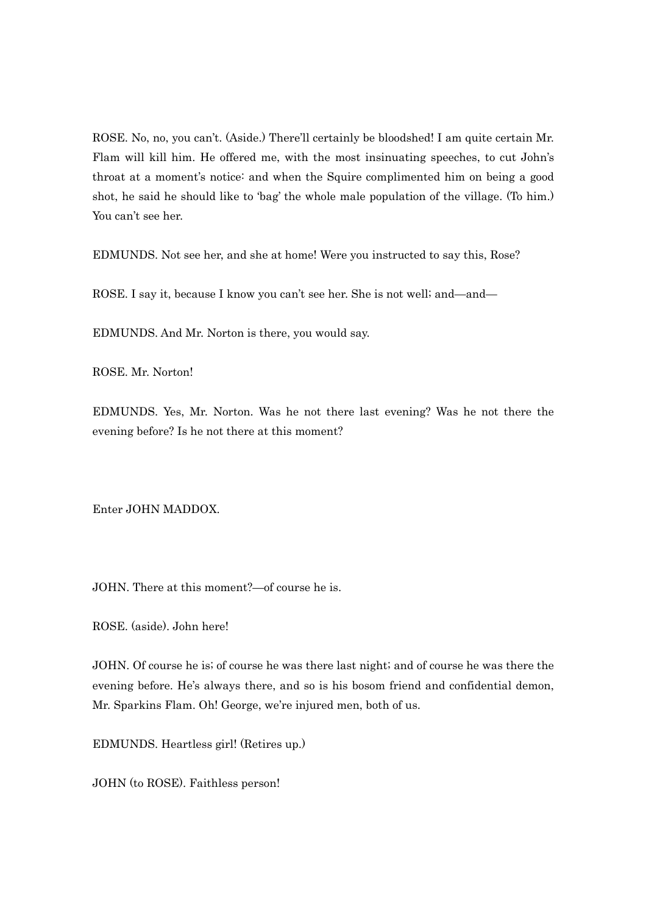ROSE. No, no, you can't. (Aside.) There'll certainly be bloodshed! I am quite certain Mr. Flam will kill him. He offered me, with the most insinuating speeches, to cut John's throat at a moment's notice: and when the Squire complimented him on being a good shot, he said he should like to 'bag' the whole male population of the village. (To him.) You can't see her.

EDMUNDS. Not see her, and she at home! Were you instructed to say this, Rose?

ROSE. I say it, because I know you can't see her. She is not well; and—and—

EDMUNDS. And Mr. Norton is there, you would say.

ROSE. Mr. Norton!

EDMUNDS. Yes, Mr. Norton. Was he not there last evening? Was he not there the evening before? Is he not there at this moment?

Enter JOHN MADDOX.

JOHN. There at this moment?—of course he is.

ROSE. (aside). John here!

JOHN. Of course he is; of course he was there last night; and of course he was there the evening before. He's always there, and so is his bosom friend and confidential demon, Mr. Sparkins Flam. Oh! George, we're injured men, both of us.

EDMUNDS. Heartless girl! (Retires up.)

JOHN (to ROSE). Faithless person!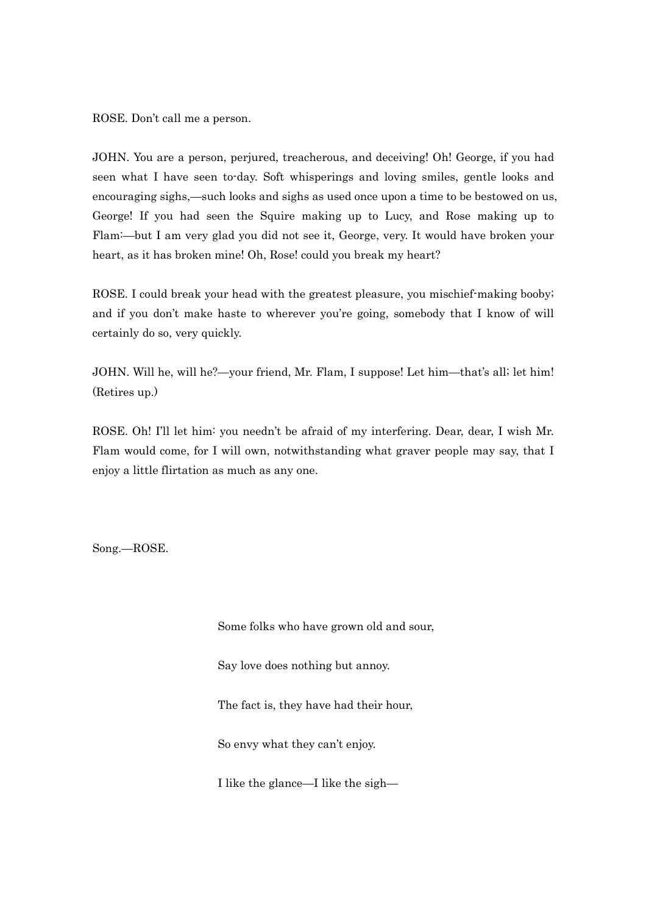ROSE. Don't call me a person.

JOHN. You are a person, perjured, treacherous, and deceiving! Oh! George, if you had seen what I have seen to-day. Soft whisperings and loving smiles, gentle looks and encouraging sighs,—such looks and sighs as used once upon a time to be bestowed on us, George! If you had seen the Squire making up to Lucy, and Rose making up to Flam:—but I am very glad you did not see it, George, very. It would have broken your heart, as it has broken mine! Oh, Rose! could you break my heart?

ROSE. I could break your head with the greatest pleasure, you mischief-making booby; and if you don't make haste to wherever you're going, somebody that I know of will certainly do so, very quickly.

JOHN. Will he, will he?—your friend, Mr. Flam, I suppose! Let him—that's all; let him! (Retires up.)

ROSE. Oh! I'll let him: you needn't be afraid of my interfering. Dear, dear, I wish Mr. Flam would come, for I will own, notwithstanding what graver people may say, that I enjoy a little flirtation as much as any one.

Song.—ROSE.

Some folks who have grown old and sour,

Say love does nothing but annoy.

The fact is, they have had their hour,

So envy what they can't enjoy.

I like the glance—I like the sigh—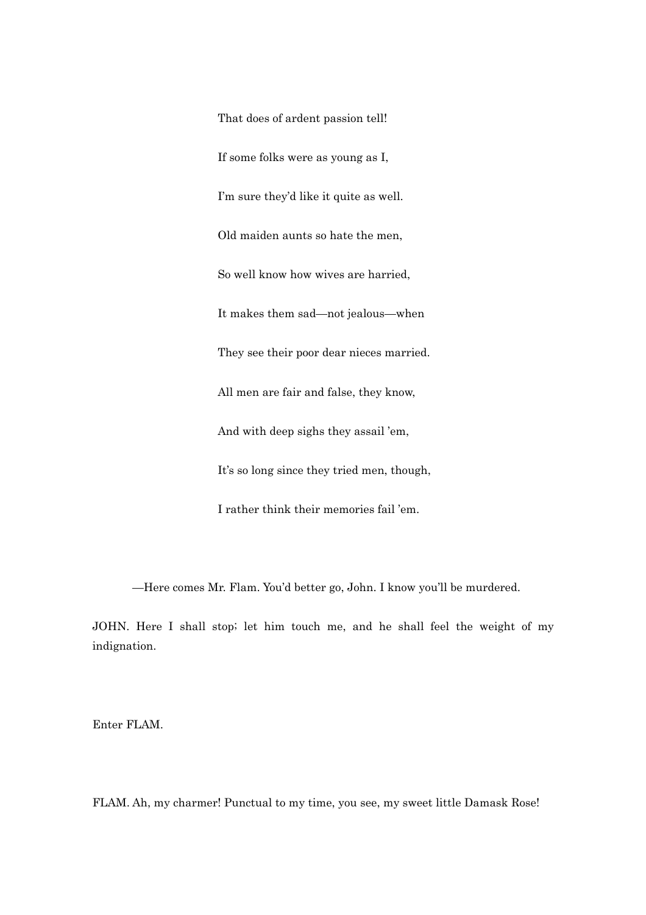That does of ardent passion tell! If some folks were as young as I, I'm sure they'd like it quite as well. Old maiden aunts so hate the men, So well know how wives are harried, It makes them sad—not jealous—when They see their poor dear nieces married. All men are fair and false, they know, And with deep sighs they assail 'em, It's so long since they tried men, though, I rather think their memories fail 'em.

—Here comes Mr. Flam. You'd better go, John. I know you'll be murdered.

JOHN. Here I shall stop; let him touch me, and he shall feel the weight of my indignation.

Enter FLAM.

FLAM. Ah, my charmer! Punctual to my time, you see, my sweet little Damask Rose!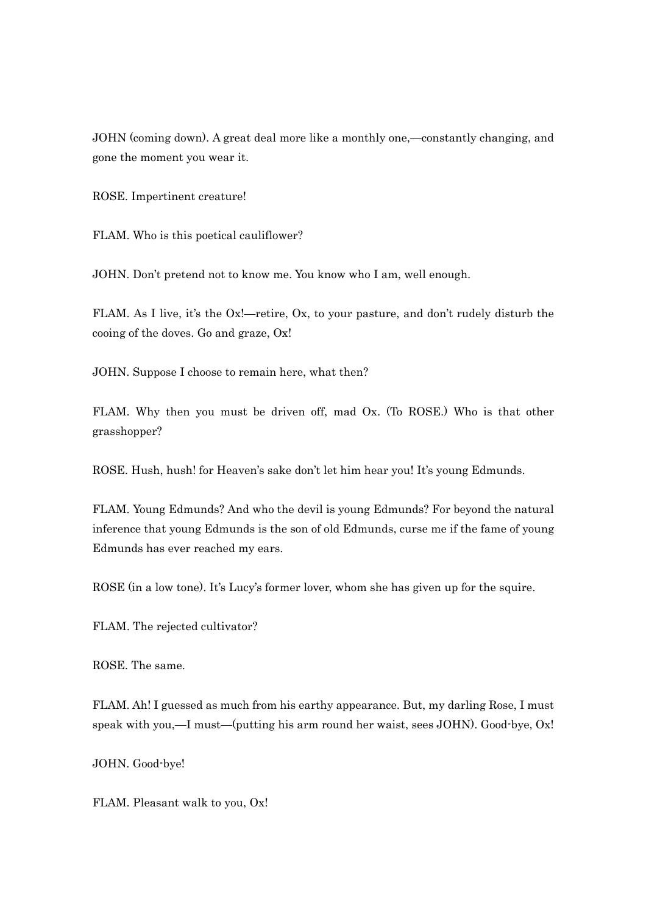JOHN (coming down). A great deal more like a monthly one,—constantly changing, and gone the moment you wear it.

ROSE. Impertinent creature!

FLAM. Who is this poetical cauliflower?

JOHN. Don't pretend not to know me. You know who I am, well enough.

FLAM. As I live, it's the Ox!—retire, Ox, to your pasture, and don't rudely disturb the cooing of the doves. Go and graze, Ox!

JOHN. Suppose I choose to remain here, what then?

FLAM. Why then you must be driven off, mad Ox. (To ROSE.) Who is that other grasshopper?

ROSE. Hush, hush! for Heaven's sake don't let him hear you! It's young Edmunds.

FLAM. Young Edmunds? And who the devil is young Edmunds? For beyond the natural inference that young Edmunds is the son of old Edmunds, curse me if the fame of young Edmunds has ever reached my ears.

ROSE (in a low tone). It's Lucy's former lover, whom she has given up for the squire.

FLAM. The rejected cultivator?

ROSE. The same.

FLAM. Ah! I guessed as much from his earthy appearance. But, my darling Rose, I must speak with you,—I must—(putting his arm round her waist, sees JOHN). Good-bye, Ox!

JOHN. Good-bye!

FLAM. Pleasant walk to you, Ox!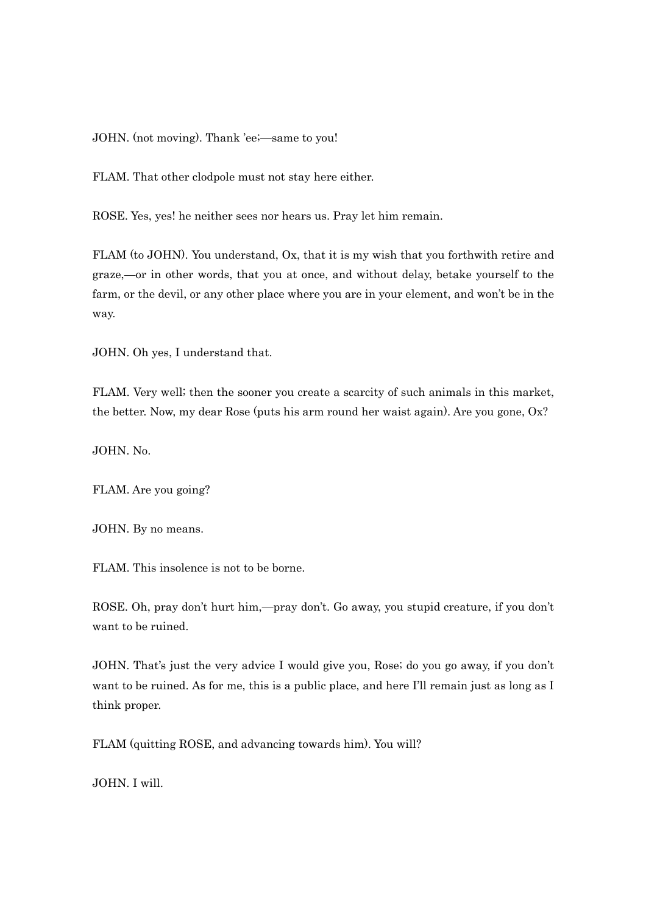JOHN. (not moving). Thank 'ee;—same to you!

FLAM. That other clodpole must not stay here either.

ROSE. Yes, yes! he neither sees nor hears us. Pray let him remain.

FLAM (to JOHN). You understand, Ox, that it is my wish that you forthwith retire and graze,—or in other words, that you at once, and without delay, betake yourself to the farm, or the devil, or any other place where you are in your element, and won't be in the way.

JOHN. Oh yes, I understand that.

FLAM. Very well; then the sooner you create a scarcity of such animals in this market, the better. Now, my dear Rose (puts his arm round her waist again). Are you gone, Ox?

JOHN. No.

FLAM. Are you going?

JOHN. By no means.

FLAM. This insolence is not to be borne.

ROSE. Oh, pray don't hurt him,—pray don't. Go away, you stupid creature, if you don't want to be ruined.

JOHN. That's just the very advice I would give you, Rose; do you go away, if you don't want to be ruined. As for me, this is a public place, and here I'll remain just as long as I think proper.

FLAM (quitting ROSE, and advancing towards him). You will?

JOHN. I will.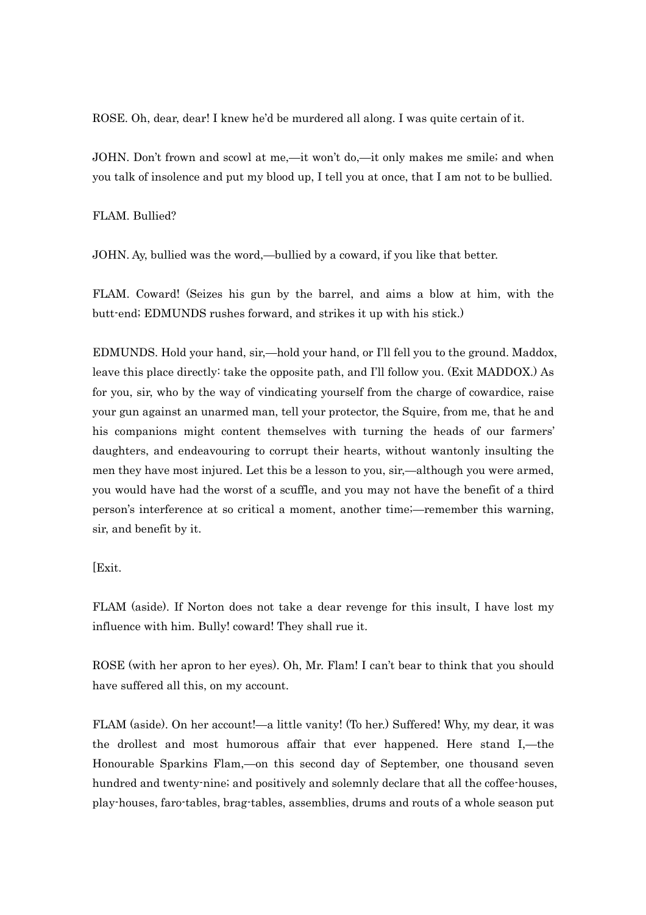ROSE. Oh, dear, dear! I knew he'd be murdered all along. I was quite certain of it.

JOHN. Don't frown and scowl at me,—it won't do,—it only makes me smile; and when you talk of insolence and put my blood up, I tell you at once, that I am not to be bullied.

FLAM. Bullied?

JOHN. Ay, bullied was the word,—bullied by a coward, if you like that better.

FLAM. Coward! (Seizes his gun by the barrel, and aims a blow at him, with the butt-end; EDMUNDS rushes forward, and strikes it up with his stick.)

EDMUNDS. Hold your hand, sir,—hold your hand, or I'll fell you to the ground. Maddox, leave this place directly: take the opposite path, and I'll follow you. (Exit MADDOX.) As for you, sir, who by the way of vindicating yourself from the charge of cowardice, raise your gun against an unarmed man, tell your protector, the Squire, from me, that he and his companions might content themselves with turning the heads of our farmers' daughters, and endeavouring to corrupt their hearts, without wantonly insulting the men they have most injured. Let this be a lesson to you, sir,—although you were armed, you would have had the worst of a scuffle, and you may not have the benefit of a third person's interference at so critical a moment, another time;—remember this warning, sir, and benefit by it.

[Exit.

FLAM (aside). If Norton does not take a dear revenge for this insult, I have lost my influence with him. Bully! coward! They shall rue it.

ROSE (with her apron to her eyes). Oh, Mr. Flam! I can't bear to think that you should have suffered all this, on my account.

FLAM (aside). On her account!—a little vanity! (To her.) Suffered! Why, my dear, it was the drollest and most humorous affair that ever happened. Here stand I,—the Honourable Sparkins Flam,—on this second day of September, one thousand seven hundred and twenty-nine; and positively and solemnly declare that all the coffee-houses, play-houses, faro-tables, brag-tables, assemblies, drums and routs of a whole season put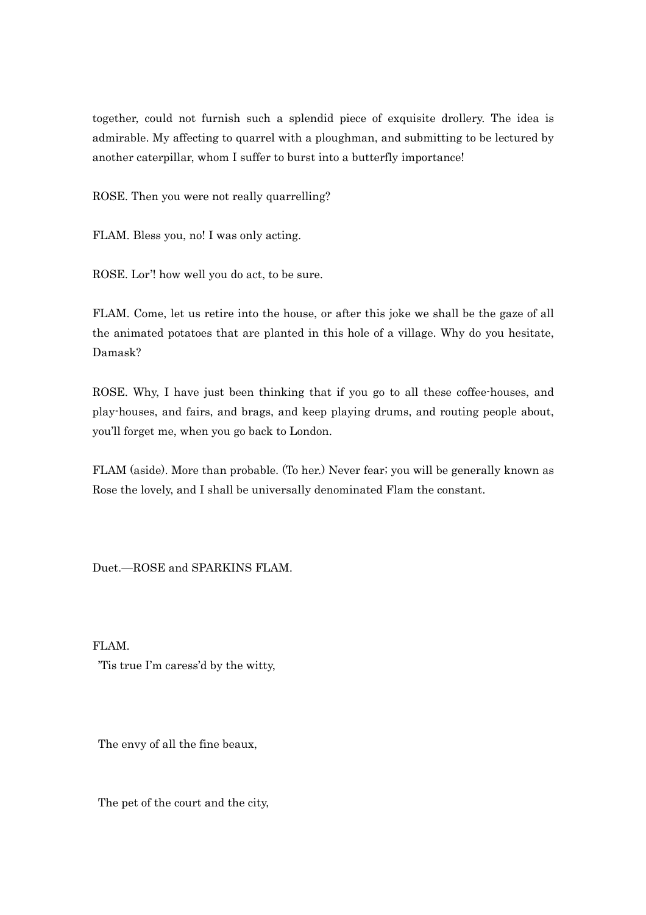together, could not furnish such a splendid piece of exquisite drollery. The idea is admirable. My affecting to quarrel with a ploughman, and submitting to be lectured by another caterpillar, whom I suffer to burst into a butterfly importance!

ROSE. Then you were not really quarrelling?

FLAM. Bless you, no! I was only acting.

ROSE. Lor'! how well you do act, to be sure.

FLAM. Come, let us retire into the house, or after this joke we shall be the gaze of all the animated potatoes that are planted in this hole of a village. Why do you hesitate, Damask?

ROSE. Why, I have just been thinking that if you go to all these coffee-houses, and play-houses, and fairs, and brags, and keep playing drums, and routing people about, you'll forget me, when you go back to London.

FLAM (aside). More than probable. (To her.) Never fear; you will be generally known as Rose the lovely, and I shall be universally denominated Flam the constant.

Duet.—ROSE and SPARKINS FLAM.

FLAM.

'Tis true I'm caress'd by the witty,

The envy of all the fine beaux,

The pet of the court and the city,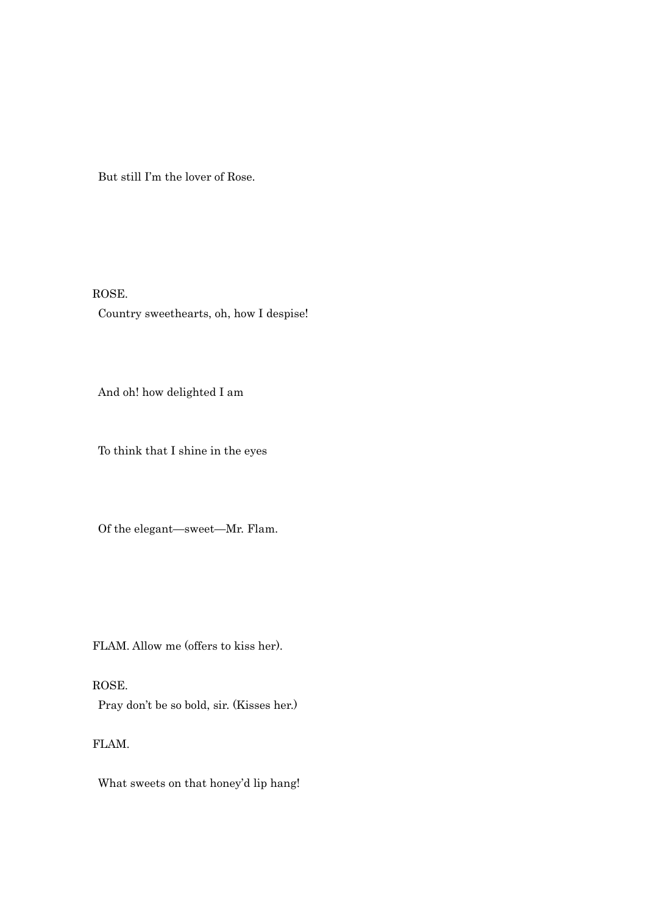But still I'm the lover of Rose.

ROSE. Country sweethearts, oh, how I despise!

And oh! how delighted I am

To think that I shine in the eyes

Of the elegant—sweet—Mr. Flam.

FLAM. Allow me (offers to kiss her).

ROSE. Pray don't be so bold, sir. (Kisses her.)

FLAM.

What sweets on that honey'd lip hang!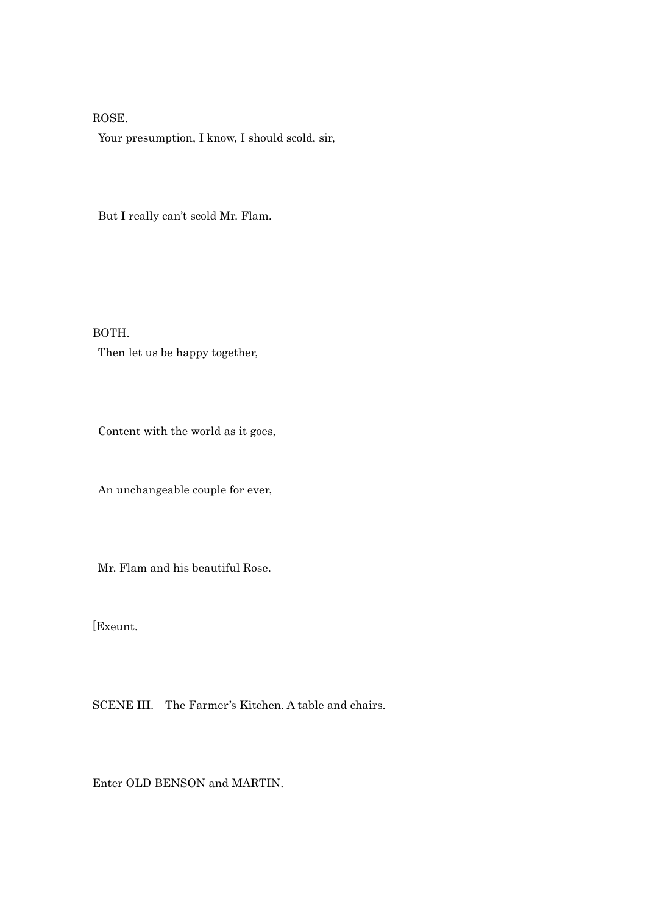# ROSE.

Your presumption, I know, I should scold, sir,

But I really can't scold Mr. Flam.

BOTH.

Then let us be happy together,

Content with the world as it goes,

An unchangeable couple for ever,

Mr. Flam and his beautiful Rose.

[Exeunt.

SCENE III.—The Farmer's Kitchen. A table and chairs.

Enter OLD BENSON and MARTIN.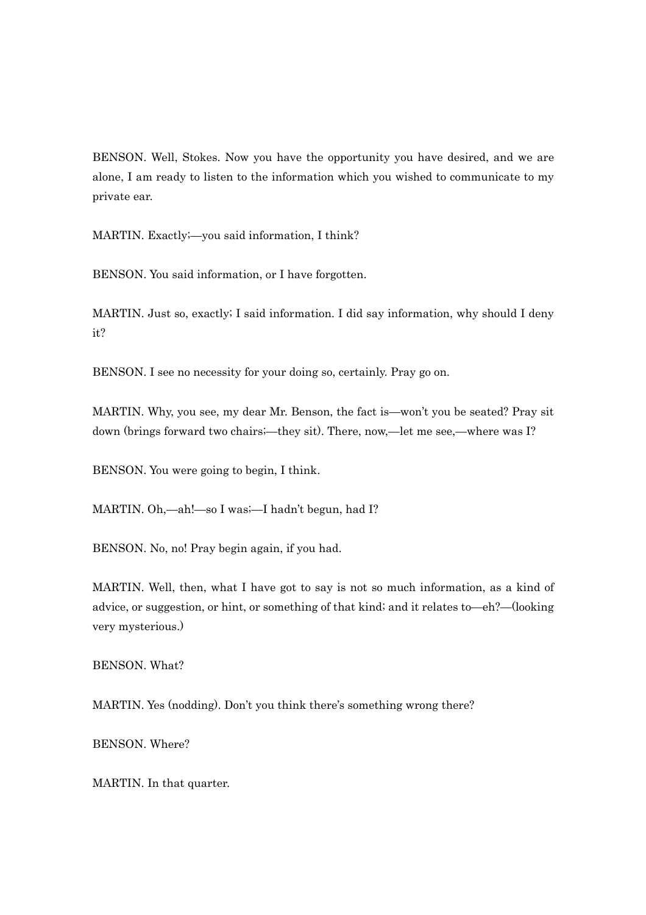BENSON. Well, Stokes. Now you have the opportunity you have desired, and we are alone, I am ready to listen to the information which you wished to communicate to my private ear.

MARTIN. Exactly;—you said information, I think?

BENSON. You said information, or I have forgotten.

MARTIN. Just so, exactly; I said information. I did say information, why should I deny it?

BENSON. I see no necessity for your doing so, certainly. Pray go on.

MARTIN. Why, you see, my dear Mr. Benson, the fact is—won't you be seated? Pray sit down (brings forward two chairs;—they sit). There, now,—let me see,—where was I?

BENSON. You were going to begin, I think.

MARTIN. Oh,—ah!—so I was;—I hadn't begun, had I?

BENSON. No, no! Pray begin again, if you had.

MARTIN. Well, then, what I have got to say is not so much information, as a kind of advice, or suggestion, or hint, or something of that kind; and it relates to—eh?—(looking very mysterious.)

BENSON. What?

MARTIN. Yes (nodding). Don't you think there's something wrong there?

BENSON. Where?

MARTIN. In that quarter.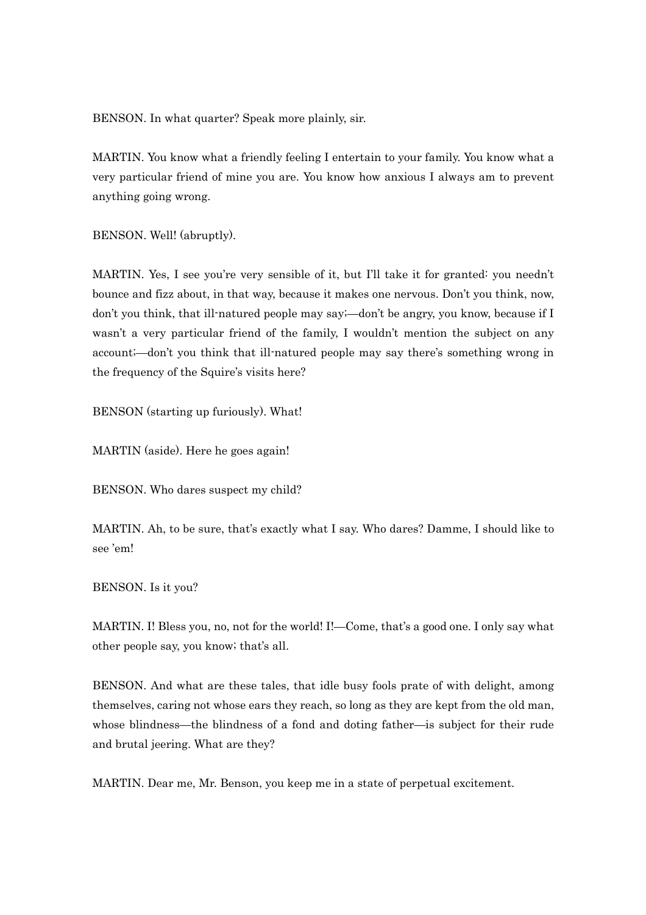BENSON. In what quarter? Speak more plainly, sir.

MARTIN. You know what a friendly feeling I entertain to your family. You know what a very particular friend of mine you are. You know how anxious I always am to prevent anything going wrong.

BENSON. Well! (abruptly).

MARTIN. Yes, I see you're very sensible of it, but I'll take it for granted: you needn't bounce and fizz about, in that way, because it makes one nervous. Don't you think, now, don't you think, that ill-natured people may say;—don't be angry, you know, because if I wasn't a very particular friend of the family, I wouldn't mention the subject on any account;—don't you think that ill-natured people may say there's something wrong in the frequency of the Squire's visits here?

BENSON (starting up furiously). What!

MARTIN (aside). Here he goes again!

BENSON. Who dares suspect my child?

MARTIN. Ah, to be sure, that's exactly what I say. Who dares? Damme, I should like to see 'em!

BENSON. Is it you?

MARTIN. I! Bless you, no, not for the world! I!—Come, that's a good one. I only say what other people say, you know; that's all.

BENSON. And what are these tales, that idle busy fools prate of with delight, among themselves, caring not whose ears they reach, so long as they are kept from the old man, whose blindness—the blindness of a fond and doting father—is subject for their rude and brutal jeering. What are they?

MARTIN. Dear me, Mr. Benson, you keep me in a state of perpetual excitement.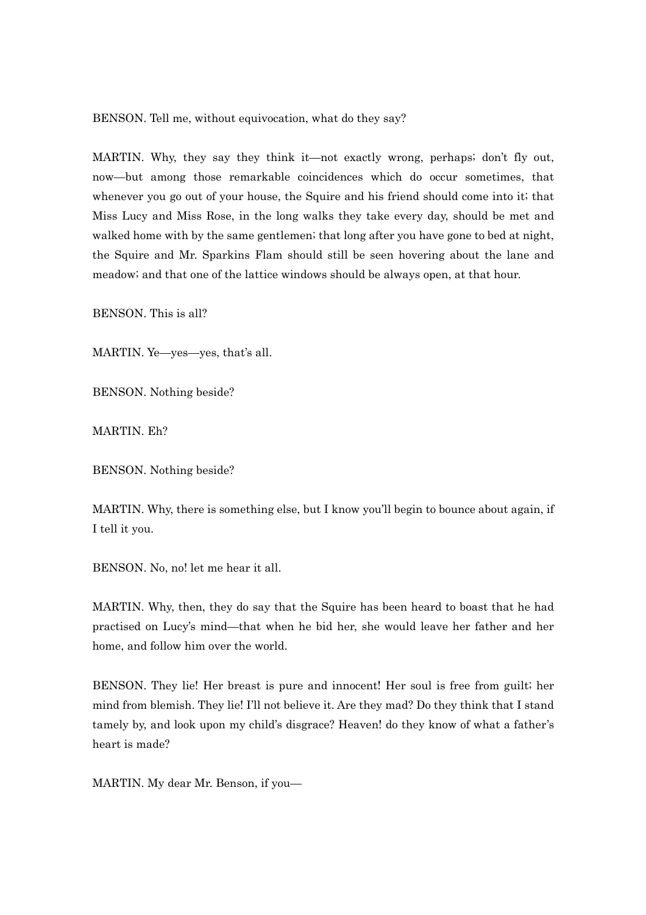BENSON. Tell me, without equivocation, what do they say?

MARTIN. Why, they say they think it—not exactly wrong, perhaps; don't fly out, now—but among those remarkable coincidences which do occur sometimes, that whenever you go out of your house, the Squire and his friend should come into it; that Miss Lucy and Miss Rose, in the long walks they take every day, should be met and walked home with by the same gentlemen; that long after you have gone to bed at night, the Squire and Mr. Sparkins Flam should still be seen hovering about the lane and meadow; and that one of the lattice windows should be always open, at that hour.

BENSON. This is all?

MARTIN. Ye—yes—yes, that's all.

BENSON. Nothing beside?

MARTIN. Eh?

BENSON. Nothing beside?

MARTIN. Why, there is something else, but I know you'll begin to bounce about again, if I tell it you.

BENSON. No, no! let me hear it all.

MARTIN. Why, then, they do say that the Squire has been heard to boast that he had practised on Lucy's mind—that when he bid her, she would leave her father and her home, and follow him over the world.

BENSON. They lie! Her breast is pure and innocent! Her soul is free from guilt; her mind from blemish. They lie! I'll not believe it. Are they mad? Do they think that I stand tamely by, and look upon my child's disgrace? Heaven! do they know of what a father's heart is made?

MARTIN. My dear Mr. Benson, if you—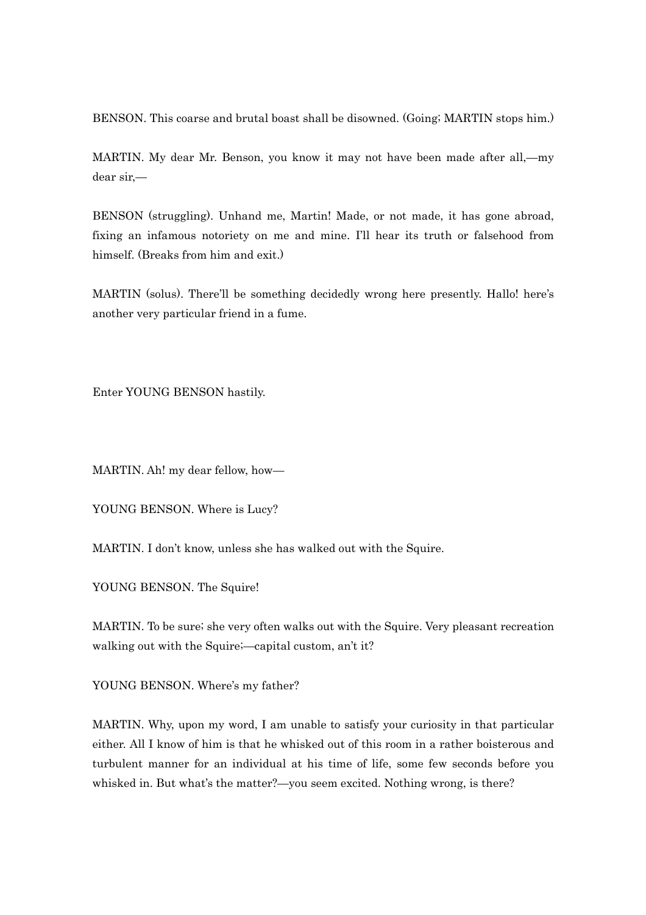BENSON. This coarse and brutal boast shall be disowned. (Going; MARTIN stops him.)

MARTIN. My dear Mr. Benson, you know it may not have been made after all,—my dear sir,—

BENSON (struggling). Unhand me, Martin! Made, or not made, it has gone abroad, fixing an infamous notoriety on me and mine. I'll hear its truth or falsehood from himself. (Breaks from him and exit.)

MARTIN (solus). There'll be something decidedly wrong here presently. Hallo! here's another very particular friend in a fume.

Enter YOUNG BENSON hastily.

MARTIN. Ah! my dear fellow, how—

YOUNG BENSON. Where is Lucy?

MARTIN. I don't know, unless she has walked out with the Squire.

YOUNG BENSON. The Squire!

MARTIN. To be sure; she very often walks out with the Squire. Very pleasant recreation walking out with the Squire;—capital custom, an't it?

YOUNG BENSON. Where's my father?

MARTIN. Why, upon my word, I am unable to satisfy your curiosity in that particular either. All I know of him is that he whisked out of this room in a rather boisterous and turbulent manner for an individual at his time of life, some few seconds before you whisked in. But what's the matter?—you seem excited. Nothing wrong, is there?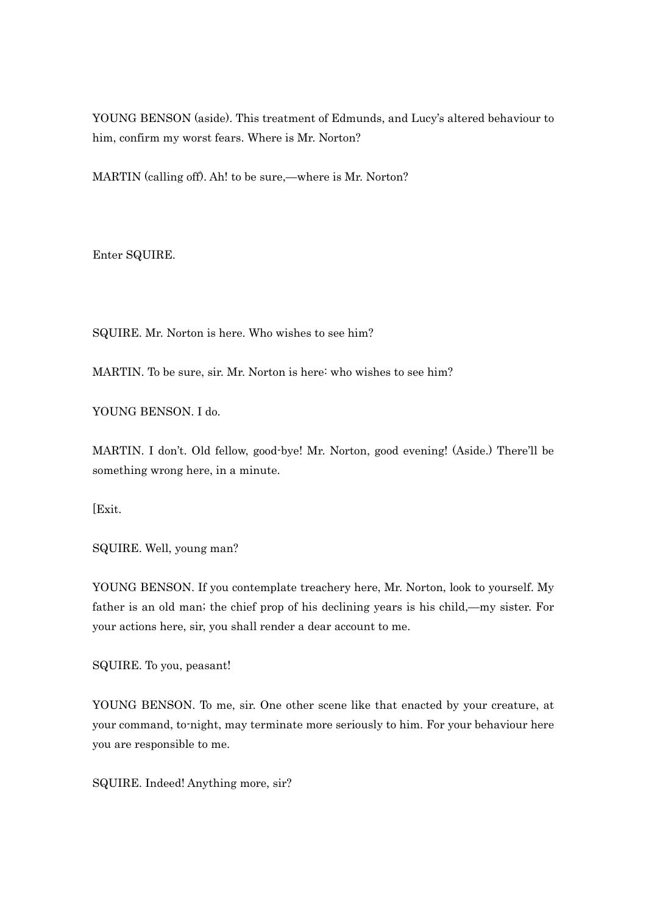YOUNG BENSON (aside). This treatment of Edmunds, and Lucy's altered behaviour to him, confirm my worst fears. Where is Mr. Norton?

MARTIN (calling off). Ah! to be sure,—where is Mr. Norton?

Enter SQUIRE.

SQUIRE. Mr. Norton is here. Who wishes to see him?

MARTIN. To be sure, sir. Mr. Norton is here: who wishes to see him?

YOUNG BENSON. I do.

MARTIN. I don't. Old fellow, good-bye! Mr. Norton, good evening! (Aside.) There'll be something wrong here, in a minute.

[Exit.

SQUIRE. Well, young man?

YOUNG BENSON. If you contemplate treachery here, Mr. Norton, look to yourself. My father is an old man; the chief prop of his declining years is his child,—my sister. For your actions here, sir, you shall render a dear account to me.

SQUIRE. To you, peasant!

YOUNG BENSON. To me, sir. One other scene like that enacted by your creature, at your command, to-night, may terminate more seriously to him. For your behaviour here you are responsible to me.

SQUIRE. Indeed! Anything more, sir?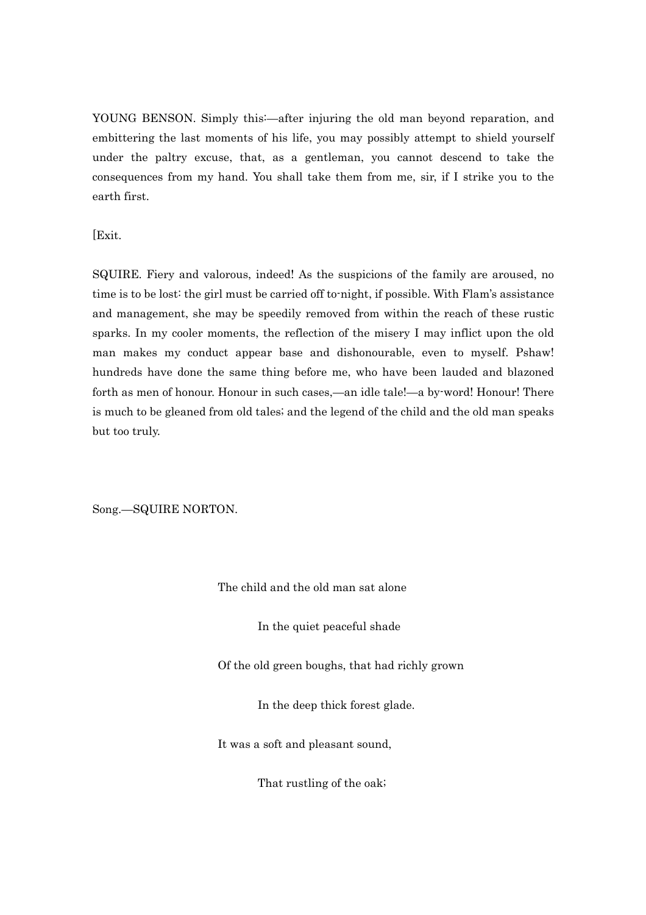YOUNG BENSON. Simply this:—after injuring the old man beyond reparation, and embittering the last moments of his life, you may possibly attempt to shield yourself under the paltry excuse, that, as a gentleman, you cannot descend to take the consequences from my hand. You shall take them from me, sir, if I strike you to the earth first.

[Exit.

SQUIRE. Fiery and valorous, indeed! As the suspicions of the family are aroused, no time is to be lost: the girl must be carried off to-night, if possible. With Flam's assistance and management, she may be speedily removed from within the reach of these rustic sparks. In my cooler moments, the reflection of the misery I may inflict upon the old man makes my conduct appear base and dishonourable, even to myself. Pshaw! hundreds have done the same thing before me, who have been lauded and blazoned forth as men of honour. Honour in such cases,—an idle tale!—a by-word! Honour! There is much to be gleaned from old tales; and the legend of the child and the old man speaks but too truly.

Song.—SQUIRE NORTON.

The child and the old man sat alone

In the quiet peaceful shade

Of the old green boughs, that had richly grown

In the deep thick forest glade.

It was a soft and pleasant sound,

That rustling of the oak;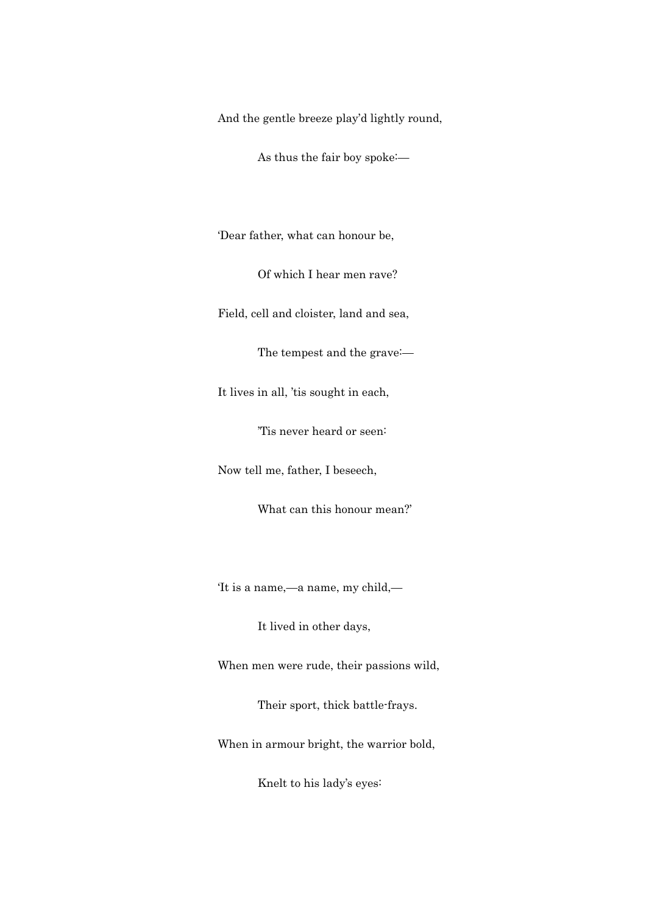And the gentle breeze play'd lightly round,

As thus the fair boy spoke:—

'Dear father, what can honour be,

Of which I hear men rave?

Field, cell and cloister, land and sea,

The tempest and the grave-

It lives in all, 'tis sought in each,

'Tis never heard or seen:

Now tell me, father, I beseech,

What can this honour mean?'

'It is a name,—a name, my child,—

It lived in other days,

When men were rude, their passions wild,

Their sport, thick battle-frays.

When in armour bright, the warrior bold,

Knelt to his lady's eyes: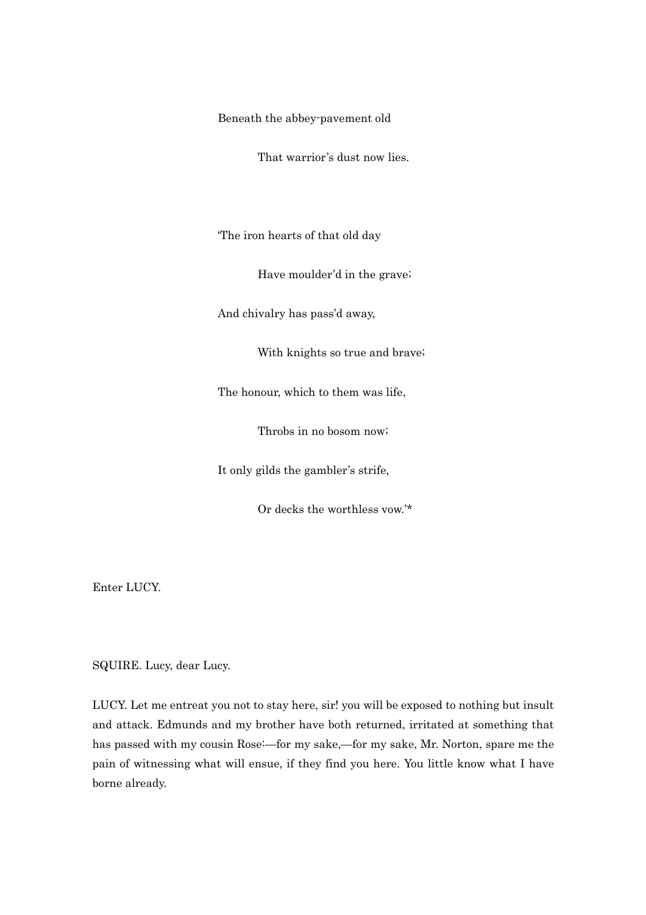Beneath the abbey-pavement old

That warrior's dust now lies.

'The iron hearts of that old day

Have moulder'd in the grave;

And chivalry has pass'd away,

With knights so true and brave;

The honour, which to them was life,

Throbs in no bosom now;

It only gilds the gambler's strife,

Or decks the worthless vow.'\*

Enter LUCY.

SQUIRE. Lucy, dear Lucy.

LUCY. Let me entreat you not to stay here, sir! you will be exposed to nothing but insult and attack. Edmunds and my brother have both returned, irritated at something that has passed with my cousin Rose:—for my sake,—for my sake, Mr. Norton, spare me the pain of witnessing what will ensue, if they find you here. You little know what I have borne already.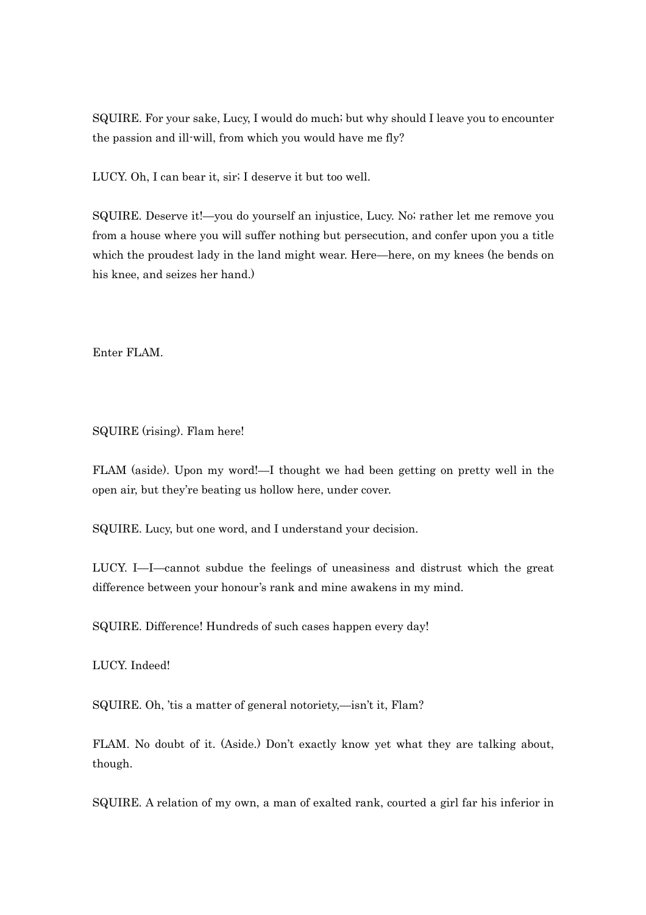SQUIRE. For your sake, Lucy, I would do much; but why should I leave you to encounter the passion and ill-will, from which you would have me fly?

LUCY. Oh, I can bear it, sir; I deserve it but too well.

SQUIRE. Deserve it!—you do yourself an injustice, Lucy. No; rather let me remove you from a house where you will suffer nothing but persecution, and confer upon you a title which the proudest lady in the land might wear. Here—here, on my knees (he bends on his knee, and seizes her hand.)

Enter FLAM.

SQUIRE (rising). Flam here!

FLAM (aside). Upon my word!—I thought we had been getting on pretty well in the open air, but they're beating us hollow here, under cover.

SQUIRE. Lucy, but one word, and I understand your decision.

LUCY. I—I—cannot subdue the feelings of uneasiness and distrust which the great difference between your honour's rank and mine awakens in my mind.

SQUIRE. Difference! Hundreds of such cases happen every day!

LUCY. Indeed!

SQUIRE. Oh, 'tis a matter of general notoriety,—isn't it, Flam?

FLAM. No doubt of it. (Aside.) Don't exactly know yet what they are talking about, though.

SQUIRE. A relation of my own, a man of exalted rank, courted a girl far his inferior in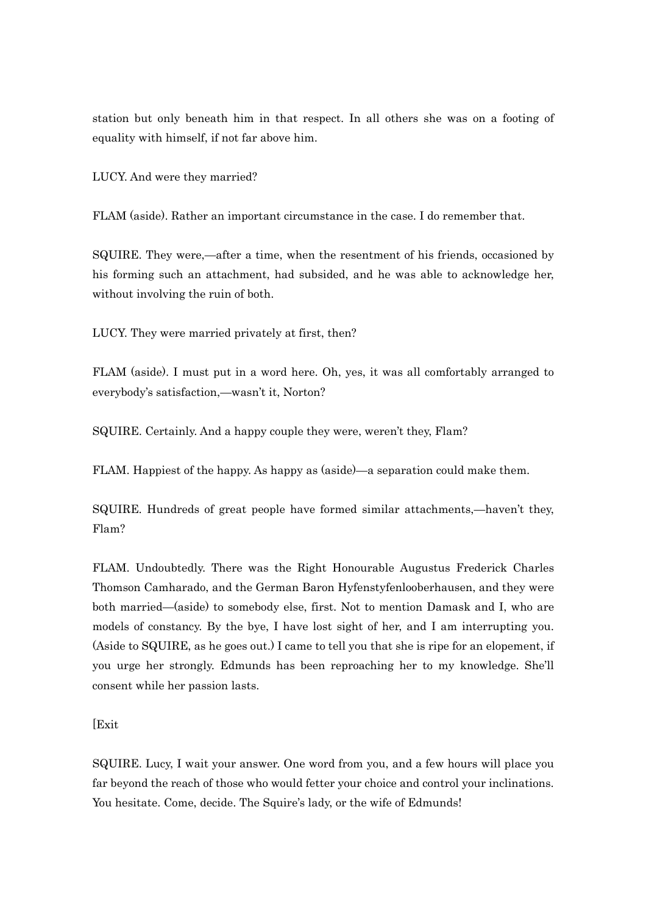station but only beneath him in that respect. In all others she was on a footing of equality with himself, if not far above him.

LUCY. And were they married?

FLAM (aside). Rather an important circumstance in the case. I do remember that.

SQUIRE. They were,—after a time, when the resentment of his friends, occasioned by his forming such an attachment, had subsided, and he was able to acknowledge her, without involving the ruin of both.

LUCY. They were married privately at first, then?

FLAM (aside). I must put in a word here. Oh, yes, it was all comfortably arranged to everybody's satisfaction,—wasn't it, Norton?

SQUIRE. Certainly. And a happy couple they were, weren't they, Flam?

FLAM. Happiest of the happy. As happy as (aside)—a separation could make them.

SQUIRE. Hundreds of great people have formed similar attachments,—haven't they, Flam?

FLAM. Undoubtedly. There was the Right Honourable Augustus Frederick Charles Thomson Camharado, and the German Baron Hyfenstyfenlooberhausen, and they were both married—(aside) to somebody else, first. Not to mention Damask and I, who are models of constancy. By the bye, I have lost sight of her, and I am interrupting you. (Aside to SQUIRE, as he goes out.) I came to tell you that she is ripe for an elopement, if you urge her strongly. Edmunds has been reproaching her to my knowledge. She'll consent while her passion lasts.

[Exit

SQUIRE. Lucy, I wait your answer. One word from you, and a few hours will place you far beyond the reach of those who would fetter your choice and control your inclinations. You hesitate. Come, decide. The Squire's lady, or the wife of Edmunds!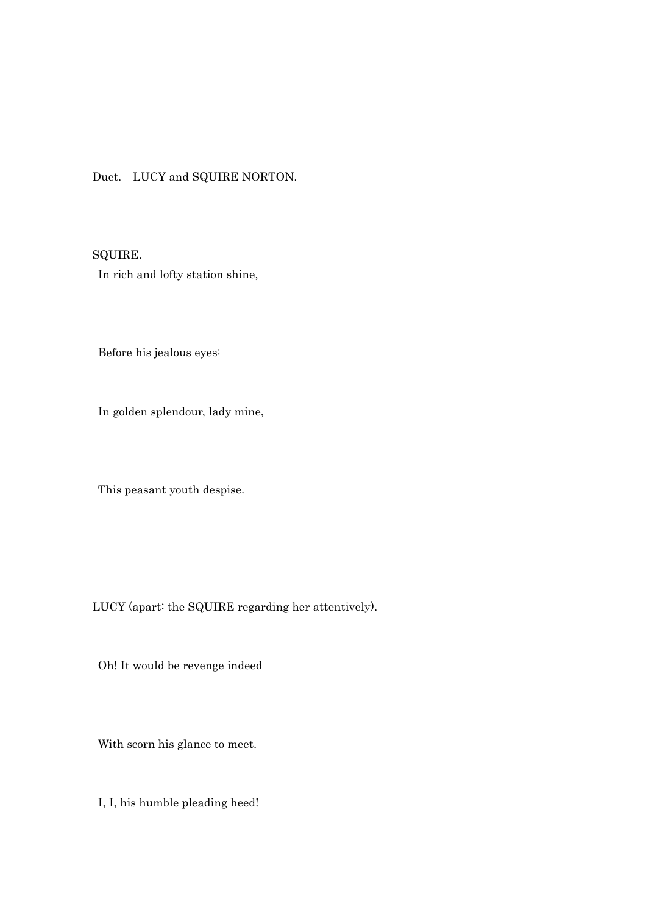Duet.—LUCY and SQUIRE NORTON.

SQUIRE. In rich and lofty station shine,

Before his jealous eyes:

In golden splendour, lady mine,

This peasant youth despise.

LUCY (apart: the SQUIRE regarding her attentively).

Oh! It would be revenge indeed

With scorn his glance to meet.

I, I, his humble pleading heed!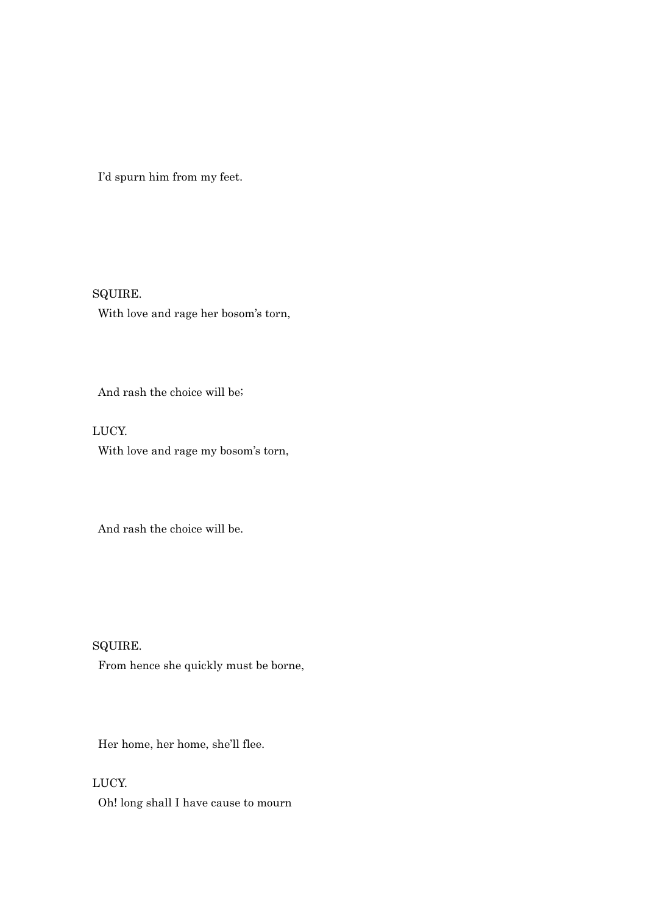I'd spurn him from my feet.

SQUIRE. With love and rage her bosom's torn,

And rash the choice will be;

LUCY.

With love and rage my bosom's torn,

And rash the choice will be.

SQUIRE.

From hence she quickly must be borne,

Her home, her home, she'll flee.

LUCY. Oh! long shall I have cause to mourn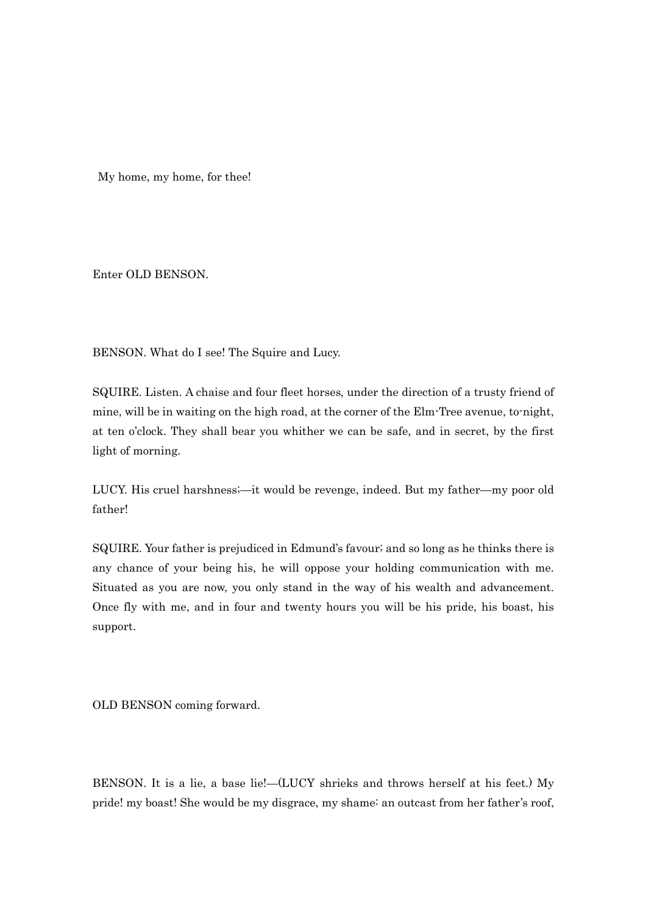My home, my home, for thee!

Enter OLD BENSON.

BENSON. What do I see! The Squire and Lucy.

SQUIRE. Listen. A chaise and four fleet horses, under the direction of a trusty friend of mine, will be in waiting on the high road, at the corner of the Elm-Tree avenue, to-night, at ten o'clock. They shall bear you whither we can be safe, and in secret, by the first light of morning.

LUCY. His cruel harshness;—it would be revenge, indeed. But my father—my poor old father!

SQUIRE. Your father is prejudiced in Edmund's favour; and so long as he thinks there is any chance of your being his, he will oppose your holding communication with me. Situated as you are now, you only stand in the way of his wealth and advancement. Once fly with me, and in four and twenty hours you will be his pride, his boast, his support.

OLD BENSON coming forward.

BENSON. It is a lie, a base lie!—(LUCY shrieks and throws herself at his feet.) My pride! my boast! She would be my disgrace, my shame: an outcast from her father's roof,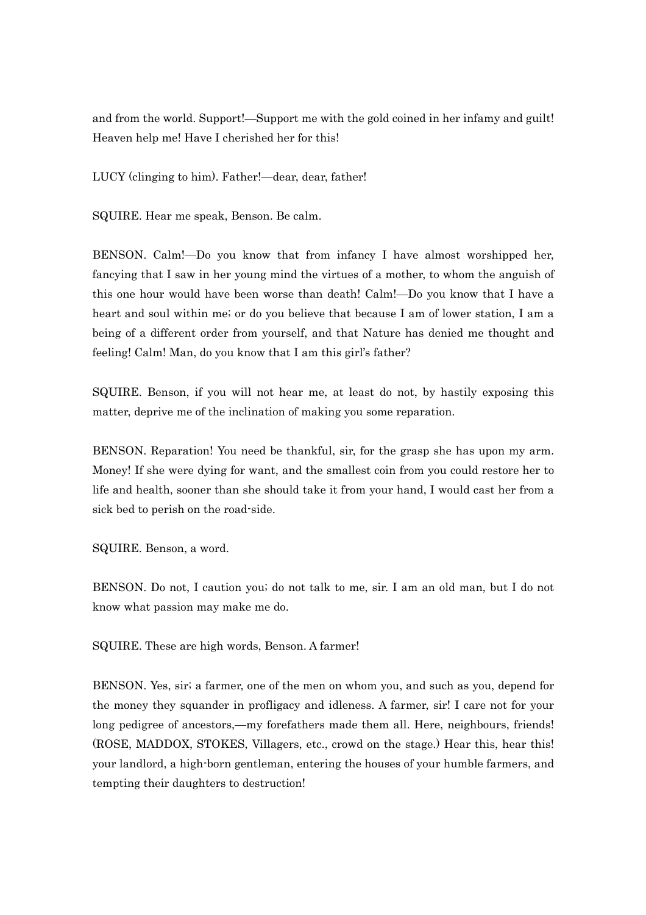and from the world. Support!—Support me with the gold coined in her infamy and guilt! Heaven help me! Have I cherished her for this!

LUCY (clinging to him). Father!—dear, dear, father!

SQUIRE. Hear me speak, Benson. Be calm.

BENSON. Calm!—Do you know that from infancy I have almost worshipped her, fancying that I saw in her young mind the virtues of a mother, to whom the anguish of this one hour would have been worse than death! Calm!—Do you know that I have a heart and soul within me; or do you believe that because I am of lower station, I am a being of a different order from yourself, and that Nature has denied me thought and feeling! Calm! Man, do you know that I am this girl's father?

SQUIRE. Benson, if you will not hear me, at least do not, by hastily exposing this matter, deprive me of the inclination of making you some reparation.

BENSON. Reparation! You need be thankful, sir, for the grasp she has upon my arm. Money! If she were dying for want, and the smallest coin from you could restore her to life and health, sooner than she should take it from your hand, I would cast her from a sick bed to perish on the road-side.

SQUIRE. Benson, a word.

BENSON. Do not, I caution you; do not talk to me, sir. I am an old man, but I do not know what passion may make me do.

SQUIRE. These are high words, Benson. A farmer!

BENSON. Yes, sir; a farmer, one of the men on whom you, and such as you, depend for the money they squander in profligacy and idleness. A farmer, sir! I care not for your long pedigree of ancestors,—my forefathers made them all. Here, neighbours, friends! (ROSE, MADDOX, STOKES, Villagers, etc., crowd on the stage.) Hear this, hear this! your landlord, a high-born gentleman, entering the houses of your humble farmers, and tempting their daughters to destruction!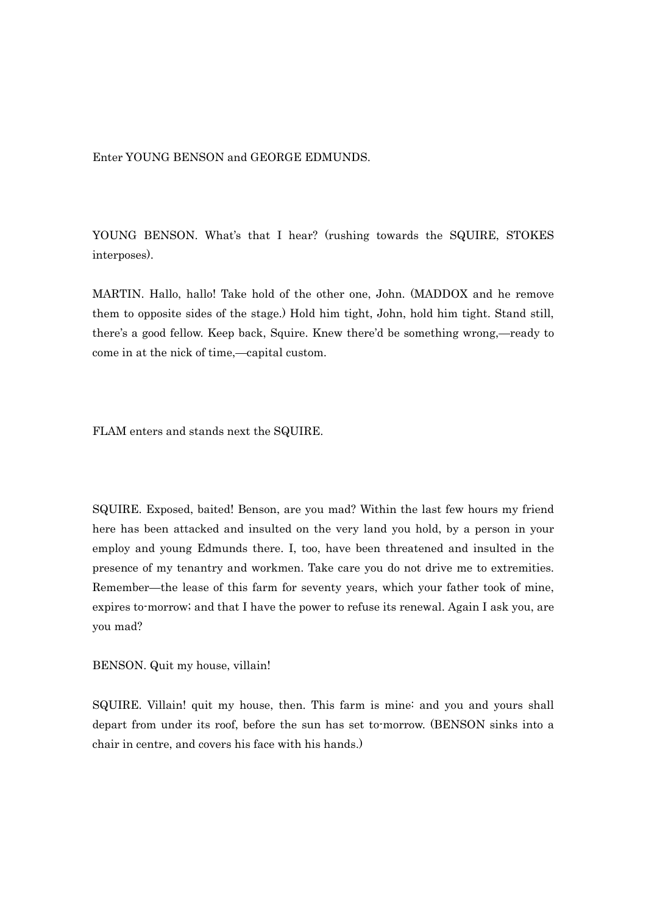Enter YOUNG BENSON and GEORGE EDMUNDS.

YOUNG BENSON. What's that I hear? (rushing towards the SQUIRE, STOKES interposes).

MARTIN. Hallo, hallo! Take hold of the other one, John. (MADDOX and he remove them to opposite sides of the stage.) Hold him tight, John, hold him tight. Stand still, there's a good fellow. Keep back, Squire. Knew there'd be something wrong,—ready to come in at the nick of time,—capital custom.

FLAM enters and stands next the SQUIRE.

SQUIRE. Exposed, baited! Benson, are you mad? Within the last few hours my friend here has been attacked and insulted on the very land you hold, by a person in your employ and young Edmunds there. I, too, have been threatened and insulted in the presence of my tenantry and workmen. Take care you do not drive me to extremities. Remember—the lease of this farm for seventy years, which your father took of mine, expires to-morrow; and that I have the power to refuse its renewal. Again I ask you, are you mad?

BENSON. Quit my house, villain!

SQUIRE. Villain! quit my house, then. This farm is mine: and you and yours shall depart from under its roof, before the sun has set to-morrow. (BENSON sinks into a chair in centre, and covers his face with his hands.)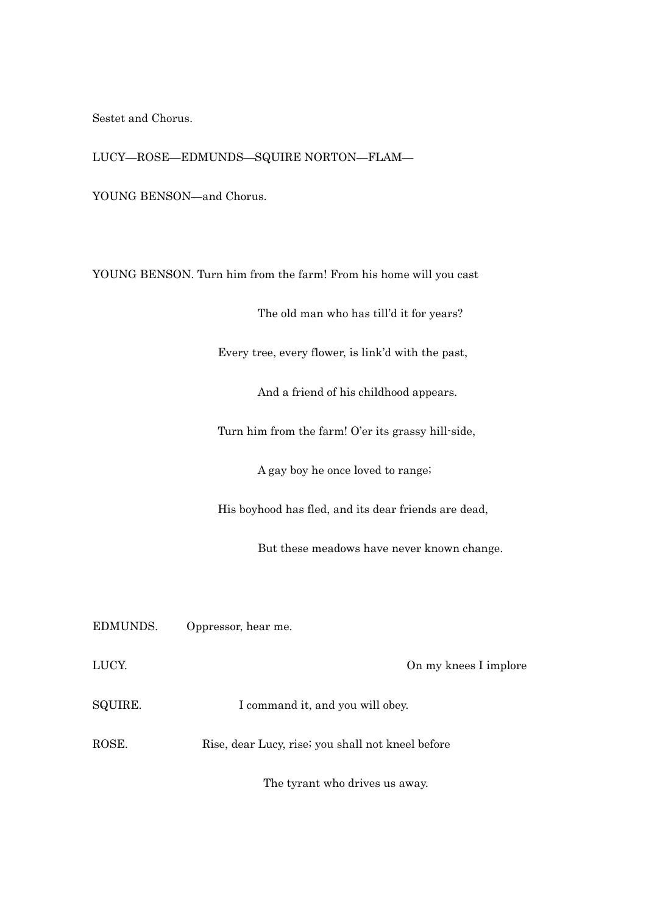Sestet and Chorus.

LUCY—ROSE—EDMUNDS—SQUIRE NORTON—FLAM—

YOUNG BENSON—and Chorus.

YOUNG BENSON. Turn him from the farm! From his home will you cast

The old man who has till'd it for years?

Every tree, every flower, is link'd with the past,

And a friend of his childhood appears.

Turn him from the farm! O'er its grassy hill-side,

A gay boy he once loved to range;

His boyhood has fled, and its dear friends are dead,

But these meadows have never known change.

| EDMUNDS. | Oppressor, hear me.                               |  |
|----------|---------------------------------------------------|--|
| LUCY.    | On my knees I implore                             |  |
| SQUIRE.  | I command it, and you will obey.                  |  |
| ROSE.    | Rise, dear Lucy, rise; you shall not kneel before |  |
|          | The tyrant who drives us away.                    |  |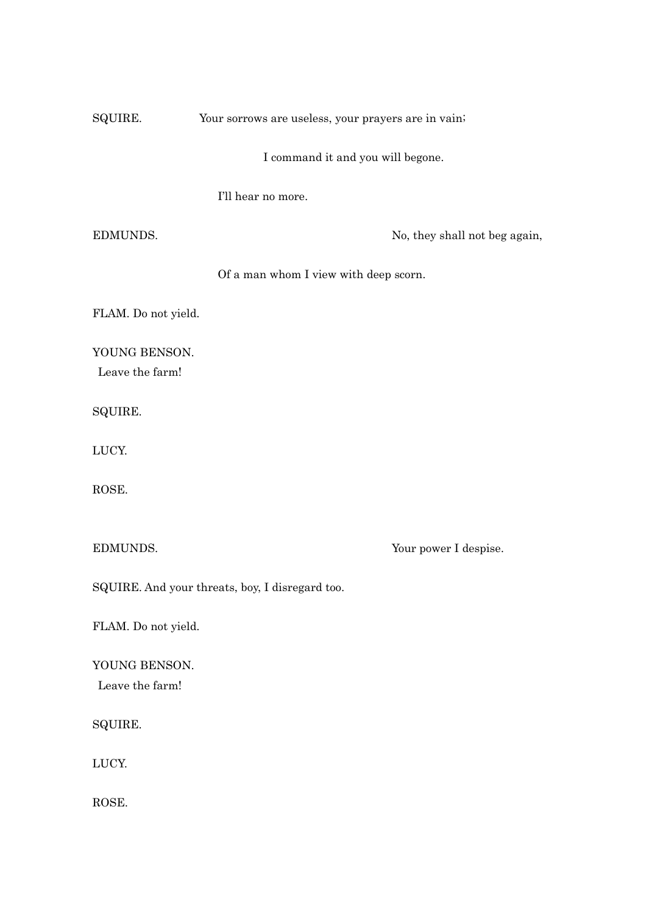| SQUIRE.                                         | Your sorrows are useless, your prayers are in vain; |                               |  |
|-------------------------------------------------|-----------------------------------------------------|-------------------------------|--|
|                                                 | I command it and you will begone.                   |                               |  |
|                                                 | I'll hear no more.                                  |                               |  |
| EDMUNDS.                                        |                                                     | No, they shall not beg again, |  |
|                                                 | Of a man whom I view with deep scorn.               |                               |  |
| FLAM. Do not yield.                             |                                                     |                               |  |
| YOUNG BENSON.<br>Leave the farm!                |                                                     |                               |  |
| SQUIRE.                                         |                                                     |                               |  |
| LUCY.                                           |                                                     |                               |  |
| ROSE.                                           |                                                     |                               |  |
| EDMUNDS.                                        |                                                     | Your power I despise.         |  |
| SQUIRE. And your threats, boy, I disregard too. |                                                     |                               |  |
| FLAM. Do not yield.                             |                                                     |                               |  |
| YOUNG BENSON.<br>Leave the farm!                |                                                     |                               |  |
| SQUIRE.                                         |                                                     |                               |  |
| LUCY.                                           |                                                     |                               |  |
| ROSE.                                           |                                                     |                               |  |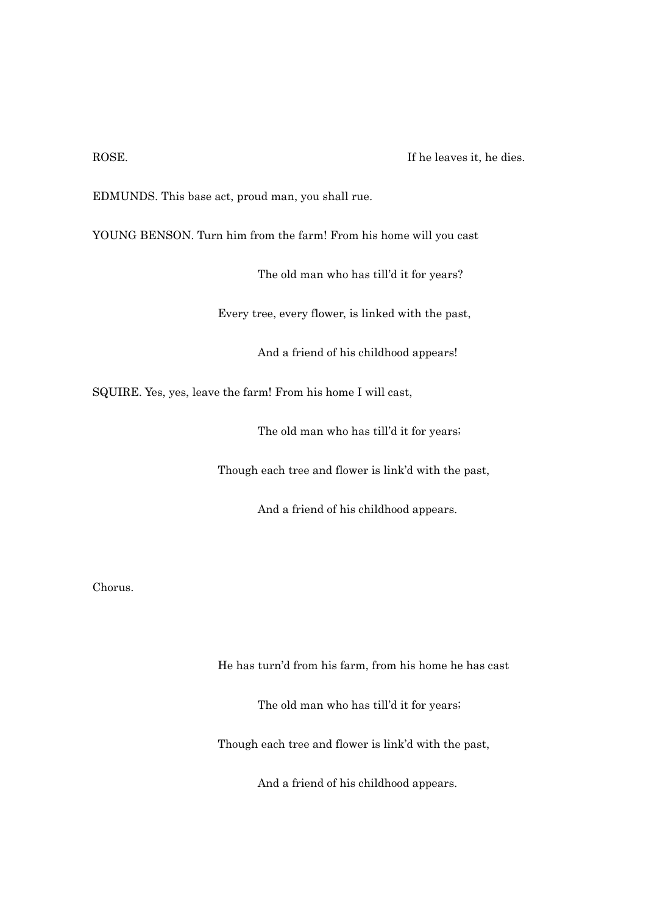EDMUNDS. This base act, proud man, you shall rue.

YOUNG BENSON. Turn him from the farm! From his home will you cast

The old man who has till'd it for years?

Every tree, every flower, is linked with the past,

And a friend of his childhood appears!

SQUIRE. Yes, yes, leave the farm! From his home I will cast,

The old man who has till'd it for years;

Though each tree and flower is link'd with the past,

And a friend of his childhood appears.

Chorus.

He has turn'd from his farm, from his home he has cast

The old man who has till'd it for years;

Though each tree and flower is link'd with the past,

And a friend of his childhood appears.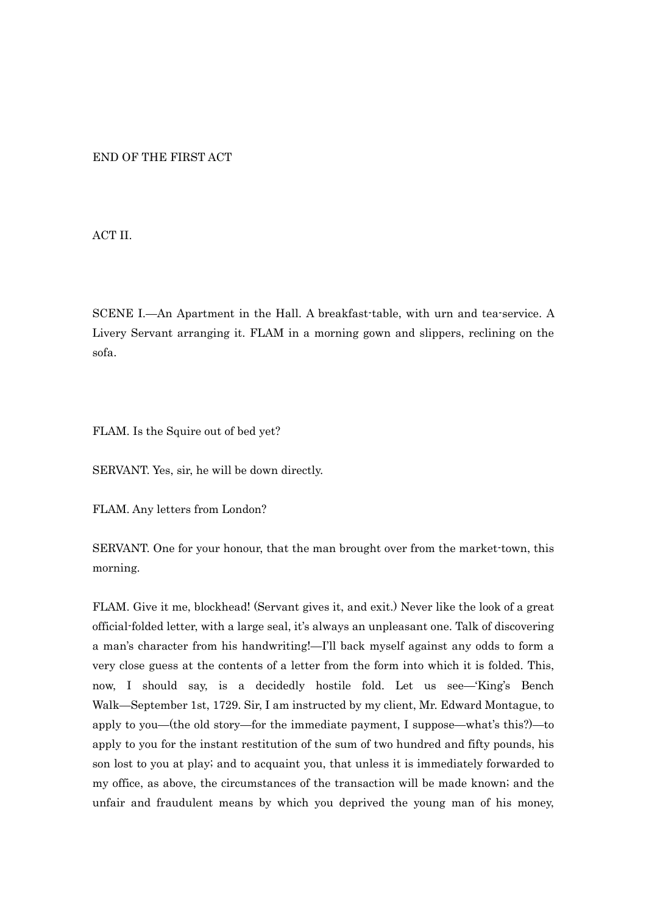## END OF THE FIRST ACT

ACT II.

SCENE I.—An Apartment in the Hall. A breakfast-table, with urn and tea-service. A Livery Servant arranging it. FLAM in a morning gown and slippers, reclining on the sofa.

FLAM. Is the Squire out of bed yet?

SERVANT. Yes, sir, he will be down directly.

FLAM. Any letters from London?

SERVANT. One for your honour, that the man brought over from the market-town, this morning.

FLAM. Give it me, blockhead! (Servant gives it, and exit.) Never like the look of a great official-folded letter, with a large seal, it's always an unpleasant one. Talk of discovering a man's character from his handwriting!—I'll back myself against any odds to form a very close guess at the contents of a letter from the form into which it is folded. This, now, I should say, is a decidedly hostile fold. Let us see—'King's Bench Walk—September 1st, 1729. Sir, I am instructed by my client, Mr. Edward Montague, to apply to you—(the old story—for the immediate payment, I suppose—what's this?)—to apply to you for the instant restitution of the sum of two hundred and fifty pounds, his son lost to you at play; and to acquaint you, that unless it is immediately forwarded to my office, as above, the circumstances of the transaction will be made known; and the unfair and fraudulent means by which you deprived the young man of his money,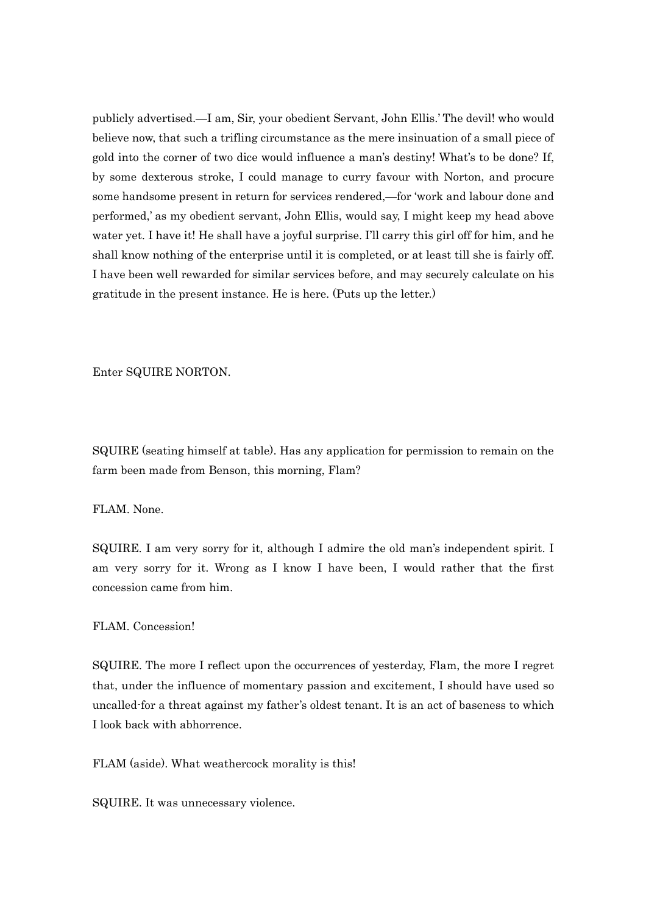publicly advertised.—I am, Sir, your obedient Servant, John Ellis.' The devil! who would believe now, that such a trifling circumstance as the mere insinuation of a small piece of gold into the corner of two dice would influence a man's destiny! What's to be done? If, by some dexterous stroke, I could manage to curry favour with Norton, and procure some handsome present in return for services rendered,—for 'work and labour done and performed,' as my obedient servant, John Ellis, would say, I might keep my head above water yet. I have it! He shall have a joyful surprise. I'll carry this girl off for him, and he shall know nothing of the enterprise until it is completed, or at least till she is fairly off. I have been well rewarded for similar services before, and may securely calculate on his gratitude in the present instance. He is here. (Puts up the letter.)

Enter SQUIRE NORTON.

SQUIRE (seating himself at table). Has any application for permission to remain on the farm been made from Benson, this morning, Flam?

FLAM. None.

SQUIRE. I am very sorry for it, although I admire the old man's independent spirit. I am very sorry for it. Wrong as I know I have been, I would rather that the first concession came from him.

FLAM. Concession!

SQUIRE. The more I reflect upon the occurrences of yesterday, Flam, the more I regret that, under the influence of momentary passion and excitement, I should have used so uncalled-for a threat against my father's oldest tenant. It is an act of baseness to which I look back with abhorrence.

FLAM (aside). What weathercock morality is this!

SQUIRE. It was unnecessary violence.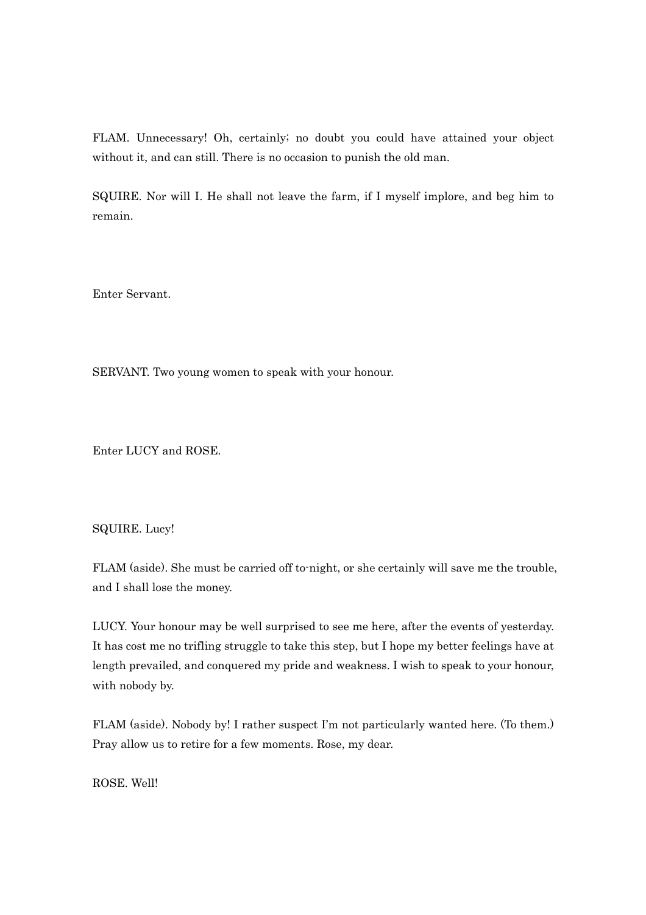FLAM. Unnecessary! Oh, certainly; no doubt you could have attained your object without it, and can still. There is no occasion to punish the old man.

SQUIRE. Nor will I. He shall not leave the farm, if I myself implore, and beg him to remain.

Enter Servant.

SERVANT. Two young women to speak with your honour.

Enter LUCY and ROSE.

SQUIRE. Lucy!

FLAM (aside). She must be carried off to-night, or she certainly will save me the trouble, and I shall lose the money.

LUCY. Your honour may be well surprised to see me here, after the events of yesterday. It has cost me no trifling struggle to take this step, but I hope my better feelings have at length prevailed, and conquered my pride and weakness. I wish to speak to your honour, with nobody by.

FLAM (aside). Nobody by! I rather suspect I'm not particularly wanted here. (To them.) Pray allow us to retire for a few moments. Rose, my dear.

ROSE. Well!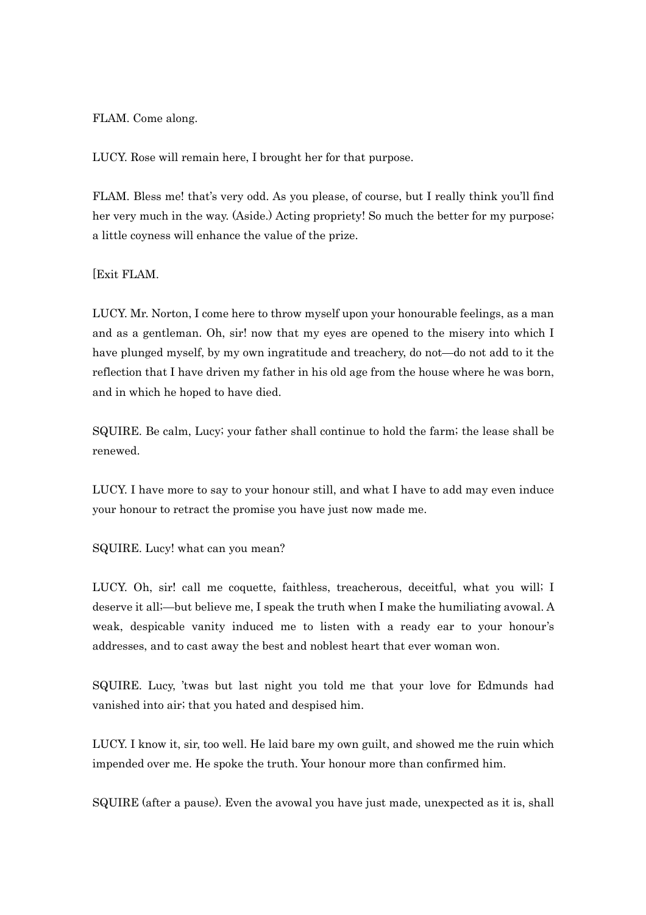FLAM. Come along.

LUCY. Rose will remain here, I brought her for that purpose.

FLAM. Bless me! that's very odd. As you please, of course, but I really think you'll find her very much in the way. (Aside.) Acting propriety! So much the better for my purpose; a little coyness will enhance the value of the prize.

[Exit FLAM.

LUCY. Mr. Norton, I come here to throw myself upon your honourable feelings, as a man and as a gentleman. Oh, sir! now that my eyes are opened to the misery into which I have plunged myself, by my own ingratitude and treachery, do not—do not add to it the reflection that I have driven my father in his old age from the house where he was born, and in which he hoped to have died.

SQUIRE. Be calm, Lucy; your father shall continue to hold the farm; the lease shall be renewed.

LUCY. I have more to say to your honour still, and what I have to add may even induce your honour to retract the promise you have just now made me.

SQUIRE. Lucy! what can you mean?

LUCY. Oh, sir! call me coquette, faithless, treacherous, deceitful, what you will; I deserve it all;—but believe me, I speak the truth when I make the humiliating avowal. A weak, despicable vanity induced me to listen with a ready ear to your honour's addresses, and to cast away the best and noblest heart that ever woman won.

SQUIRE. Lucy, 'twas but last night you told me that your love for Edmunds had vanished into air; that you hated and despised him.

LUCY. I know it, sir, too well. He laid bare my own guilt, and showed me the ruin which impended over me. He spoke the truth. Your honour more than confirmed him.

SQUIRE (after a pause). Even the avowal you have just made, unexpected as it is, shall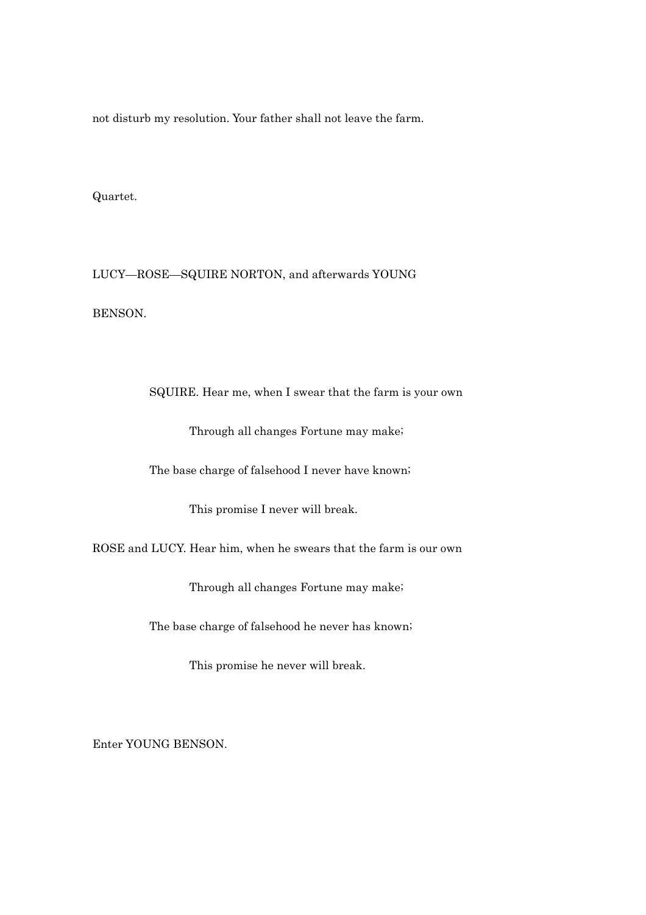not disturb my resolution. Your father shall not leave the farm.

Quartet.

LUCY—ROSE—SQUIRE NORTON, and afterwards YOUNG BENSON.

## SQUIRE. Hear me, when I swear that the farm is your own

Through all changes Fortune may make;

The base charge of falsehood I never have known;

This promise I never will break.

ROSE and LUCY. Hear him, when he swears that the farm is our own

Through all changes Fortune may make;

The base charge of falsehood he never has known;

This promise he never will break.

Enter YOUNG BENSON.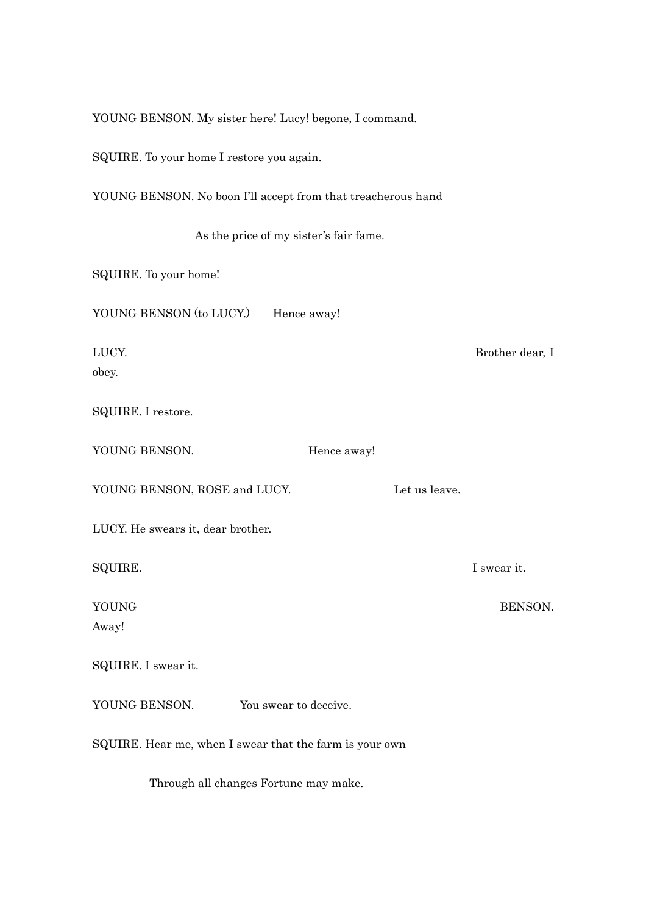YOUNG BENSON. My sister here! Lucy! begone, I command.

SQUIRE. To your home I restore you again.

YOUNG BENSON. No boon I'll accept from that treacherous hand

As the price of my sister's fair fame.

SQUIRE. To your home!

YOUNG BENSON (to LUCY.) Hence away!

obey.

SQUIRE. I restore.

YOUNG BENSON. Hence away!

YOUNG BENSON, ROSE and LUCY. Let us leave.

LUCY. He swears it, dear brother.

Away!

SQUIRE. I swear it.

YOUNG BENSON. You swear to deceive.

SQUIRE. Hear me, when I swear that the farm is your own

Through all changes Fortune may make.

LUCY. Brother dear, I

SQUIRE. I swear it.

YOUNG BENSON.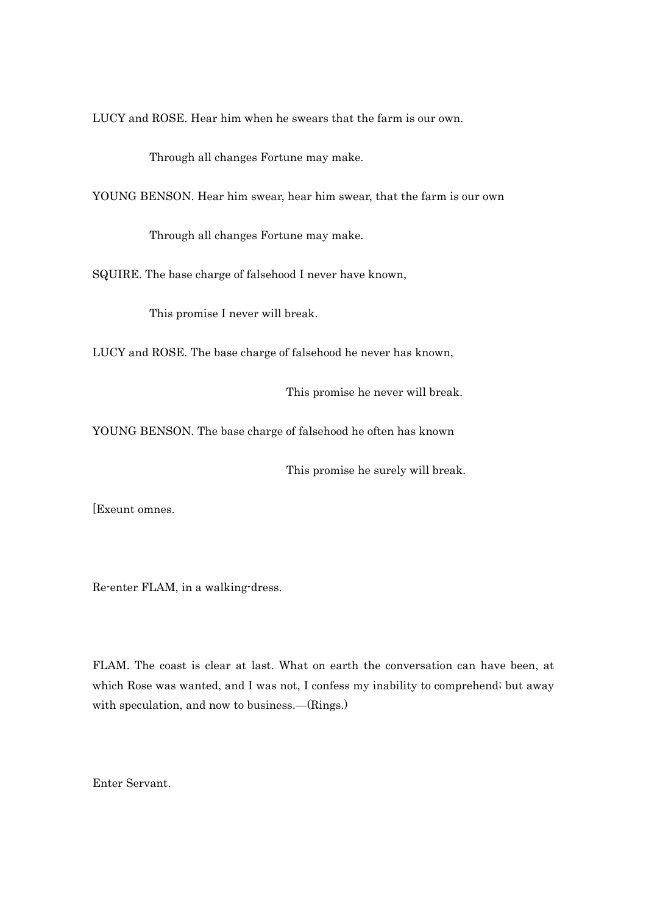LUCY and ROSE. Hear him when he swears that the farm is our own.

Through all changes Fortune may make.

YOUNG BENSON. Hear him swear, hear him swear, that the farm is our own

Through all changes Fortune may make.

SQUIRE. The base charge of falsehood I never have known,

This promise I never will break.

LUCY and ROSE. The base charge of falsehood he never has known,

This promise he never will break.

YOUNG BENSON. The base charge of falsehood he often has known

This promise he surely will break.

[Exeunt omnes.

Re-enter FLAM, in a walking-dress.

FLAM. The coast is clear at last. What on earth the conversation can have been, at which Rose was wanted, and I was not, I confess my inability to comprehend; but away with speculation, and now to business.—(Rings.)

Enter Servant.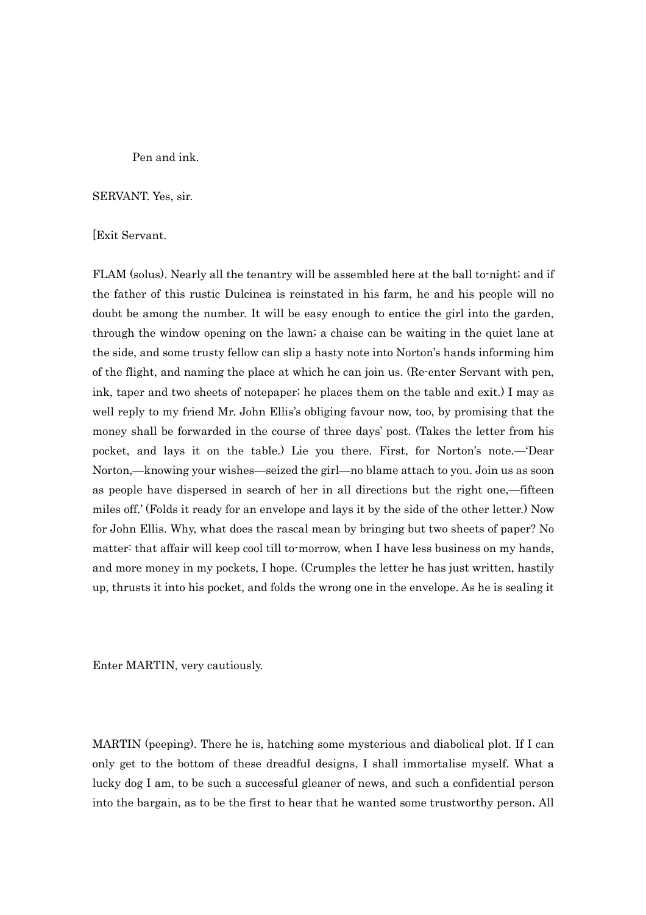Pen and ink.

SERVANT. Yes, sir.

[Exit Servant.

FLAM (solus). Nearly all the tenantry will be assembled here at the ball to-night; and if the father of this rustic Dulcinea is reinstated in his farm, he and his people will no doubt be among the number. It will be easy enough to entice the girl into the garden, through the window opening on the lawn; a chaise can be waiting in the quiet lane at the side, and some trusty fellow can slip a hasty note into Norton's hands informing him of the flight, and naming the place at which he can join us. (Re-enter Servant with pen, ink, taper and two sheets of notepaper; he places them on the table and exit.) I may as well reply to my friend Mr. John Ellis's obliging favour now, too, by promising that the money shall be forwarded in the course of three days' post. (Takes the letter from his pocket, and lays it on the table.) Lie you there. First, for Norton's note.—'Dear Norton,—knowing your wishes—seized the girl—no blame attach to you. Join us as soon as people have dispersed in search of her in all directions but the right one,—fifteen miles off.' (Folds it ready for an envelope and lays it by the side of the other letter.) Now for John Ellis. Why, what does the rascal mean by bringing but two sheets of paper? No matter: that affair will keep cool till to-morrow, when I have less business on my hands, and more money in my pockets, I hope. (Crumples the letter he has just written, hastily up, thrusts it into his pocket, and folds the wrong one in the envelope. As he is sealing it

Enter MARTIN, very cautiously.

MARTIN (peeping). There he is, hatching some mysterious and diabolical plot. If I can only get to the bottom of these dreadful designs, I shall immortalise myself. What a lucky dog I am, to be such a successful gleaner of news, and such a confidential person into the bargain, as to be the first to hear that he wanted some trustworthy person. All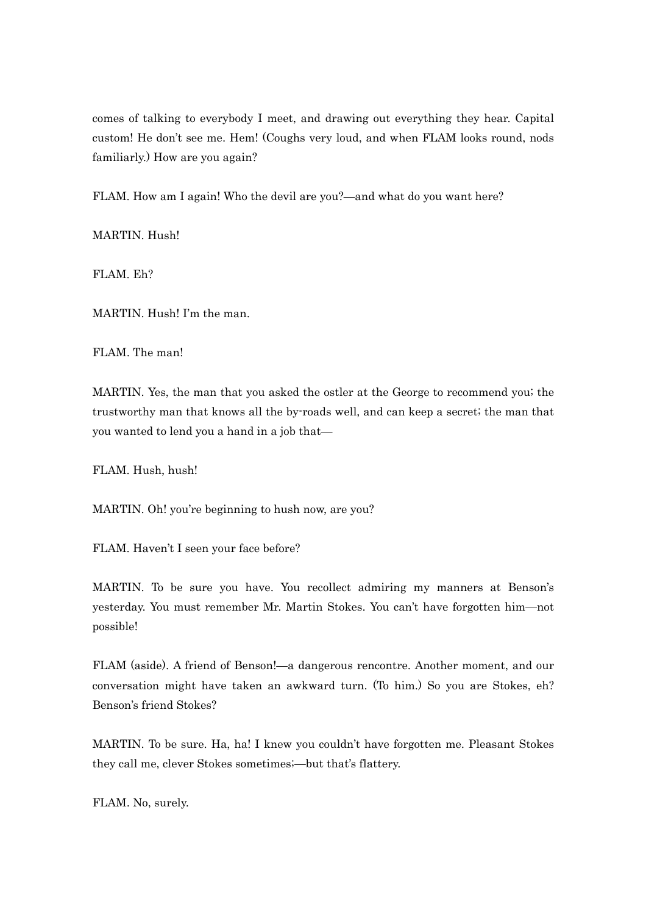comes of talking to everybody I meet, and drawing out everything they hear. Capital custom! He don't see me. Hem! (Coughs very loud, and when FLAM looks round, nods familiarly.) How are you again?

FLAM. How am I again! Who the devil are you?—and what do you want here?

MARTIN. Hush!

FLAM. Eh?

MARTIN. Hush! I'm the man.

FLAM. The man!

MARTIN. Yes, the man that you asked the ostler at the George to recommend you; the trustworthy man that knows all the by-roads well, and can keep a secret; the man that you wanted to lend you a hand in a job that—

FLAM. Hush, hush!

MARTIN. Oh! you're beginning to hush now, are you?

FLAM. Haven't I seen your face before?

MARTIN. To be sure you have. You recollect admiring my manners at Benson's yesterday. You must remember Mr. Martin Stokes. You can't have forgotten him—not possible!

FLAM (aside). A friend of Benson!—a dangerous rencontre. Another moment, and our conversation might have taken an awkward turn. (To him.) So you are Stokes, eh? Benson's friend Stokes?

MARTIN. To be sure. Ha, ha! I knew you couldn't have forgotten me. Pleasant Stokes they call me, clever Stokes sometimes;—but that's flattery.

FLAM. No, surely.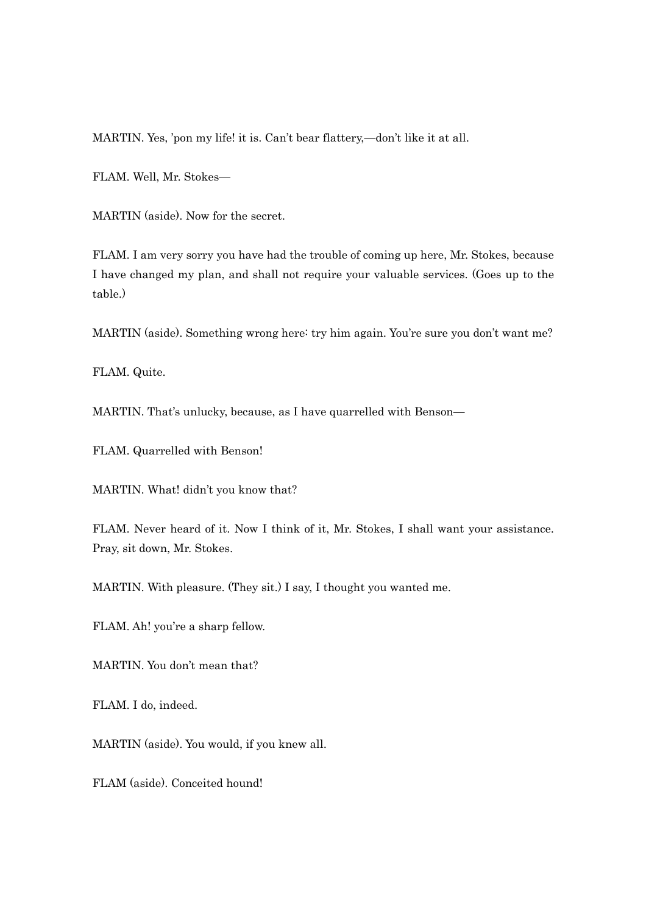MARTIN. Yes, 'pon my life! it is. Can't bear flattery,—don't like it at all.

FLAM. Well, Mr. Stokes—

MARTIN (aside). Now for the secret.

FLAM. I am very sorry you have had the trouble of coming up here, Mr. Stokes, because I have changed my plan, and shall not require your valuable services. (Goes up to the table.)

MARTIN (aside). Something wrong here: try him again. You're sure you don't want me?

FLAM. Quite.

MARTIN. That's unlucky, because, as I have quarrelled with Benson—

FLAM. Quarrelled with Benson!

MARTIN. What! didn't you know that?

FLAM. Never heard of it. Now I think of it, Mr. Stokes, I shall want your assistance. Pray, sit down, Mr. Stokes.

MARTIN. With pleasure. (They sit.) I say, I thought you wanted me.

FLAM. Ah! you're a sharp fellow.

MARTIN. You don't mean that?

FLAM. I do, indeed.

MARTIN (aside). You would, if you knew all.

FLAM (aside). Conceited hound!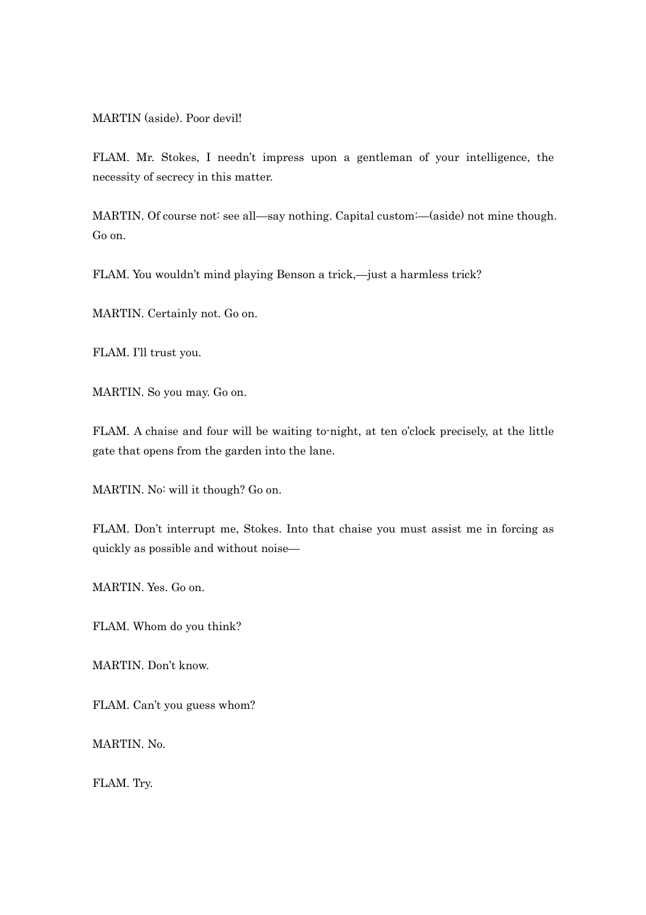MARTIN (aside). Poor devil!

FLAM. Mr. Stokes, I needn't impress upon a gentleman of your intelligence, the necessity of secrecy in this matter.

MARTIN. Of course not: see all—say nothing. Capital custom:—(aside) not mine though. Go on.

FLAM. You wouldn't mind playing Benson a trick,—just a harmless trick?

MARTIN. Certainly not. Go on.

FLAM. I'll trust you.

MARTIN. So you may. Go on.

FLAM. A chaise and four will be waiting to-night, at ten o'clock precisely, at the little gate that opens from the garden into the lane.

MARTIN. No: will it though? Go on.

FLAM. Don't interrupt me, Stokes. Into that chaise you must assist me in forcing as quickly as possible and without noise—

MARTIN. Yes. Go on.

FLAM. Whom do you think?

MARTIN. Don't know.

FLAM. Can't you guess whom?

MARTIN. No.

FLAM. Try.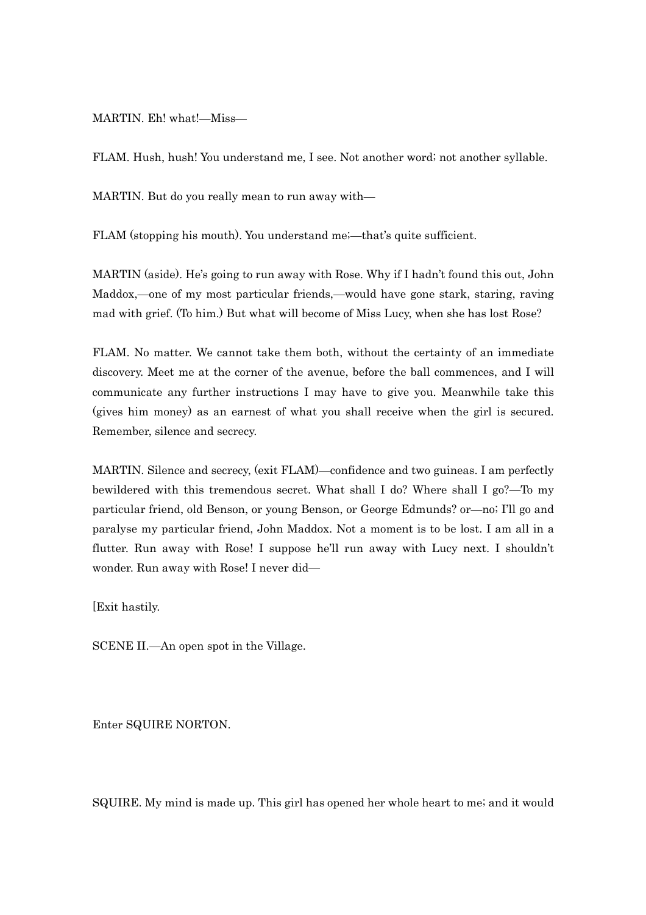MARTIN. Eh! what!—Miss—

FLAM. Hush, hush! You understand me, I see. Not another word; not another syllable.

MARTIN. But do you really mean to run away with—

FLAM (stopping his mouth). You understand me;—that's quite sufficient.

MARTIN (aside). He's going to run away with Rose. Why if I hadn't found this out, John Maddox,—one of my most particular friends,—would have gone stark, staring, raving mad with grief. (To him.) But what will become of Miss Lucy, when she has lost Rose?

FLAM. No matter. We cannot take them both, without the certainty of an immediate discovery. Meet me at the corner of the avenue, before the ball commences, and I will communicate any further instructions I may have to give you. Meanwhile take this (gives him money) as an earnest of what you shall receive when the girl is secured. Remember, silence and secrecy.

MARTIN. Silence and secrecy, (exit FLAM)—confidence and two guineas. I am perfectly bewildered with this tremendous secret. What shall I do? Where shall I go?—To my particular friend, old Benson, or young Benson, or George Edmunds? or—no; I'll go and paralyse my particular friend, John Maddox. Not a moment is to be lost. I am all in a flutter. Run away with Rose! I suppose he'll run away with Lucy next. I shouldn't wonder. Run away with Rose! I never did—

[Exit hastily.

SCENE II.—An open spot in the Village.

Enter SQUIRE NORTON.

SQUIRE. My mind is made up. This girl has opened her whole heart to me; and it would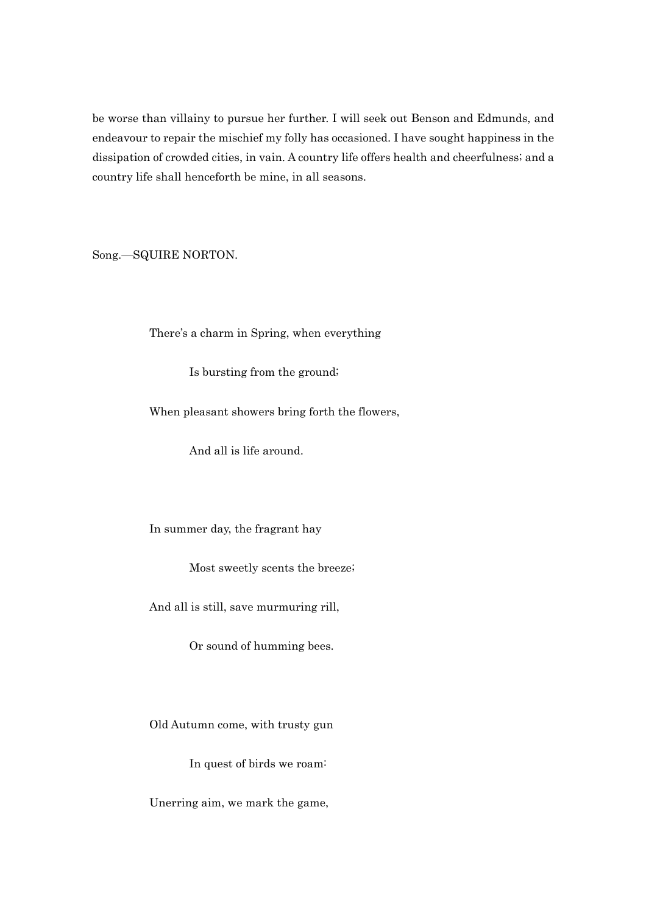be worse than villainy to pursue her further. I will seek out Benson and Edmunds, and endeavour to repair the mischief my folly has occasioned. I have sought happiness in the dissipation of crowded cities, in vain. A country life offers health and cheerfulness; and a country life shall henceforth be mine, in all seasons.

Song.—SQUIRE NORTON.

There's a charm in Spring, when everything

Is bursting from the ground;

When pleasant showers bring forth the flowers,

And all is life around.

In summer day, the fragrant hay

Most sweetly scents the breeze;

And all is still, save murmuring rill,

Or sound of humming bees.

Old Autumn come, with trusty gun

In quest of birds we roam:

Unerring aim, we mark the game,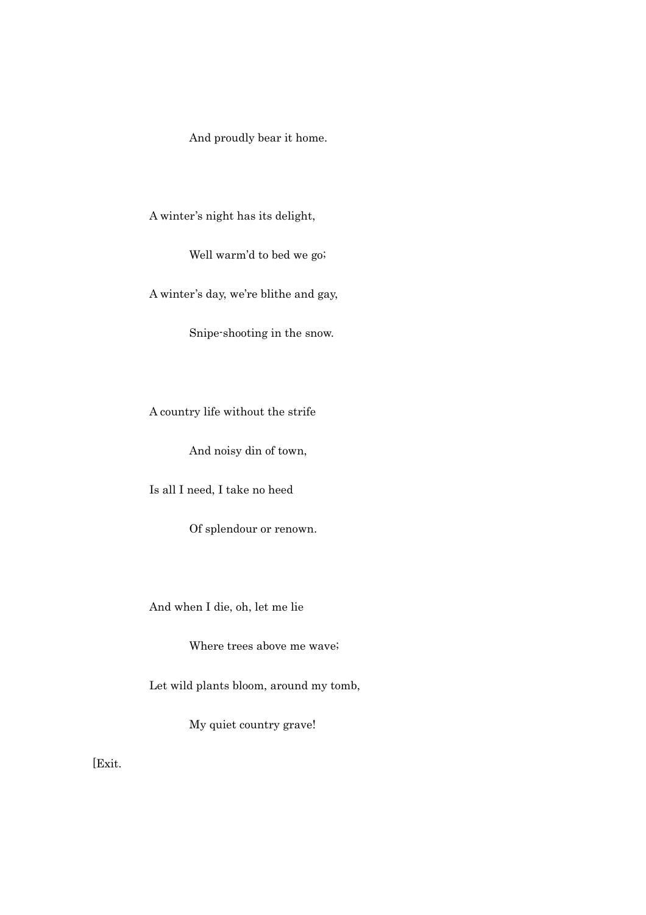And proudly bear it home.

A winter's night has its delight,

Well warm'd to bed we go;

A winter's day, we're blithe and gay,

Snipe-shooting in the snow.

A country life without the strife

And noisy din of town,

Is all I need, I take no heed

Of splendour or renown.

And when I die, oh, let me lie

Where trees above me wave;

Let wild plants bloom, around my tomb,

My quiet country grave!

[Exit.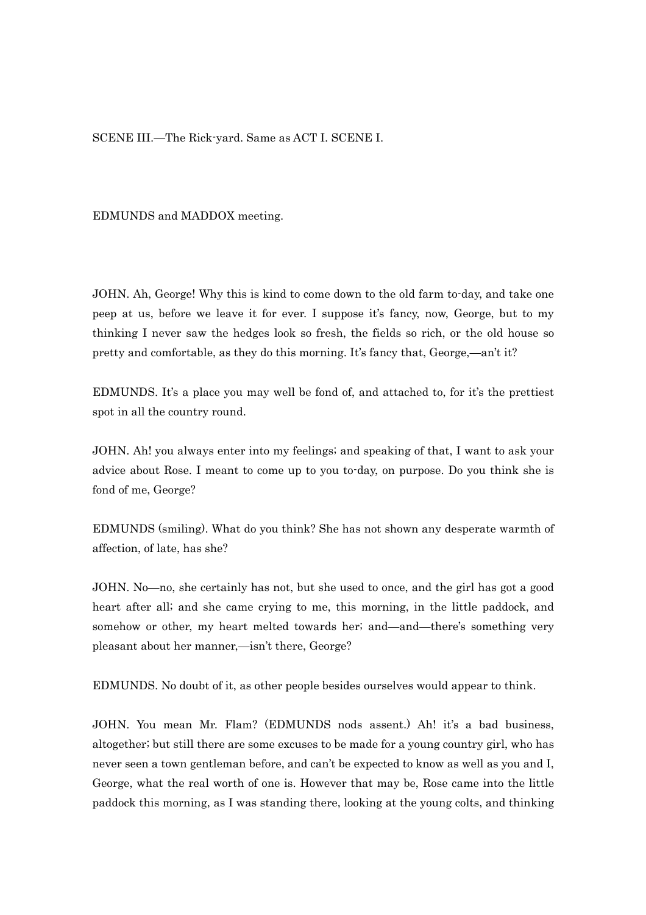SCENE III.—The Rick-yard. Same as ACT I. SCENE I.

EDMUNDS and MADDOX meeting.

JOHN. Ah, George! Why this is kind to come down to the old farm to-day, and take one peep at us, before we leave it for ever. I suppose it's fancy, now, George, but to my thinking I never saw the hedges look so fresh, the fields so rich, or the old house so pretty and comfortable, as they do this morning. It's fancy that, George,—an't it?

EDMUNDS. It's a place you may well be fond of, and attached to, for it's the prettiest spot in all the country round.

JOHN. Ah! you always enter into my feelings; and speaking of that, I want to ask your advice about Rose. I meant to come up to you to-day, on purpose. Do you think she is fond of me, George?

EDMUNDS (smiling). What do you think? She has not shown any desperate warmth of affection, of late, has she?

JOHN. No—no, she certainly has not, but she used to once, and the girl has got a good heart after all; and she came crying to me, this morning, in the little paddock, and somehow or other, my heart melted towards her; and—and—there's something very pleasant about her manner,—isn't there, George?

EDMUNDS. No doubt of it, as other people besides ourselves would appear to think.

JOHN. You mean Mr. Flam? (EDMUNDS nods assent.) Ah! it's a bad business, altogether; but still there are some excuses to be made for a young country girl, who has never seen a town gentleman before, and can't be expected to know as well as you and I, George, what the real worth of one is. However that may be, Rose came into the little paddock this morning, as I was standing there, looking at the young colts, and thinking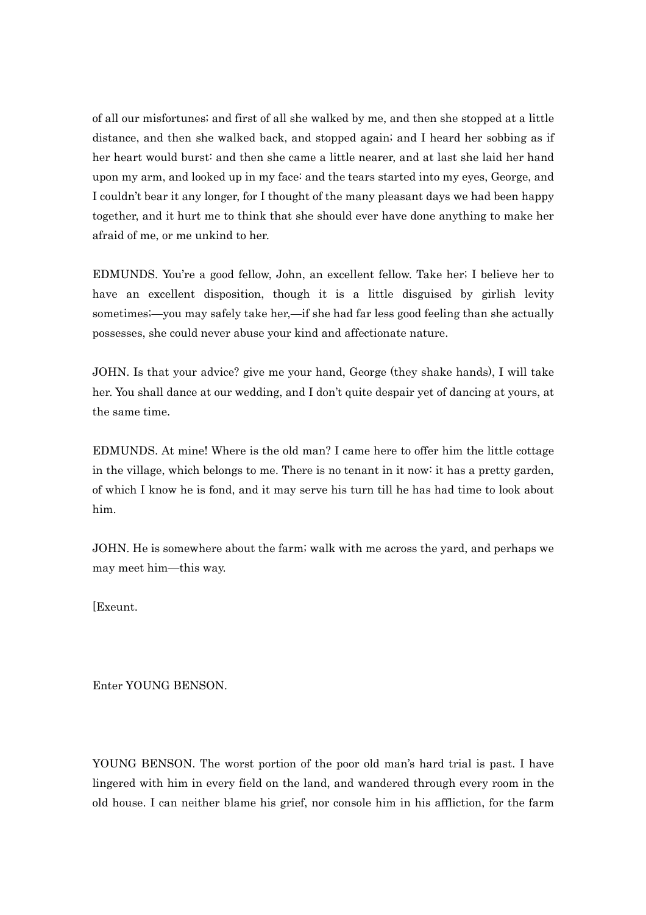of all our misfortunes; and first of all she walked by me, and then she stopped at a little distance, and then she walked back, and stopped again; and I heard her sobbing as if her heart would burst: and then she came a little nearer, and at last she laid her hand upon my arm, and looked up in my face: and the tears started into my eyes, George, and I couldn't bear it any longer, for I thought of the many pleasant days we had been happy together, and it hurt me to think that she should ever have done anything to make her afraid of me, or me unkind to her.

EDMUNDS. You're a good fellow, John, an excellent fellow. Take her; I believe her to have an excellent disposition, though it is a little disguised by girlish levity sometimes;—you may safely take her,—if she had far less good feeling than she actually possesses, she could never abuse your kind and affectionate nature.

JOHN. Is that your advice? give me your hand, George (they shake hands), I will take her. You shall dance at our wedding, and I don't quite despair yet of dancing at yours, at the same time.

EDMUNDS. At mine! Where is the old man? I came here to offer him the little cottage in the village, which belongs to me. There is no tenant in it now: it has a pretty garden, of which I know he is fond, and it may serve his turn till he has had time to look about him.

JOHN. He is somewhere about the farm; walk with me across the yard, and perhaps we may meet him—this way.

[Exeunt.

Enter YOUNG BENSON.

YOUNG BENSON. The worst portion of the poor old man's hard trial is past. I have lingered with him in every field on the land, and wandered through every room in the old house. I can neither blame his grief, nor console him in his affliction, for the farm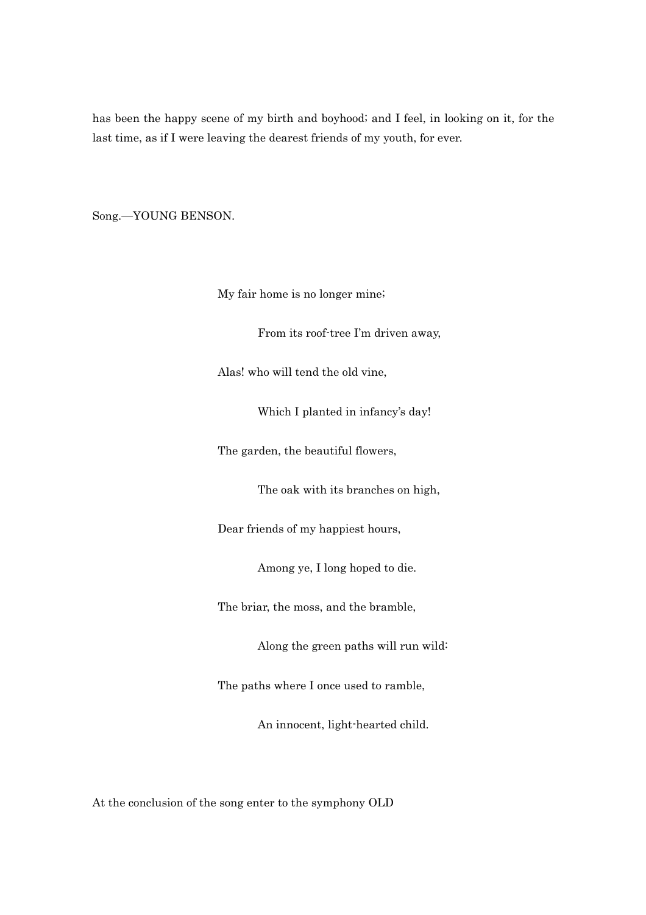has been the happy scene of my birth and boyhood; and I feel, in looking on it, for the last time, as if I were leaving the dearest friends of my youth, for ever.

Song.—YOUNG BENSON.

My fair home is no longer mine;

From its roof-tree I'm driven away,

Alas! who will tend the old vine,

Which I planted in infancy's day!

The garden, the beautiful flowers,

The oak with its branches on high,

Dear friends of my happiest hours,

Among ye, I long hoped to die.

The briar, the moss, and the bramble,

Along the green paths will run wild:

The paths where I once used to ramble,

An innocent, light-hearted child.

At the conclusion of the song enter to the symphony OLD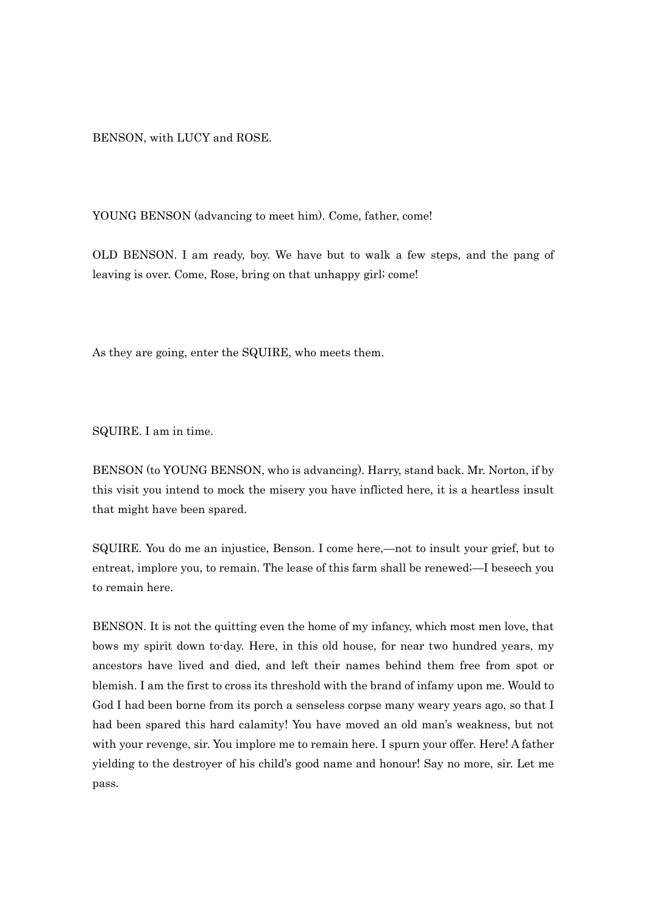BENSON, with LUCY and ROSE.

YOUNG BENSON (advancing to meet him). Come, father, come!

OLD BENSON. I am ready, boy. We have but to walk a few steps, and the pang of leaving is over. Come, Rose, bring on that unhappy girl; come!

As they are going, enter the SQUIRE, who meets them.

SQUIRE. I am in time.

BENSON (to YOUNG BENSON, who is advancing). Harry, stand back. Mr. Norton, if by this visit you intend to mock the misery you have inflicted here, it is a heartless insult that might have been spared.

SQUIRE. You do me an injustice, Benson. I come here,—not to insult your grief, but to entreat, implore you, to remain. The lease of this farm shall be renewed;—I beseech you to remain here.

BENSON. It is not the quitting even the home of my infancy, which most men love, that bows my spirit down to-day. Here, in this old house, for near two hundred years, my ancestors have lived and died, and left their names behind them free from spot or blemish. I am the first to cross its threshold with the brand of infamy upon me. Would to God I had been borne from its porch a senseless corpse many weary years ago, so that I had been spared this hard calamity! You have moved an old man's weakness, but not with your revenge, sir. You implore me to remain here. I spurn your offer. Here! A father yielding to the destroyer of his child's good name and honour! Say no more, sir. Let me pass.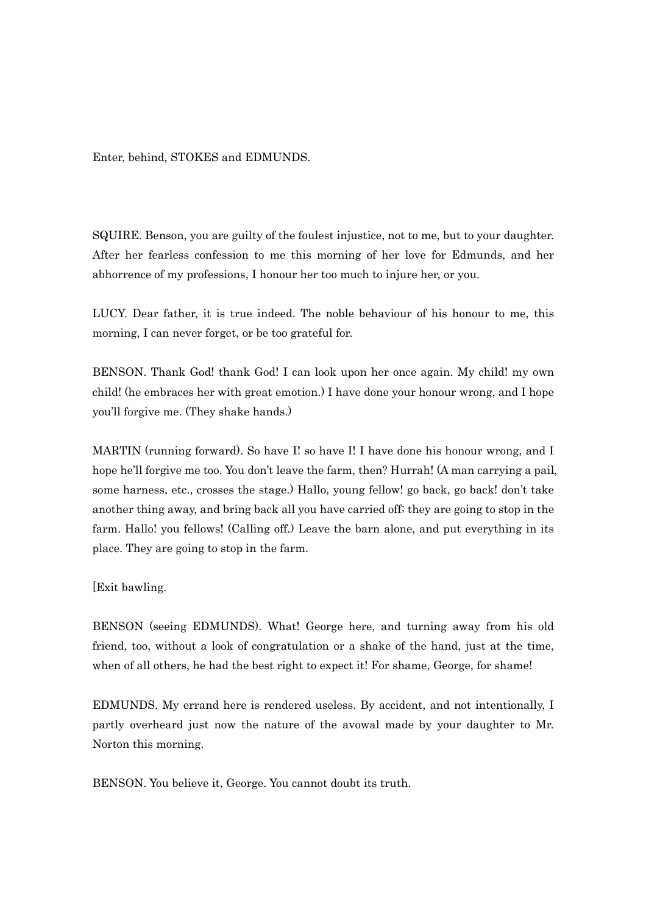Enter, behind, STOKES and EDMUNDS.

SQUIRE. Benson, you are guilty of the foulest injustice, not to me, but to your daughter. After her fearless confession to me this morning of her love for Edmunds, and her abhorrence of my professions, I honour her too much to injure her, or you.

LUCY. Dear father, it is true indeed. The noble behaviour of his honour to me, this morning, I can never forget, or be too grateful for.

BENSON. Thank God! thank God! I can look upon her once again. My child! my own child! (he embraces her with great emotion.) I have done your honour wrong, and I hope you'll forgive me. (They shake hands.)

MARTIN (running forward). So have I! so have I! I have done his honour wrong, and I hope he'll forgive me too. You don't leave the farm, then? Hurrah! (A man carrying a pail, some harness, etc., crosses the stage.) Hallo, young fellow! go back, go back! don't take another thing away, and bring back all you have carried off; they are going to stop in the farm. Hallo! you fellows! (Calling off.) Leave the barn alone, and put everything in its place. They are going to stop in the farm.

[Exit bawling.

BENSON (seeing EDMUNDS). What! George here, and turning away from his old friend, too, without a look of congratulation or a shake of the hand, just at the time, when of all others, he had the best right to expect it! For shame, George, for shame!

EDMUNDS. My errand here is rendered useless. By accident, and not intentionally, I partly overheard just now the nature of the avowal made by your daughter to Mr. Norton this morning.

BENSON. You believe it, George. You cannot doubt its truth.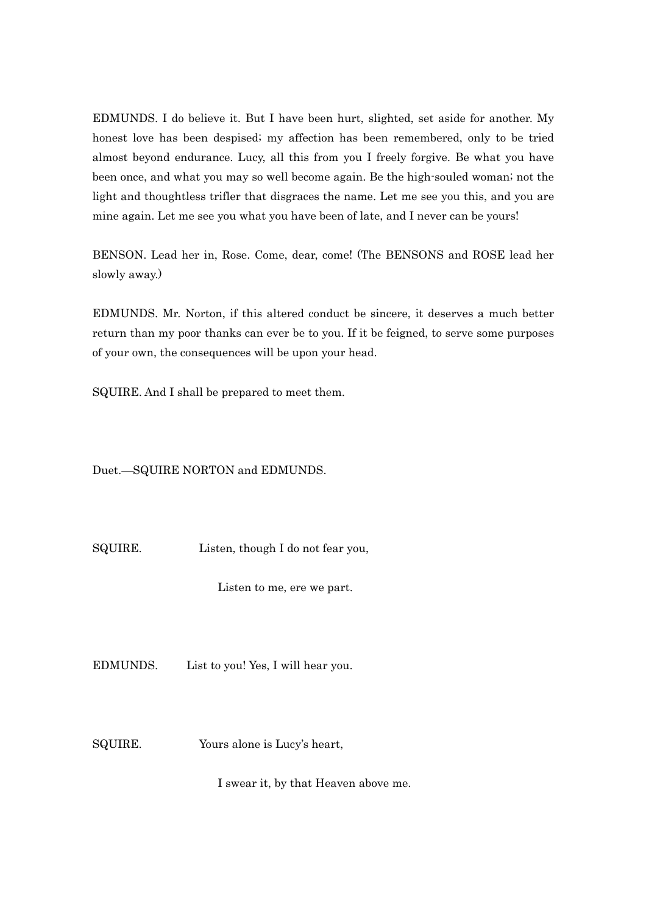EDMUNDS. I do believe it. But I have been hurt, slighted, set aside for another. My honest love has been despised; my affection has been remembered, only to be tried almost beyond endurance. Lucy, all this from you I freely forgive. Be what you have been once, and what you may so well become again. Be the high-souled woman; not the light and thoughtless trifler that disgraces the name. Let me see you this, and you are mine again. Let me see you what you have been of late, and I never can be yours!

BENSON. Lead her in, Rose. Come, dear, come! (The BENSONS and ROSE lead her slowly away.)

EDMUNDS. Mr. Norton, if this altered conduct be sincere, it deserves a much better return than my poor thanks can ever be to you. If it be feigned, to serve some purposes of your own, the consequences will be upon your head.

SQUIRE. And I shall be prepared to meet them.

Duet.—SQUIRE NORTON and EDMUNDS.

SQUIRE. Listen, though I do not fear you,

Listen to me, ere we part.

EDMUNDS. List to you! Yes, I will hear you.

SQUIRE. Yours alone is Lucy's heart,

I swear it, by that Heaven above me.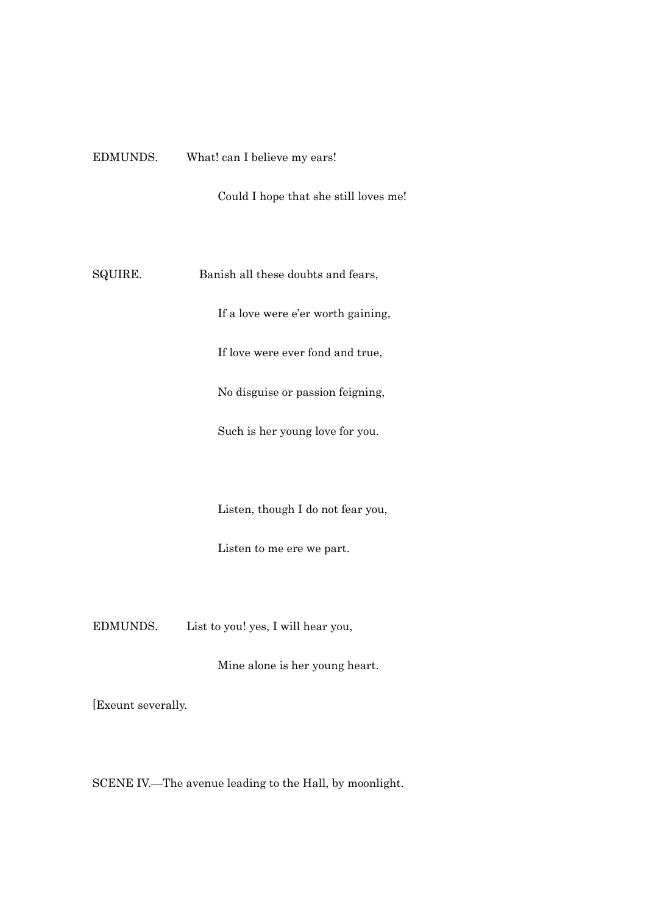EDMUNDS. What! can I believe my ears!

Could I hope that she still loves me!

SQUIRE. Banish all these doubts and fears,

If a love were e'er worth gaining,

If love were ever fond and true,

No disguise or passion feigning,

Such is her young love for you.

Listen, though I do not fear you,

Listen to me ere we part.

EDMUNDS. List to you! yes, I will hear you,

Mine alone is her young heart.

[Exeunt severally.

SCENE IV.—The avenue leading to the Hall, by moonlight.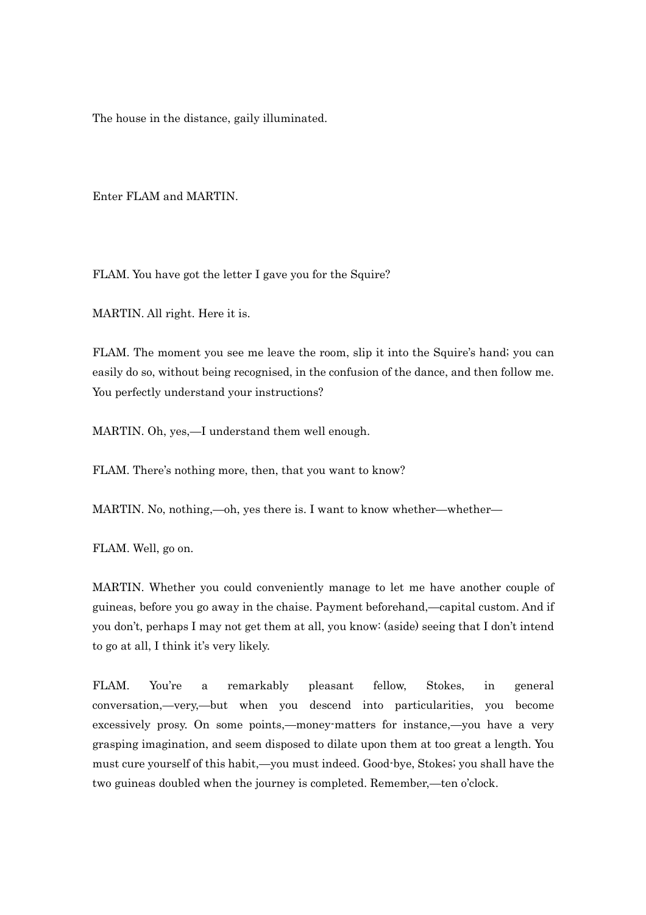The house in the distance, gaily illuminated.

Enter FLAM and MARTIN.

FLAM. You have got the letter I gave you for the Squire?

MARTIN. All right. Here it is.

FLAM. The moment you see me leave the room, slip it into the Squire's hand; you can easily do so, without being recognised, in the confusion of the dance, and then follow me. You perfectly understand your instructions?

MARTIN. Oh, yes,—I understand them well enough.

FLAM. There's nothing more, then, that you want to know?

MARTIN. No, nothing,—oh, yes there is. I want to know whether—whether—

FLAM. Well, go on.

MARTIN. Whether you could conveniently manage to let me have another couple of guineas, before you go away in the chaise. Payment beforehand,—capital custom. And if you don't, perhaps I may not get them at all, you know: (aside) seeing that I don't intend to go at all, I think it's very likely.

FLAM. You're a remarkably pleasant fellow, Stokes, in general conversation,—very,—but when you descend into particularities, you become excessively prosy. On some points,—money-matters for instance,—you have a very grasping imagination, and seem disposed to dilate upon them at too great a length. You must cure yourself of this habit,—you must indeed. Good-bye, Stokes; you shall have the two guineas doubled when the journey is completed. Remember,—ten o'clock.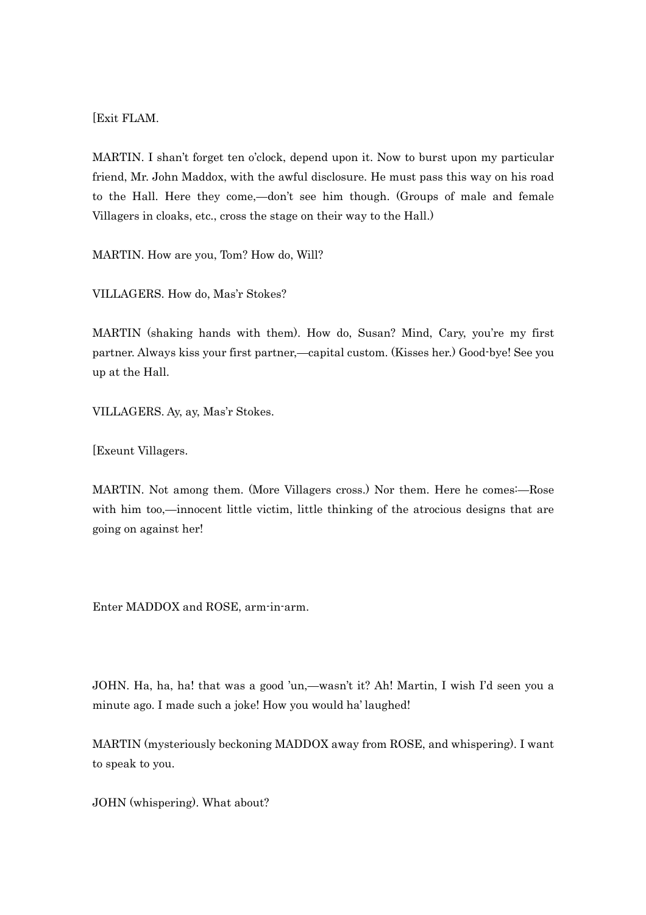[Exit FLAM.

MARTIN. I shan't forget ten o'clock, depend upon it. Now to burst upon my particular friend, Mr. John Maddox, with the awful disclosure. He must pass this way on his road to the Hall. Here they come,—don't see him though. (Groups of male and female Villagers in cloaks, etc., cross the stage on their way to the Hall.)

MARTIN. How are you, Tom? How do, Will?

VILLAGERS. How do, Mas'r Stokes?

MARTIN (shaking hands with them). How do, Susan? Mind, Cary, you're my first partner. Always kiss your first partner,—capital custom. (Kisses her.) Good-bye! See you up at the Hall.

VILLAGERS. Ay, ay, Mas'r Stokes.

[Exeunt Villagers.

MARTIN. Not among them. (More Villagers cross.) Nor them. Here he comes:—Rose with him too,—innocent little victim, little thinking of the atrocious designs that are going on against her!

Enter MADDOX and ROSE, arm-in-arm.

JOHN. Ha, ha, ha! that was a good 'un,—wasn't it? Ah! Martin, I wish I'd seen you a minute ago. I made such a joke! How you would ha' laughed!

MARTIN (mysteriously beckoning MADDOX away from ROSE, and whispering). I want to speak to you.

JOHN (whispering). What about?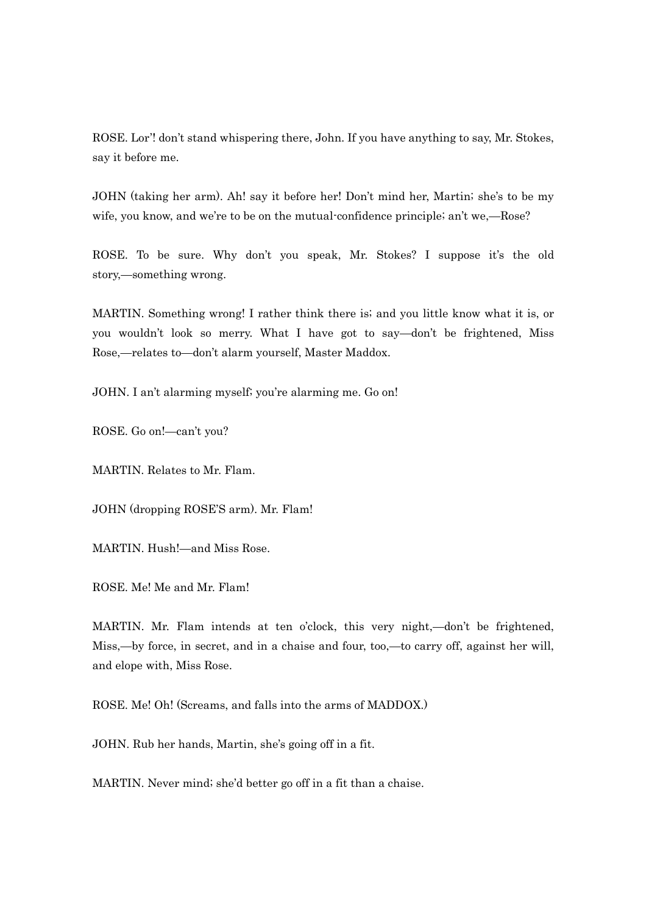ROSE. Lor'! don't stand whispering there, John. If you have anything to say, Mr. Stokes, say it before me.

JOHN (taking her arm). Ah! say it before her! Don't mind her, Martin; she's to be my wife, you know, and we're to be on the mutual-confidence principle; an't we,—Rose?

ROSE. To be sure. Why don't you speak, Mr. Stokes? I suppose it's the old story,—something wrong.

MARTIN. Something wrong! I rather think there is; and you little know what it is, or you wouldn't look so merry. What I have got to say—don't be frightened, Miss Rose,—relates to—don't alarm yourself, Master Maddox.

JOHN. I an't alarming myself; you're alarming me. Go on!

ROSE. Go on!—can't you?

MARTIN. Relates to Mr. Flam.

JOHN (dropping ROSE'S arm). Mr. Flam!

MARTIN. Hush!—and Miss Rose.

ROSE. Me! Me and Mr. Flam!

MARTIN. Mr. Flam intends at ten o'clock, this very night,—don't be frightened, Miss,—by force, in secret, and in a chaise and four, too,—to carry off, against her will, and elope with, Miss Rose.

ROSE. Me! Oh! (Screams, and falls into the arms of MADDOX.)

JOHN. Rub her hands, Martin, she's going off in a fit.

MARTIN. Never mind; she'd better go off in a fit than a chaise.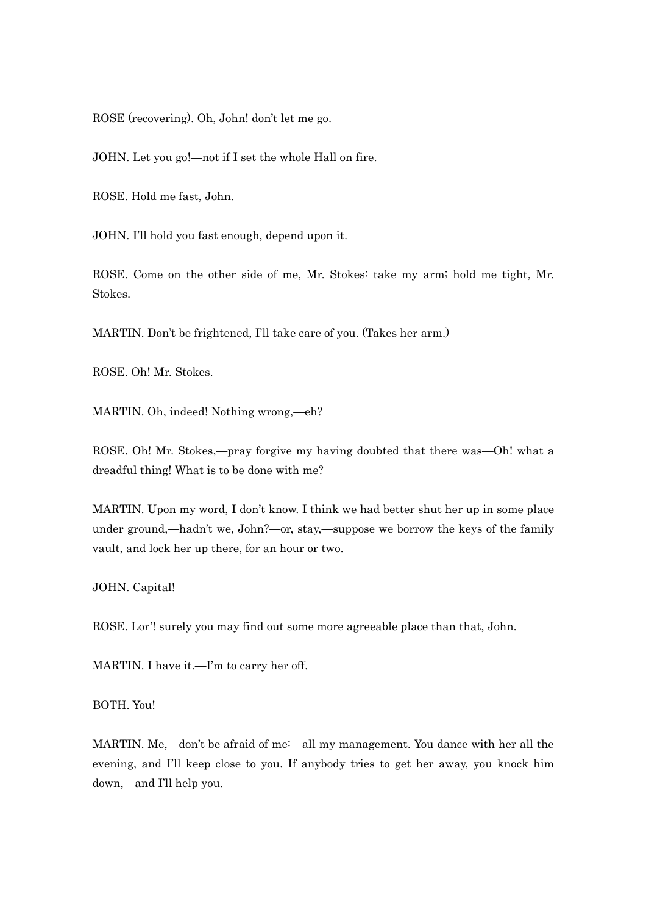ROSE (recovering). Oh, John! don't let me go.

JOHN. Let you go!—not if I set the whole Hall on fire.

ROSE. Hold me fast, John.

JOHN. I'll hold you fast enough, depend upon it.

ROSE. Come on the other side of me, Mr. Stokes: take my arm; hold me tight, Mr. Stokes.

MARTIN. Don't be frightened, I'll take care of you. (Takes her arm.)

ROSE. Oh! Mr. Stokes.

MARTIN. Oh, indeed! Nothing wrong,—eh?

ROSE. Oh! Mr. Stokes,—pray forgive my having doubted that there was—Oh! what a dreadful thing! What is to be done with me?

MARTIN. Upon my word, I don't know. I think we had better shut her up in some place under ground,—hadn't we, John?—or, stay,—suppose we borrow the keys of the family vault, and lock her up there, for an hour or two.

JOHN. Capital!

ROSE. Lor'! surely you may find out some more agreeable place than that, John.

MARTIN. I have it.—I'm to carry her off.

BOTH. You!

MARTIN. Me,—don't be afraid of me:—all my management. You dance with her all the evening, and I'll keep close to you. If anybody tries to get her away, you knock him down,—and I'll help you.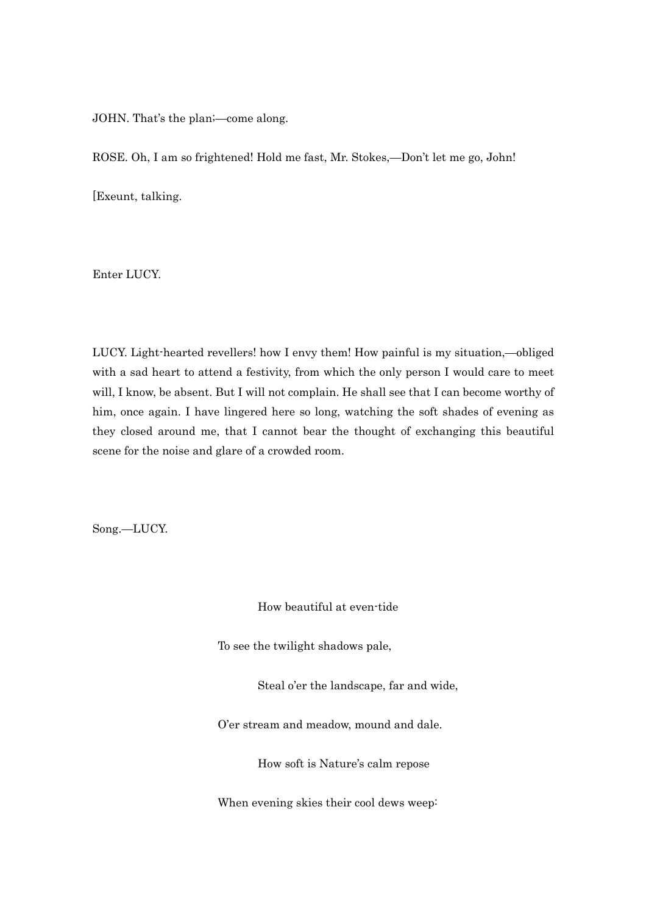JOHN. That's the plan;—come along.

ROSE. Oh, I am so frightened! Hold me fast, Mr. Stokes,—Don't let me go, John!

[Exeunt, talking.

Enter LUCY.

LUCY. Light-hearted revellers! how I envy them! How painful is my situation,—obliged with a sad heart to attend a festivity, from which the only person I would care to meet will, I know, be absent. But I will not complain. He shall see that I can become worthy of him, once again. I have lingered here so long, watching the soft shades of evening as they closed around me, that I cannot bear the thought of exchanging this beautiful scene for the noise and glare of a crowded room.

Song.—LUCY.

How beautiful at even-tide

To see the twilight shadows pale,

Steal o'er the landscape, far and wide,

O'er stream and meadow, mound and dale.

How soft is Nature's calm repose

When evening skies their cool dews weep: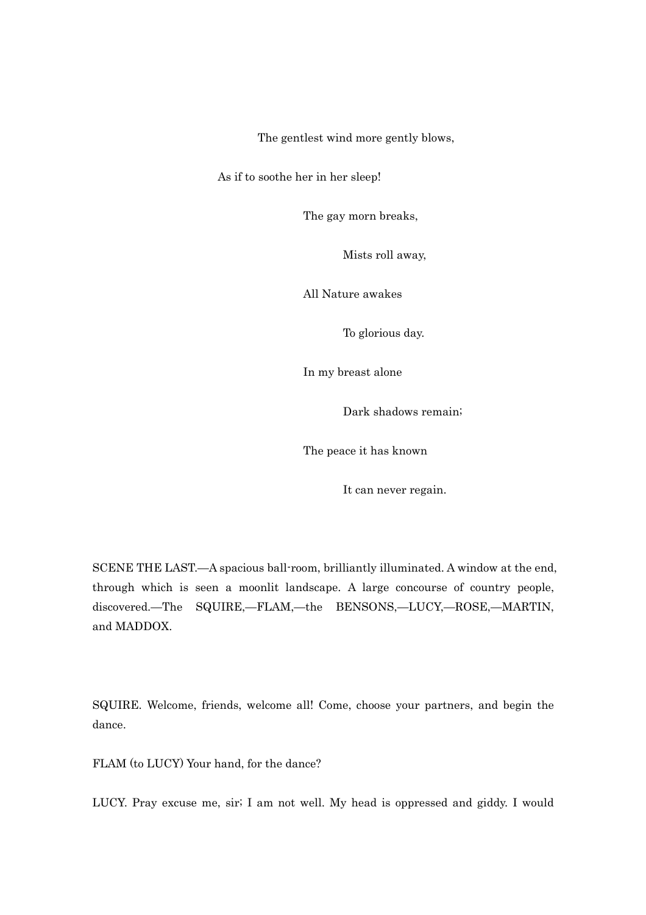The gentlest wind more gently blows,

As if to soothe her in her sleep!

The gay morn breaks,

Mists roll away,

All Nature awakes

To glorious day.

In my breast alone

Dark shadows remain;

The peace it has known

It can never regain.

SCENE THE LAST.—A spacious ball-room, brilliantly illuminated. A window at the end, through which is seen a moonlit landscape. A large concourse of country people, discovered.—The SQUIRE,—FLAM,—the BENSONS,—LUCY,—ROSE,—MARTIN, and MADDOX.

SQUIRE. Welcome, friends, welcome all! Come, choose your partners, and begin the dance.

FLAM (to LUCY) Your hand, for the dance?

LUCY. Pray excuse me, sir; I am not well. My head is oppressed and giddy. I would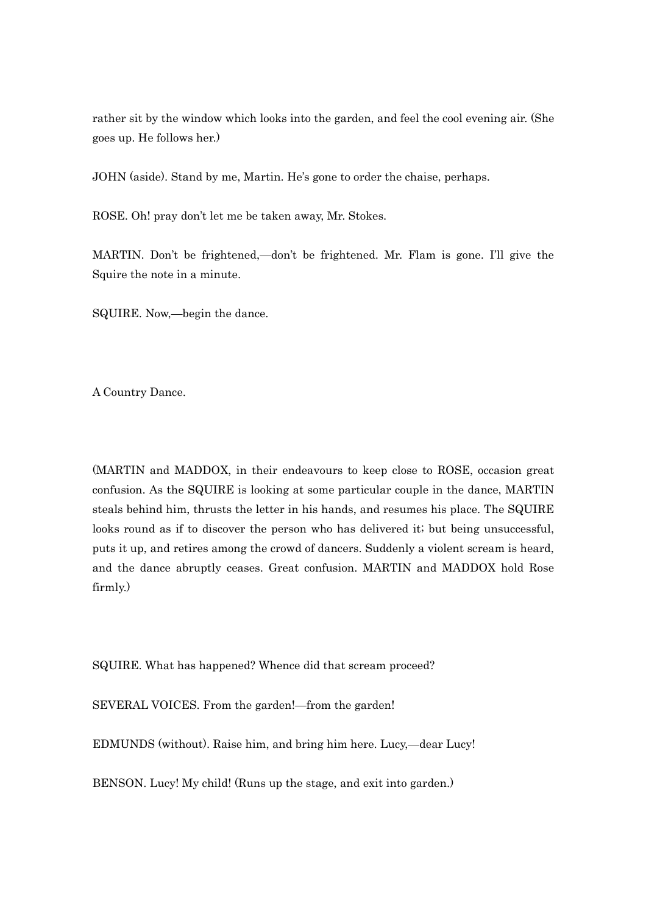rather sit by the window which looks into the garden, and feel the cool evening air. (She goes up. He follows her.)

JOHN (aside). Stand by me, Martin. He's gone to order the chaise, perhaps.

ROSE. Oh! pray don't let me be taken away, Mr. Stokes.

MARTIN. Don't be frightened,—don't be frightened. Mr. Flam is gone. I'll give the Squire the note in a minute.

SQUIRE. Now,—begin the dance.

A Country Dance.

(MARTIN and MADDOX, in their endeavours to keep close to ROSE, occasion great confusion. As the SQUIRE is looking at some particular couple in the dance, MARTIN steals behind him, thrusts the letter in his hands, and resumes his place. The SQUIRE looks round as if to discover the person who has delivered it; but being unsuccessful, puts it up, and retires among the crowd of dancers. Suddenly a violent scream is heard, and the dance abruptly ceases. Great confusion. MARTIN and MADDOX hold Rose firmly.)

SQUIRE. What has happened? Whence did that scream proceed?

SEVERAL VOICES. From the garden!—from the garden!

EDMUNDS (without). Raise him, and bring him here. Lucy,—dear Lucy!

BENSON. Lucy! My child! (Runs up the stage, and exit into garden.)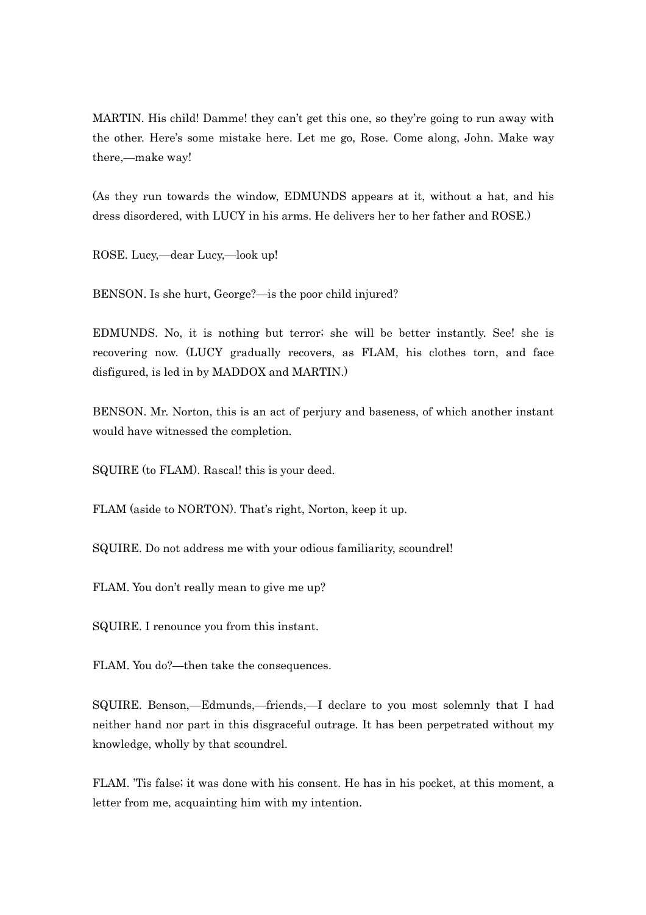MARTIN. His child! Damme! they can't get this one, so they're going to run away with the other. Here's some mistake here. Let me go, Rose. Come along, John. Make way there,—make way!

(As they run towards the window, EDMUNDS appears at it, without a hat, and his dress disordered, with LUCY in his arms. He delivers her to her father and ROSE.)

ROSE. Lucy,—dear Lucy,—look up!

BENSON. Is she hurt, George?—is the poor child injured?

EDMUNDS. No, it is nothing but terror; she will be better instantly. See! she is recovering now. (LUCY gradually recovers, as FLAM, his clothes torn, and face disfigured, is led in by MADDOX and MARTIN.)

BENSON. Mr. Norton, this is an act of perjury and baseness, of which another instant would have witnessed the completion.

SQUIRE (to FLAM). Rascal! this is your deed.

FLAM (aside to NORTON). That's right, Norton, keep it up.

SQUIRE. Do not address me with your odious familiarity, scoundrel!

FLAM. You don't really mean to give me up?

SQUIRE. I renounce you from this instant.

FLAM. You do?—then take the consequences.

SQUIRE. Benson,—Edmunds,—friends,—I declare to you most solemnly that I had neither hand nor part in this disgraceful outrage. It has been perpetrated without my knowledge, wholly by that scoundrel.

FLAM. 'Tis false; it was done with his consent. He has in his pocket, at this moment, a letter from me, acquainting him with my intention.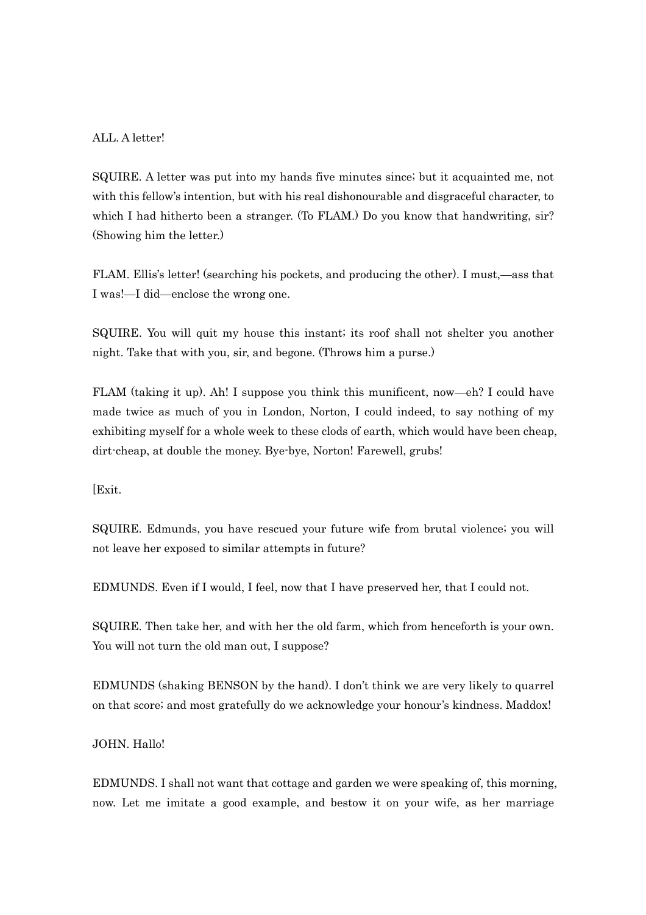## ALL. A letter!

SQUIRE. A letter was put into my hands five minutes since; but it acquainted me, not with this fellow's intention, but with his real dishonourable and disgraceful character, to which I had hitherto been a stranger. (To FLAM.) Do you know that handwriting, sir? (Showing him the letter.)

FLAM. Ellis's letter! (searching his pockets, and producing the other). I must,—ass that I was!—I did—enclose the wrong one.

SQUIRE. You will quit my house this instant; its roof shall not shelter you another night. Take that with you, sir, and begone. (Throws him a purse.)

FLAM (taking it up). Ah! I suppose you think this munificent, now—eh? I could have made twice as much of you in London, Norton, I could indeed, to say nothing of my exhibiting myself for a whole week to these clods of earth, which would have been cheap, dirt-cheap, at double the money. Bye-bye, Norton! Farewell, grubs!

[Exit.

SQUIRE. Edmunds, you have rescued your future wife from brutal violence; you will not leave her exposed to similar attempts in future?

EDMUNDS. Even if I would, I feel, now that I have preserved her, that I could not.

SQUIRE. Then take her, and with her the old farm, which from henceforth is your own. You will not turn the old man out, I suppose?

EDMUNDS (shaking BENSON by the hand). I don't think we are very likely to quarrel on that score; and most gratefully do we acknowledge your honour's kindness. Maddox!

JOHN. Hallo!

EDMUNDS. I shall not want that cottage and garden we were speaking of, this morning, now. Let me imitate a good example, and bestow it on your wife, as her marriage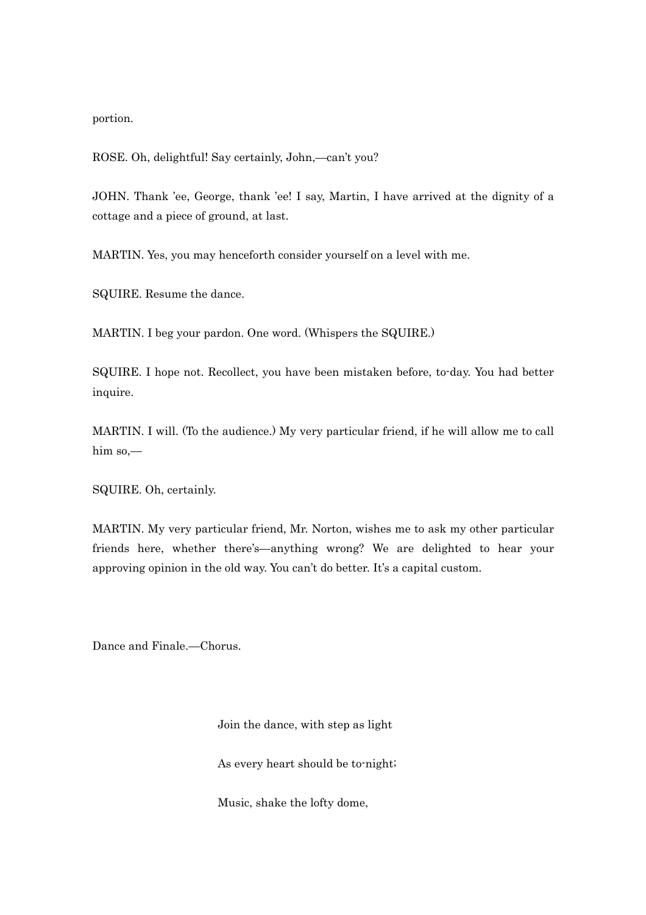portion.

ROSE. Oh, delightful! Say certainly, John,—can't you?

JOHN. Thank 'ee, George, thank 'ee! I say, Martin, I have arrived at the dignity of a cottage and a piece of ground, at last.

MARTIN. Yes, you may henceforth consider yourself on a level with me.

SQUIRE. Resume the dance.

MARTIN. I beg your pardon. One word. (Whispers the SQUIRE.)

SQUIRE. I hope not. Recollect, you have been mistaken before, to-day. You had better inquire.

MARTIN. I will. (To the audience.) My very particular friend, if he will allow me to call him so,—

SQUIRE. Oh, certainly.

MARTIN. My very particular friend, Mr. Norton, wishes me to ask my other particular friends here, whether there's—anything wrong? We are delighted to hear your approving opinion in the old way. You can't do better. It's a capital custom.

Dance and Finale.—Chorus.

Join the dance, with step as light

As every heart should be to-night;

Music, shake the lofty dome,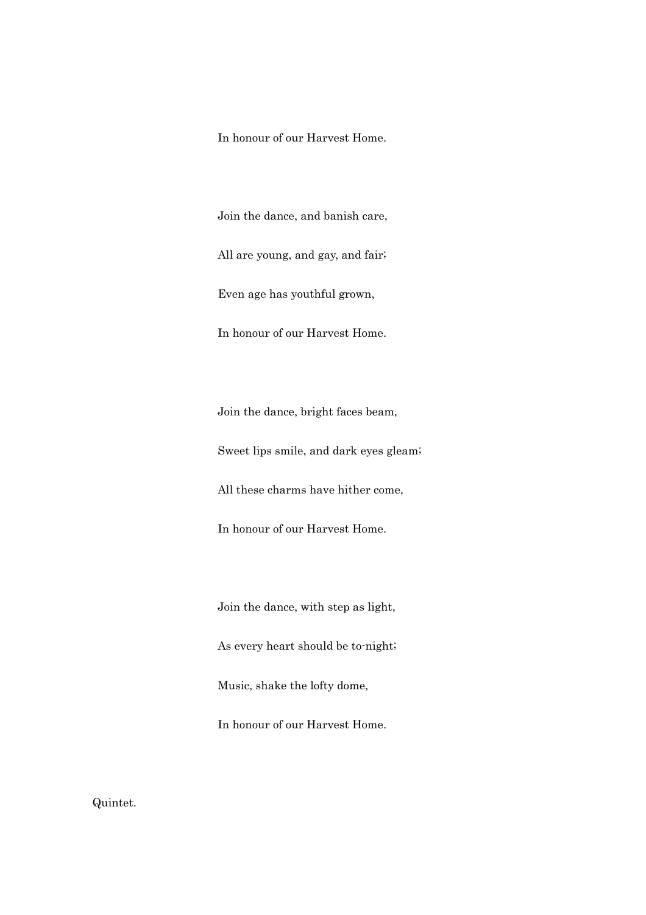In honour of our Harvest Home.

 Join the dance, and banish care, All are young, and gay, and fair; Even age has youthful grown, In honour of our Harvest Home.

 Join the dance, bright faces beam, Sweet lips smile, and dark eyes gleam; All these charms have hither come, In honour of our Harvest Home.

 Join the dance, with step as light, As every heart should be to-night; Music, shake the lofty dome, In honour of our Harvest Home.

Quintet.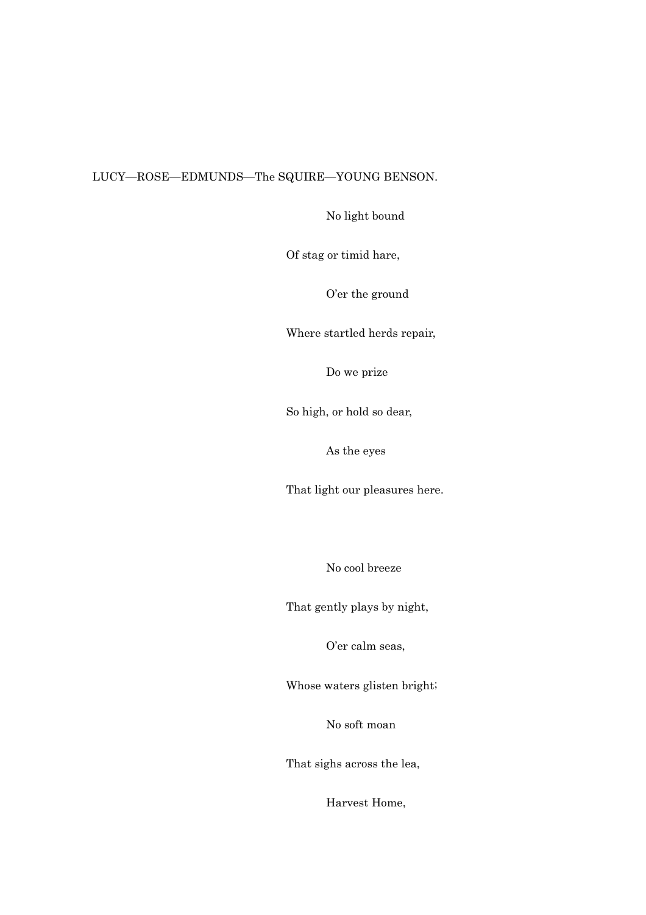## LUCY—ROSE—EDMUNDS—The SQUIRE—YOUNG BENSON.

No light bound

Of stag or timid hare,

O'er the ground

Where startled herds repair,

Do we prize

So high, or hold so dear,

As the eyes

That light our pleasures here.

No cool breeze

That gently plays by night,

O'er calm seas,

Whose waters glisten bright;

No soft moan

That sighs across the lea,

Harvest Home,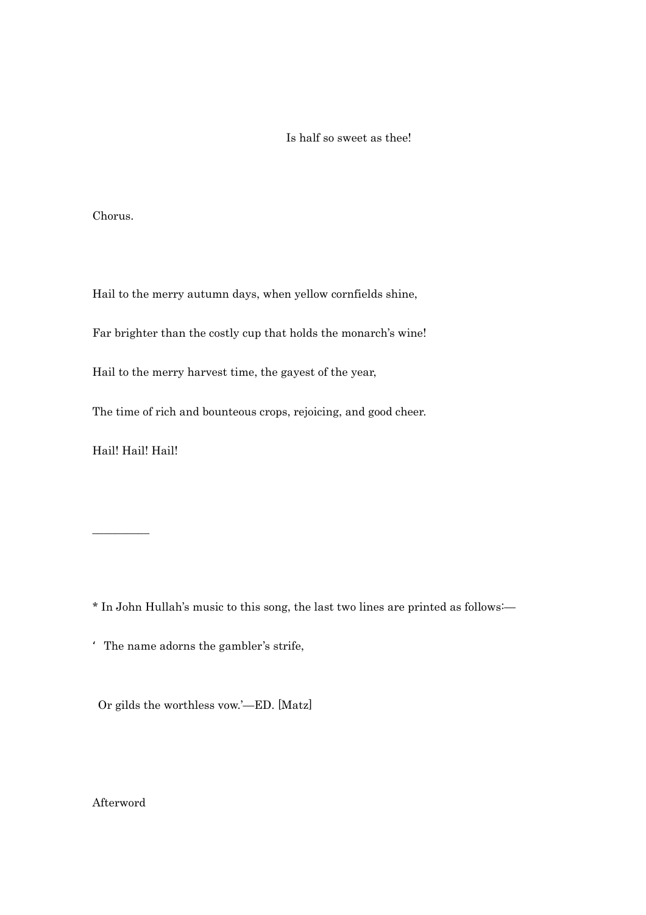Is half so sweet as thee!

Chorus.

Hail to the merry autumn days, when yellow cornfields shine,

Far brighter than the costly cup that holds the monarch's wine!

Hail to the merry harvest time, the gayest of the year,

The time of rich and bounteous crops, rejoicing, and good cheer.

Hail! Hail! Hail!

 $\overline{\phantom{a}}$ 

\* In John Hullah's music to this song, the last two lines are printed as follows:—

'The name adorns the gambler's strife,

Or gilds the worthless vow.'—ED. [Matz]

Afterword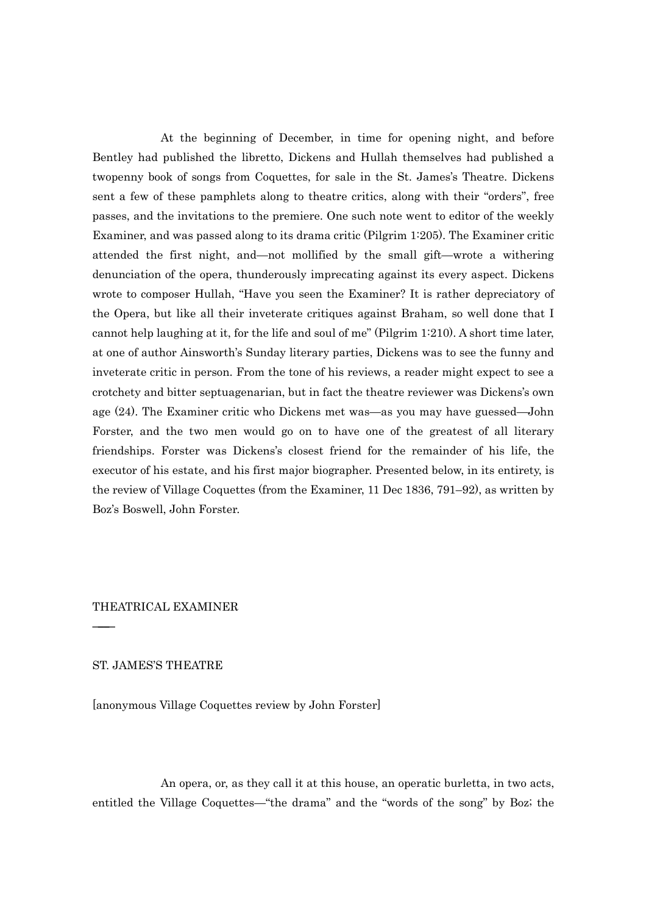At the beginning of December, in time for opening night, and before Bentley had published the libretto, Dickens and Hullah themselves had published a twopenny book of songs from Coquettes, for sale in the St. James's Theatre. Dickens sent a few of these pamphlets along to theatre critics, along with their "orders", free passes, and the invitations to the premiere. One such note went to editor of the weekly Examiner, and was passed along to its drama critic (Pilgrim 1:205). The Examiner critic attended the first night, and—not mollified by the small gift—wrote a withering denunciation of the opera, thunderously imprecating against its every aspect. Dickens wrote to composer Hullah, "Have you seen the Examiner? It is rather depreciatory of the Opera, but like all their inveterate critiques against Braham, so well done that I cannot help laughing at it, for the life and soul of me" (Pilgrim 1:210). A short time later, at one of author Ainsworth's Sunday literary parties, Dickens was to see the funny and inveterate critic in person. From the tone of his reviews, a reader might expect to see a crotchety and bitter septuagenarian, but in fact the theatre reviewer was Dickens's own age (24). The Examiner critic who Dickens met was—as you may have guessed—John Forster, and the two men would go on to have one of the greatest of all literary friendships. Forster was Dickens's closest friend for the remainder of his life, the executor of his estate, and his first major biographer. Presented below, in its entirety, is the review of Village Coquettes (from the Examiner, 11 Dec 1836, 791–92), as written by Boz's Boswell, John Forster.

## THEATRICAL EXAMINER

## ST. JAMES'S THEATRE

[anonymous Village Coquettes review by John Forster]

 An opera, or, as they call it at this house, an operatic burletta, in two acts, entitled the Village Coquettes—"the drama" and the "words of the song" by Boz; the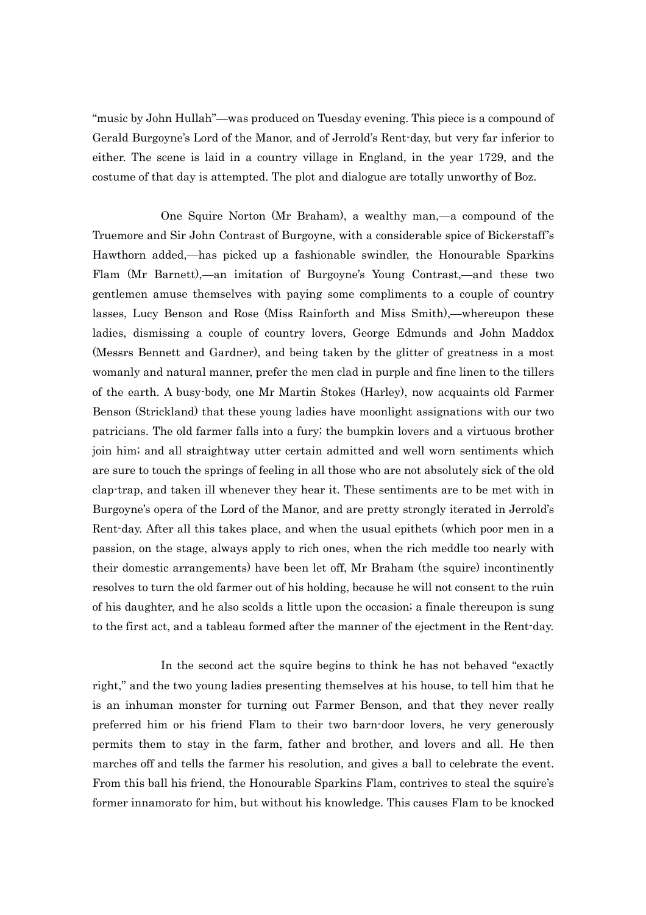"music by John Hullah"—was produced on Tuesday evening. This piece is a compound of Gerald Burgoyne's Lord of the Manor, and of Jerrold's Rent-day, but very far inferior to either. The scene is laid in a country village in England, in the year 1729, and the costume of that day is attempted. The plot and dialogue are totally unworthy of Boz.

 One Squire Norton (Mr Braham), a wealthy man,—a compound of the Truemore and Sir John Contrast of Burgoyne, with a considerable spice of Bickerstaff's Hawthorn added,—has picked up a fashionable swindler, the Honourable Sparkins Flam (Mr Barnett),—an imitation of Burgoyne's Young Contrast,—and these two gentlemen amuse themselves with paying some compliments to a couple of country lasses, Lucy Benson and Rose (Miss Rainforth and Miss Smith),—whereupon these ladies, dismissing a couple of country lovers, George Edmunds and John Maddox (Messrs Bennett and Gardner), and being taken by the glitter of greatness in a most womanly and natural manner, prefer the men clad in purple and fine linen to the tillers of the earth. A busy-body, one Mr Martin Stokes (Harley), now acquaints old Farmer Benson (Strickland) that these young ladies have moonlight assignations with our two patricians. The old farmer falls into a fury; the bumpkin lovers and a virtuous brother join him; and all straightway utter certain admitted and well worn sentiments which are sure to touch the springs of feeling in all those who are not absolutely sick of the old clap-trap, and taken ill whenever they hear it. These sentiments are to be met with in Burgoyne's opera of the Lord of the Manor, and are pretty strongly iterated in Jerrold's Rent-day. After all this takes place, and when the usual epithets (which poor men in a passion, on the stage, always apply to rich ones, when the rich meddle too nearly with their domestic arrangements) have been let off, Mr Braham (the squire) incontinently resolves to turn the old farmer out of his holding, because he will not consent to the ruin of his daughter, and he also scolds a little upon the occasion; a finale thereupon is sung to the first act, and a tableau formed after the manner of the ejectment in the Rent-day.

 In the second act the squire begins to think he has not behaved "exactly right," and the two young ladies presenting themselves at his house, to tell him that he is an inhuman monster for turning out Farmer Benson, and that they never really preferred him or his friend Flam to their two barn-door lovers, he very generously permits them to stay in the farm, father and brother, and lovers and all. He then marches off and tells the farmer his resolution, and gives a ball to celebrate the event. From this ball his friend, the Honourable Sparkins Flam, contrives to steal the squire's former innamorato for him, but without his knowledge. This causes Flam to be knocked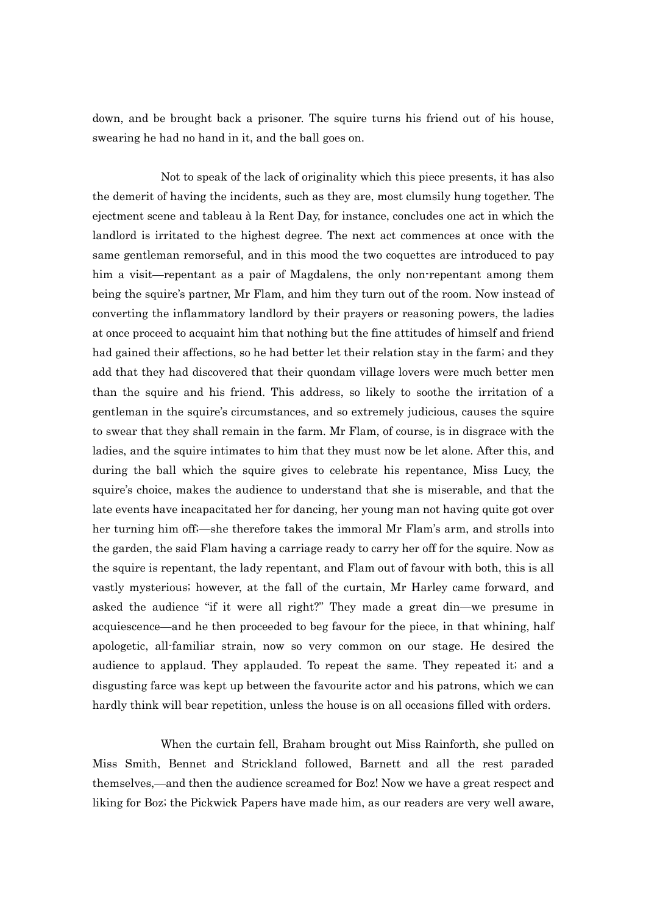down, and be brought back a prisoner. The squire turns his friend out of his house, swearing he had no hand in it, and the ball goes on.

 Not to speak of the lack of originality which this piece presents, it has also the demerit of having the incidents, such as they are, most clumsily hung together. The ejectment scene and tableau à la Rent Day, for instance, concludes one act in which the landlord is irritated to the highest degree. The next act commences at once with the same gentleman remorseful, and in this mood the two coquettes are introduced to pay him a visit—repentant as a pair of Magdalens, the only non-repentant among them being the squire's partner, Mr Flam, and him they turn out of the room. Now instead of converting the inflammatory landlord by their prayers or reasoning powers, the ladies at once proceed to acquaint him that nothing but the fine attitudes of himself and friend had gained their affections, so he had better let their relation stay in the farm; and they add that they had discovered that their quondam village lovers were much better men than the squire and his friend. This address, so likely to soothe the irritation of a gentleman in the squire's circumstances, and so extremely judicious, causes the squire to swear that they shall remain in the farm. Mr Flam, of course, is in disgrace with the ladies, and the squire intimates to him that they must now be let alone. After this, and during the ball which the squire gives to celebrate his repentance, Miss Lucy, the squire's choice, makes the audience to understand that she is miserable, and that the late events have incapacitated her for dancing, her young man not having quite got over her turning him off;—she therefore takes the immoral Mr Flam's arm, and strolls into the garden, the said Flam having a carriage ready to carry her off for the squire. Now as the squire is repentant, the lady repentant, and Flam out of favour with both, this is all vastly mysterious; however, at the fall of the curtain, Mr Harley came forward, and asked the audience "if it were all right?" They made a great din—we presume in acquiescence—and he then proceeded to beg favour for the piece, in that whining, half apologetic, all-familiar strain, now so very common on our stage. He desired the audience to applaud. They applauded. To repeat the same. They repeated it; and a disgusting farce was kept up between the favourite actor and his patrons, which we can hardly think will bear repetition, unless the house is on all occasions filled with orders.

 When the curtain fell, Braham brought out Miss Rainforth, she pulled on Miss Smith, Bennet and Strickland followed, Barnett and all the rest paraded themselves,—and then the audience screamed for Boz! Now we have a great respect and liking for Boz; the Pickwick Papers have made him, as our readers are very well aware,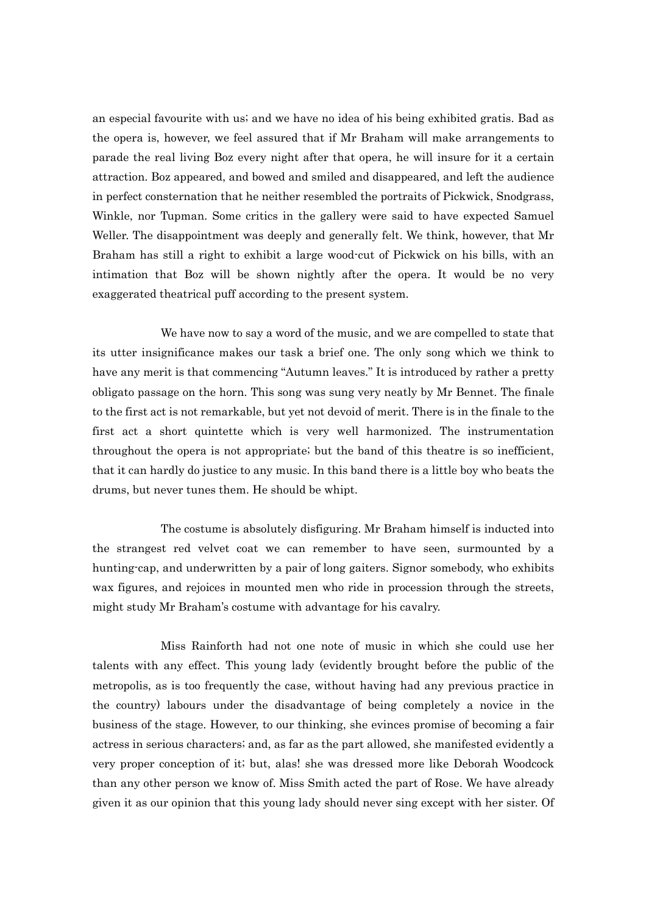an especial favourite with us; and we have no idea of his being exhibited gratis. Bad as the opera is, however, we feel assured that if Mr Braham will make arrangements to parade the real living Boz every night after that opera, he will insure for it a certain attraction. Boz appeared, and bowed and smiled and disappeared, and left the audience in perfect consternation that he neither resembled the portraits of Pickwick, Snodgrass, Winkle, nor Tupman. Some critics in the gallery were said to have expected Samuel Weller. The disappointment was deeply and generally felt. We think, however, that Mr Braham has still a right to exhibit a large wood-cut of Pickwick on his bills, with an intimation that Boz will be shown nightly after the opera. It would be no very exaggerated theatrical puff according to the present system.

 We have now to say a word of the music, and we are compelled to state that its utter insignificance makes our task a brief one. The only song which we think to have any merit is that commencing "Autumn leaves." It is introduced by rather a pretty obligato passage on the horn. This song was sung very neatly by Mr Bennet. The finale to the first act is not remarkable, but yet not devoid of merit. There is in the finale to the first act a short quintette which is very well harmonized. The instrumentation throughout the opera is not appropriate; but the band of this theatre is so inefficient, that it can hardly do justice to any music. In this band there is a little boy who beats the drums, but never tunes them. He should be whipt.

 The costume is absolutely disfiguring. Mr Braham himself is inducted into the strangest red velvet coat we can remember to have seen, surmounted by a hunting-cap, and underwritten by a pair of long gaiters. Signor somebody, who exhibits wax figures, and rejoices in mounted men who ride in procession through the streets, might study Mr Braham's costume with advantage for his cavalry.

 Miss Rainforth had not one note of music in which she could use her talents with any effect. This young lady (evidently brought before the public of the metropolis, as is too frequently the case, without having had any previous practice in the country) labours under the disadvantage of being completely a novice in the business of the stage. However, to our thinking, she evinces promise of becoming a fair actress in serious characters; and, as far as the part allowed, she manifested evidently a very proper conception of it; but, alas! she was dressed more like Deborah Woodcock than any other person we know of. Miss Smith acted the part of Rose. We have already given it as our opinion that this young lady should never sing except with her sister. Of